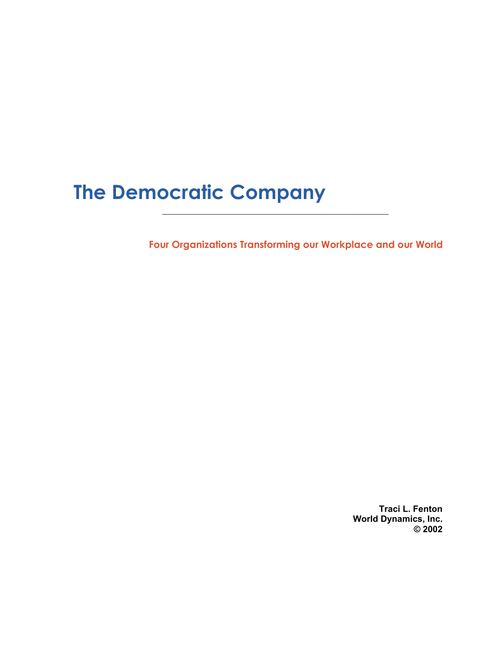# **The Democratic Company**

**Four Organizations Transforming our Workplace and our World**

 $\mathcal{L}_\text{max}$  , and the contract of the contract of the contract of the contract of the contract of the contract of the contract of the contract of the contract of the contract of the contract of the contract of the contr

**Traci L. Fenton World Dynamics, Inc. © 2002**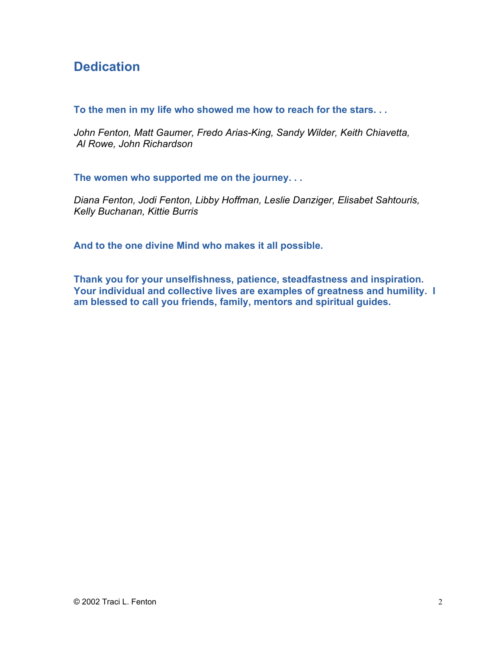### **Dedication**

**To the men in my life who showed me how to reach for the stars. . .**

*John Fenton, Matt Gaumer, Fredo Arias-King, Sandy Wilder, Keith Chiavetta, Al Rowe, John Richardson*

**The women who supported me on the journey. . .**

*Diana Fenton, Jodi Fenton, Libby Hoffman, Leslie Danziger, Elisabet Sahtouris, Kelly Buchanan, Kittie Burris*

**And to the one divine Mind who makes it all possible.**

**Thank you for your unselfishness, patience, steadfastness and inspiration. Your individual and collective lives are examples of greatness and humility. I am blessed to call you friends, family, mentors and spiritual guides.**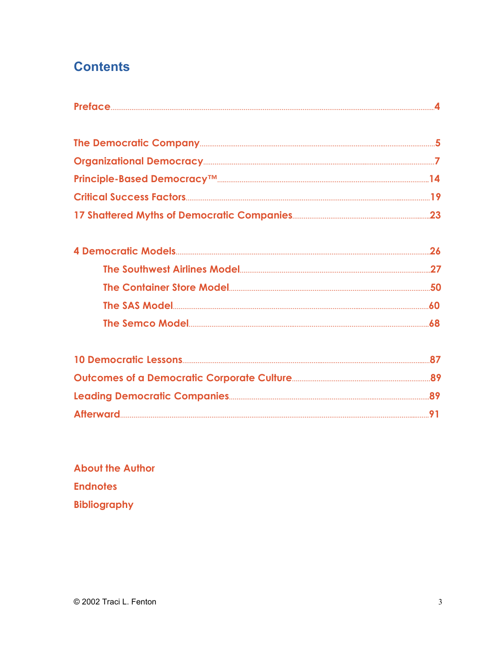# **Contents**

**About the Author Endnotes Bibliography**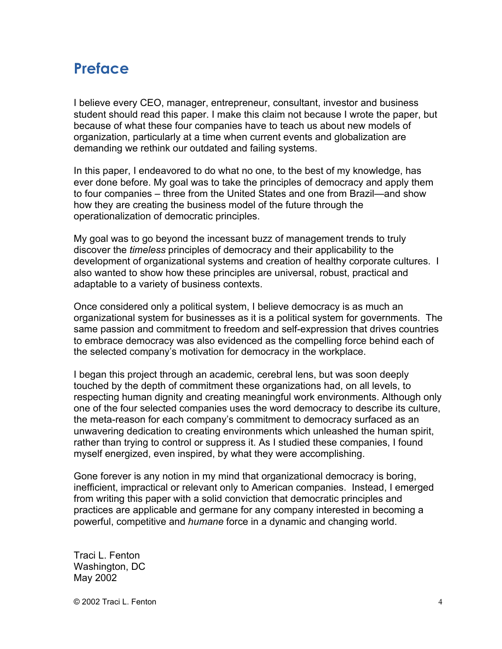# **Preface**

I believe every CEO, manager, entrepreneur, consultant, investor and business student should read this paper. I make this claim not because I wrote the paper, but because of what these four companies have to teach us about new models of organization, particularly at a time when current events and globalization are demanding we rethink our outdated and failing systems.

In this paper, I endeavored to do what no one, to the best of my knowledge, has ever done before. My goal was to take the principles of democracy and apply them to four companies – three from the United States and one from Brazil—and show how they are creating the business model of the future through the operationalization of democratic principles.

My goal was to go beyond the incessant buzz of management trends to truly discover the *timeless* principles of democracy and their applicability to the development of organizational systems and creation of healthy corporate cultures. I also wanted to show how these principles are universal, robust, practical and adaptable to a variety of business contexts.

Once considered only a political system, I believe democracy is as much an organizational system for businesses as it is a political system for governments. The same passion and commitment to freedom and self-expression that drives countries to embrace democracy was also evidenced as the compelling force behind each of the selected company's motivation for democracy in the workplace.

I began this project through an academic, cerebral lens, but was soon deeply touched by the depth of commitment these organizations had, on all levels, to respecting human dignity and creating meaningful work environments. Although only one of the four selected companies uses the word democracy to describe its culture, the meta-reason for each company's commitment to democracy surfaced as an unwavering dedication to creating environments which unleashed the human spirit, rather than trying to control or suppress it. As I studied these companies, I found myself energized, even inspired, by what they were accomplishing.

Gone forever is any notion in my mind that organizational democracy is boring, inefficient, impractical or relevant only to American companies. Instead, I emerged from writing this paper with a solid conviction that democratic principles and practices are applicable and germane for any company interested in becoming a powerful, competitive and *humane* force in a dynamic and changing world.

Traci L. Fenton Washington, DC May 2002

© 2002 Traci L. Fenton 4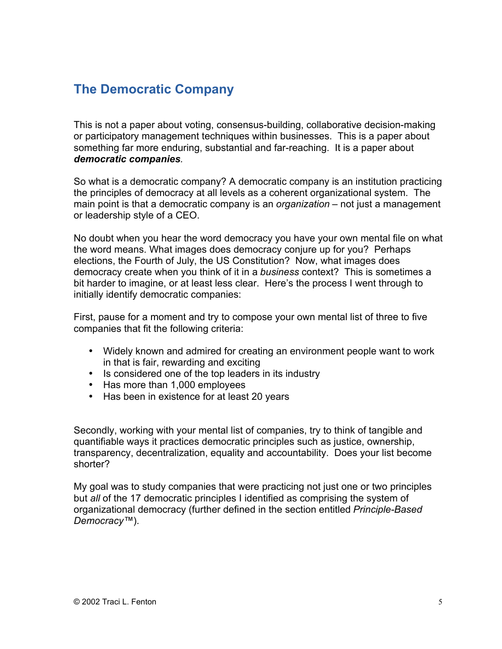### **The Democratic Company**

This is not a paper about voting, consensus-building, collaborative decision-making or participatory management techniques within businesses. This is a paper about something far more enduring, substantial and far-reaching. It is a paper about *democratic companies.*

So what is a democratic company? A democratic company is an institution practicing the principles of democracy at all levels as a coherent organizational system. The main point is that a democratic company is an *organization* – not just a management or leadership style of a CEO.

No doubt when you hear the word democracy you have your own mental file on what the word means. What images does democracy conjure up for you? Perhaps elections, the Fourth of July, the US Constitution? Now, what images does democracy create when you think of it in a *business* context? This is sometimes a bit harder to imagine, or at least less clear. Here's the process I went through to initially identify democratic companies:

First, pause for a moment and try to compose your own mental list of three to five companies that fit the following criteria:

Widely known and admired for creating an environment people want to work in that is fair, rewarding and exciting Is considered one of the top leaders in its industry Has more than 1,000 employees Has been in existence for at least 20 years

Secondly, working with your mental list of companies, try to think of tangible and quantifiable ways it practices democratic principles such as justice, ownership, transparency, decentralization, equality and accountability. Does your list become shorter?

My goal was to study companies that were practicing not just one or two principles but *all* of the 17 democratic principles I identified as comprising the system of organizational democracy (further defined in the section entitled *Principle-Based Democracy™*).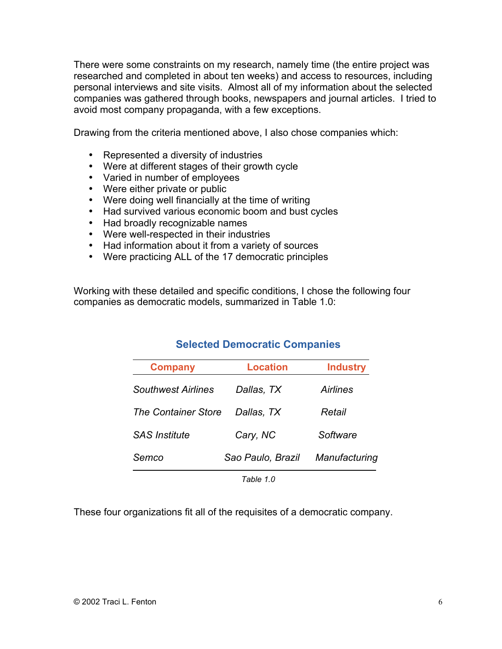There were some constraints on my research, namely time (the entire project was researched and completed in about ten weeks) and access to resources, including personal interviews and site visits. Almost all of my information about the selected companies was gathered through books, newspapers and journal articles. I tried to avoid most company propaganda, with a few exceptions.

Drawing from the criteria mentioned above, I also chose companies which:

Represented a diversity of industries Were at different stages of their growth cycle Varied in number of employees Were either private or public Were doing well financially at the time of writing Had survived various economic boom and bust cycles Had broadly recognizable names Were well-respected in their industries Had information about it from a variety of sources Were practicing ALL of the 17 democratic principles

Working with these detailed and specific conditions, I chose the following four companies as democratic models, summarized in Table 1.0:

### **Selected Democratic Companies**

| <b>Company</b>             | <b>Location</b>   | <b>Industry</b> |
|----------------------------|-------------------|-----------------|
| Southwest Airlines         | Dallas, TX        | Airlines        |
| <b>The Container Store</b> | Dallas, TX        | Retail          |
| <i>SAS Institute</i>       | Cary, NC          | Software        |
| Semco                      | Sao Paulo, Brazil | Manufacturing   |
|                            | Tahle 1 N         |                 |

These four organizations fit all of the requisites of a democratic company.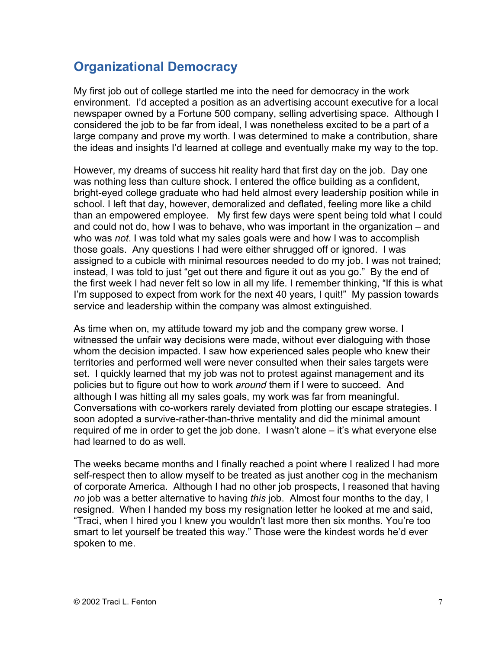### **Organizational Democracy**

My first job out of college startled me into the need for democracy in the work environment. I'd accepted a position as an advertising account executive for a local newspaper owned by a Fortune 500 company, selling advertising space. Although I considered the job to be far from ideal, I was nonetheless excited to be a part of a large company and prove my worth. I was determined to make a contribution, share the ideas and insights I'd learned at college and eventually make my way to the top.

However, my dreams of success hit reality hard that first day on the job. Day one was nothing less than culture shock. I entered the office building as a confident, bright-eyed college graduate who had held almost every leadership position while in school. I left that day, however, demoralized and deflated, feeling more like a child than an empowered employee. My first few days were spent being told what I could and could not do, how I was to behave, who was important in the organization – and who was *not*. I was told what my sales goals were and how I was to accomplish those goals. Any questions I had were either shrugged off or ignored. I was assigned to a cubicle with minimal resources needed to do my job. I was not trained; instead, I was told to just "get out there and figure it out as you go." By the end of the first week I had never felt so low in all my life. I remember thinking, "If this is what I'm supposed to expect from work for the next 40 years, I quit!" My passion towards service and leadership within the company was almost extinguished.

As time when on, my attitude toward my job and the company grew worse. I witnessed the unfair way decisions were made, without ever dialoguing with those whom the decision impacted. I saw how experienced sales people who knew their territories and performed well were never consulted when their sales targets were set. I quickly learned that my job was not to protest against management and its policies but to figure out how to work *around* them if I were to succeed. And although I was hitting all my sales goals, my work was far from meaningful. Conversations with co-workers rarely deviated from plotting our escape strategies. I soon adopted a survive-rather-than-thrive mentality and did the minimal amount required of me in order to get the job done. I wasn't alone – it's what everyone else had learned to do as well.

The weeks became months and I finally reached a point where I realized I had more self-respect then to allow myself to be treated as just another cog in the mechanism of corporate America. Although I had no other job prospects, I reasoned that having *no* job was a better alternative to having *this* job. Almost four months to the day, I resigned. When I handed my boss my resignation letter he looked at me and said, "Traci, when I hired you I knew you wouldn't last more then six months. You're too smart to let yourself be treated this way." Those were the kindest words he'd ever spoken to me.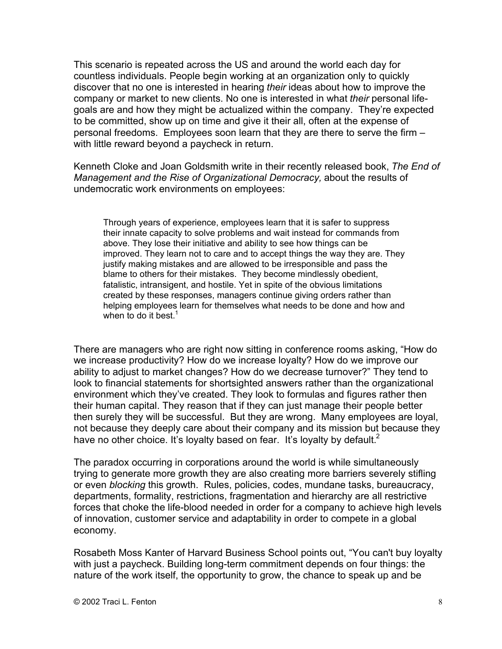This scenario is repeated across the US and around the world each day for countless individuals. People begin working at an organization only to quickly discover that no one is interested in hearing *their* ideas about how to improve the company or market to new clients. No one is interested in what *their* personal lifegoals are and how they might be actualized within the company. They're expected to be committed, show up on time and give it their all, often at the expense of personal freedoms. Employees soon learn that they are there to serve the firm – with little reward beyond a paycheck in return.

Kenneth Cloke and Joan Goldsmith write in their recently released book, *The End of Management and the Rise of Organizational Democracy,* about the results of undemocratic work environments on employees:

Through years of experience, employees learn that it is safer to suppress their innate capacity to solve problems and wait instead for commands from above. They lose their initiative and ability to see how things can be improved. They learn not to care and to accept things the way they are. They justify making mistakes and are allowed to be irresponsible and pass the blame to others for their mistakes. They become mindlessly obedient, fatalistic, intransigent, and hostile. Yet in spite of the obvious limitations created by these responses, managers continue giving orders rather than helping employees learn for themselves what needs to be done and how and when to do it best. $<sup>1</sup>$ </sup>

There are managers who are right now sitting in conference rooms asking, "How do we increase productivity? How do we increase loyalty? How do we improve our ability to adjust to market changes? How do we decrease turnover?" They tend to look to financial statements for shortsighted answers rather than the organizational environment which they've created. They look to formulas and figures rather then their human capital. They reason that if they can just manage their people better then surely they will be successful. But they are wrong. Many employees are loyal, not because they deeply care about their company and its mission but because they have no other choice. It's loyalty based on fear. It's loyalty by default.<sup>2</sup>

The paradox occurring in corporations around the world is while simultaneously trying to generate more growth they are also creating more barriers severely stifling or even *blocking* this growth. Rules, policies, codes, mundane tasks, bureaucracy, departments, formality, restrictions, fragmentation and hierarchy are all restrictive forces that choke the life-blood needed in order for a company to achieve high levels of innovation, customer service and adaptability in order to compete in a global economy.

Rosabeth Moss Kanter of Harvard Business School points out, "You can't buy loyalty with just a paycheck. Building long-term commitment depends on four things: the nature of the work itself, the opportunity to grow, the chance to speak up and be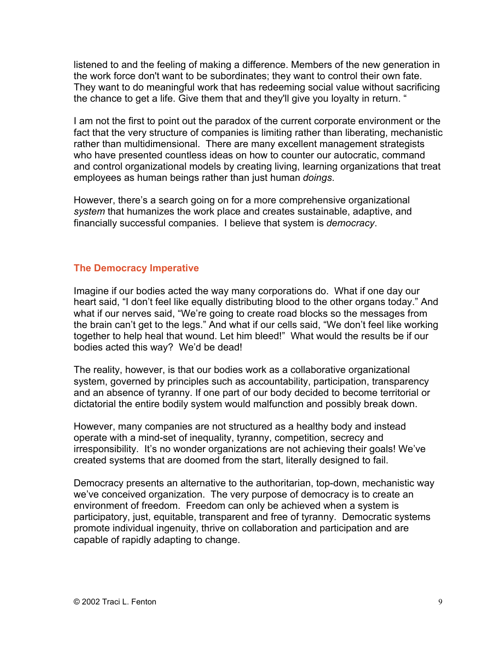listened to and the feeling of making a difference. Members of the new generation in the work force don't want to be subordinates; they want to control their own fate. They want to do meaningful work that has redeeming social value without sacrificing the chance to get a life. Give them that and they'll give you loyalty in return. "

I am not the first to point out the paradox of the current corporate environment or the fact that the very structure of companies is limiting rather than liberating, mechanistic rather than multidimensional. There are many excellent management strategists who have presented countless ideas on how to counter our autocratic, command and control organizational models by creating living, learning organizations that treat employees as human beings rather than just human *doings*.

However, there's a search going on for a more comprehensive organizational *system* that humanizes the work place and creates sustainable, adaptive, and financially successful companies. I believe that system is *democracy*.

#### **The Democracy Imperative**

Imagine if our bodies acted the way many corporations do. What if one day our heart said, "I don't feel like equally distributing blood to the other organs today." And what if our nerves said, "We're going to create road blocks so the messages from the brain can't get to the legs." And what if our cells said, "We don't feel like working together to help heal that wound. Let him bleed!" What would the results be if our bodies acted this way? We'd be dead!

The reality, however, is that our bodies work as a collaborative organizational system, governed by principles such as accountability, participation, transparency and an absence of tyranny. If one part of our body decided to become territorial or dictatorial the entire bodily system would malfunction and possibly break down.

However, many companies are not structured as a healthy body and instead operate with a mind-set of inequality, tyranny, competition, secrecy and irresponsibility. It's no wonder organizations are not achieving their goals! We've created systems that are doomed from the start, literally designed to fail.

Democracy presents an alternative to the authoritarian, top-down, mechanistic way we've conceived organization. The very purpose of democracy is to create an environment of freedom. Freedom can only be achieved when a system is participatory, just, equitable, transparent and free of tyranny. Democratic systems promote individual ingenuity, thrive on collaboration and participation and are capable of rapidly adapting to change.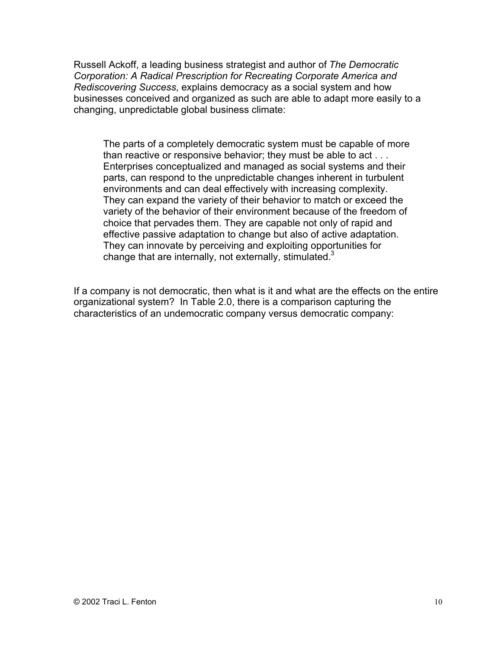Russell Ackoff, a leading business strategist and author of *The Democratic Corporation: A Radical Prescription for Recreating Corporate America and Rediscovering Success*, explains democracy as a social system and how businesses conceived and organized as such are able to adapt more easily to a changing, unpredictable global business climate:

The parts of a completely democratic system must be capable of more than reactive or responsive behavior; they must be able to act . . . Enterprises conceptualized and managed as social systems and their parts, can respond to the unpredictable changes inherent in turbulent environments and can deal effectively with increasing complexity. They can expand the variety of their behavior to match or exceed the variety of the behavior of their environment because of the freedom of choice that pervades them. They are capable not only of rapid and effective passive adaptation to change but also of active adaptation. They can innovate by perceiving and exploiting opportunities for change that are internally, not externally, stimulated. $3$ 

If a company is not democratic, then what is it and what are the effects on the entire organizational system? In Table 2.0, there is a comparison capturing the characteristics of an undemocratic company versus democratic company: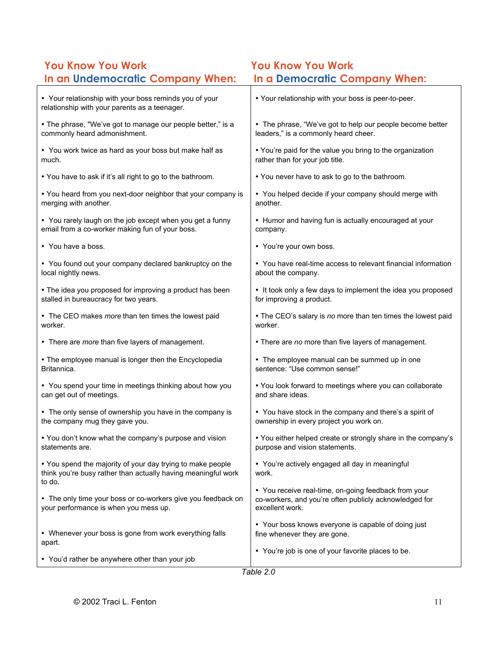### **You Know You Work You Know You Work In an Undemocratic Company When: In a Democratic Company When:**

| Your relationship with your boss reminds you of your<br>relationship with your parents as a teenager.                               | Your relationship with your boss is peer-to-peer.                                                                               |
|-------------------------------------------------------------------------------------------------------------------------------------|---------------------------------------------------------------------------------------------------------------------------------|
| The phrase, "We've got to manage our people better," is a                                                                           | The phrase, "We've got to help our people become better                                                                         |
| commonly heard admonishment.                                                                                                        | leaders," is a commonly heard cheer.                                                                                            |
| You work twice as hard as your boss but make half as                                                                                | You're paid for the value you bring to the organization                                                                         |
| much.                                                                                                                               | rather than for your job title.                                                                                                 |
| You have to ask if it's all right to go to the bathroom.                                                                            | You never have to ask to go to the bathroom.                                                                                    |
| You heard from you next-door neighbor that your company is                                                                          | You helped decide if your company should merge with                                                                             |
| merging with another.                                                                                                               | another.                                                                                                                        |
| You rarely laugh on the job except when you get a funny                                                                             | Humor and having fun is actually encouraged at your                                                                             |
| email from a co-worker making fun of your boss.                                                                                     | company.                                                                                                                        |
| You have a boss.                                                                                                                    | You're your own boss.                                                                                                           |
| You found out your company declared bankruptcy on the                                                                               | You have real-time access to relevant financial information                                                                     |
| local nightly news.                                                                                                                 | about the company.                                                                                                              |
| The idea you proposed for improving a product has been                                                                              | It took only a few days to implement the idea you proposed                                                                      |
| stalled in bureaucracy for two years.                                                                                               | for improving a product.                                                                                                        |
| The CEO makes more than ten times the lowest paid                                                                                   | The CEO's salary is no more than ten times the lowest paid                                                                      |
| worker.                                                                                                                             | worker.                                                                                                                         |
| There are more than five layers of management.                                                                                      | There are no more than five layers of management.                                                                               |
| The employee manual is longer then the Encyclopedia                                                                                 | The employee manual can be summed up in one                                                                                     |
| Britannica.                                                                                                                         | sentence: "Use common sense!"                                                                                                   |
| You spend your time in meetings thinking about how you                                                                              | You look forward to meetings where you can collaborate                                                                          |
| can get out of meetings.                                                                                                            | and share ideas.                                                                                                                |
| The only sense of ownership you have in the company is                                                                              | You have stock in the company and there's a spirit of                                                                           |
| the company mug they gave you.                                                                                                      | ownership in every project you work on.                                                                                         |
| You don't know what the company's purpose and vision                                                                                | You either helped create or strongly share in the company's                                                                     |
| statements are.                                                                                                                     | purpose and vision statements.                                                                                                  |
| You spend the majority of your day trying to make people<br>think you're busy rather than actually having meaningful work<br>to do. | You're actively engaged all day in meaningful<br>work.                                                                          |
| The only time your boss or co-workers give you feedback on<br>your performance is when you mess up.                                 | You receive real-time, on-going feedback from your<br>co-workers, and you're often publicly acknowledged for<br>excellent work. |
| Whenever your boss is gone from work everything falls                                                                               | Your boss knows everyone is capable of doing just                                                                               |
| apart.                                                                                                                              | fine whenever they are gone.                                                                                                    |
| You'd rather be anywhere other than your job                                                                                        | You're job is one of your favorite places to be.                                                                                |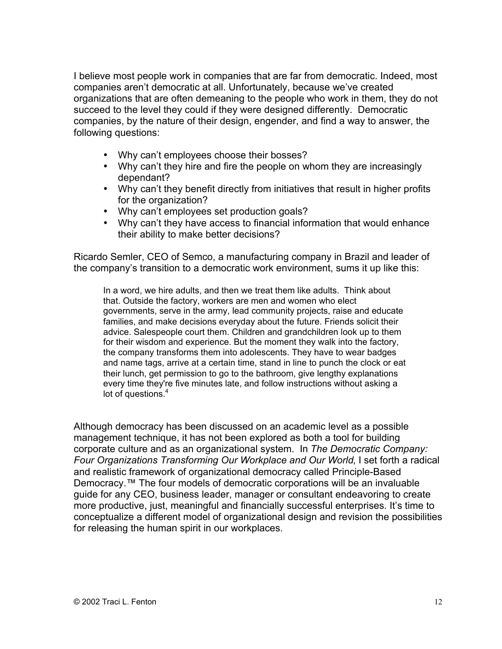I believe most people work in companies that are far from democratic. Indeed, most companies aren't democratic at all. Unfortunately, because we've created organizations that are often demeaning to the people who work in them, they do not succeed to the level they could if they were designed differently. Democratic companies, by the nature of their design, engender, and find a way to answer, the following questions:

> Why can't employees choose their bosses? Why can't they hire and fire the people on whom they are increasingly dependant?

Why can't they benefit directly from initiatives that result in higher profits for the organization?

Why can't employees set production goals?

Why can't they have access to financial information that would enhance their ability to make better decisions?

Ricardo Semler, CEO of Semco, a manufacturing company in Brazil and leader of the company's transition to a democratic work environment, sums it up like this:

In a word, we hire adults, and then we treat them like adults. Think about that. Outside the factory, workers are men and women who elect governments, serve in the army, lead community projects, raise and educate families, and make decisions everyday about the future. Friends solicit their advice. Salespeople court them. Children and grandchildren look up to them for their wisdom and experience. But the moment they walk into the factory, the company transforms them into adolescents. They have to wear badges and name tags, arrive at a certain time, stand in line to punch the clock or eat their lunch, get permission to go to the bathroom, give lengthy explanations every time they're five minutes late, and follow instructions without asking a lot of questions.<sup>4</sup>

Although democracy has been discussed on an academic level as a possible management technique, it has not been explored as both a tool for building corporate culture and as an organizational system. In *The Democratic Company: Four Organizations Transforming Our Workplace and Our World*, I set forth a radical and realistic framework of organizational democracy called Principle-Based Democracy.<sup>™</sup> The four models of democratic corporations will be an invaluable guide for any CEO, business leader, manager or consultant endeavoring to create more productive, just, meaningful and financially successful enterprises. It's time to conceptualize a different model of organizational design and revision the possibilities for releasing the human spirit in our workplaces.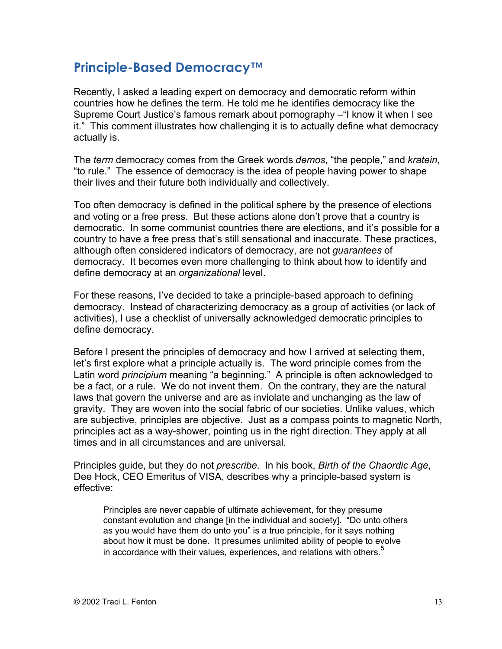### **Principle-Based Democracy™**

Recently, I asked a leading expert on democracy and democratic reform within countries how he defines the term. He told me he identifies democracy like the Supreme Court Justice's famous remark about pornography –"I know it when I see it." This comment illustrates how challenging it is to actually define what democracy actually is.

The *term* democracy comes from the Greek words *demos*, "the people," and *kratein*, "to rule." The essence of democracy is the idea of people having power to shape their lives and their future both individually and collectively.

Too often democracy is defined in the political sphere by the presence of elections and voting or a free press. But these actions alone don't prove that a country is democratic. In some communist countries there are elections, and it's possible for a country to have a free press that's still sensational and inaccurate. These practices, although often considered indicators of democracy, are not *guarantees* of democracy. It becomes even more challenging to think about how to identify and define democracy at an *organizational* level.

For these reasons, I've decided to take a principle-based approach to defining democracy. Instead of characterizing democracy as a group of activities (or lack of activities), I use a checklist of universally acknowledged democratic principles to define democracy.

Before I present the principles of democracy and how I arrived at selecting them, let's first explore what a principle actually is. The word principle comes from the Latin word *principium* meaning "a beginning." A principle is often acknowledged to be a fact, or a rule. We do not invent them. On the contrary, they are the natural laws that govern the universe and are as inviolate and unchanging as the law of gravity. They are woven into the social fabric of our societies. Unlike values, which are subjective, principles are objective. Just as a compass points to magnetic North, principles act as a way-shower, pointing us in the right direction. They apply at all times and in all circumstances and are universal.

Principles guide, but they do not *prescribe*. In his book, *Birth of the Chaordic Age*, Dee Hock, CEO Emeritus of VISA, describes why a principle-based system is effective:

Principles are never capable of ultimate achievement, for they presume constant evolution and change [in the individual and society]. "Do unto others as you would have them do unto you" is a true principle, for it says nothing about how it must be done. It presumes unlimited ability of people to evolve in accordance with their values, experiences, and relations with others.<sup>5</sup>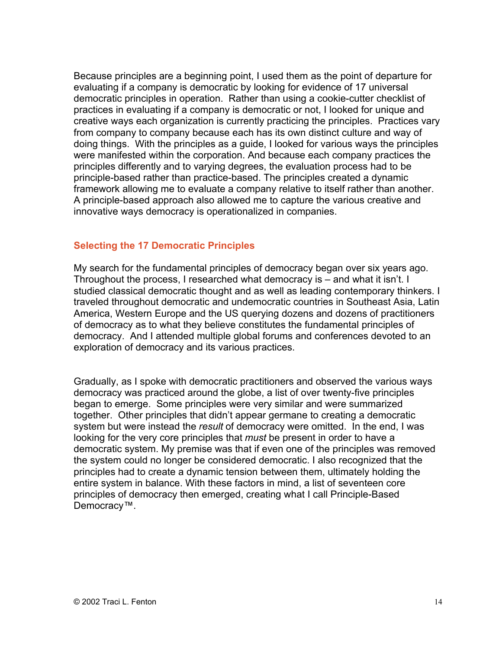Because principles are a beginning point, I used them as the point of departure for evaluating if a company is democratic by looking for evidence of 17 universal democratic principles in operation. Rather than using a cookie-cutter checklist of practices in evaluating if a company is democratic or not, I looked for unique and creative ways each organization is currently practicing the principles. Practices vary from company to company because each has its own distinct culture and way of doing things. With the principles as a guide, I looked for various ways the principles were manifested within the corporation. And because each company practices the principles differently and to varying degrees, the evaluation process had to be principle-based rather than practice-based. The principles created a dynamic framework allowing me to evaluate a company relative to itself rather than another. A principle-based approach also allowed me to capture the various creative and innovative ways democracy is operationalized in companies.

#### **Selecting the 17 Democratic Principles**

My search for the fundamental principles of democracy began over six years ago. Throughout the process, I researched what democracy is – and what it isn't. I studied classical democratic thought and as well as leading contemporary thinkers. I traveled throughout democratic and undemocratic countries in Southeast Asia, Latin America, Western Europe and the US querying dozens and dozens of practitioners of democracy as to what they believe constitutes the fundamental principles of democracy. And I attended multiple global forums and conferences devoted to an exploration of democracy and its various practices.

Gradually, as I spoke with democratic practitioners and observed the various ways democracy was practiced around the globe, a list of over twenty-five principles began to emerge. Some principles were very similar and were summarized together. Other principles that didn't appear germane to creating a democratic system but were instead the *result* of democracy were omitted. In the end, I was looking for the very core principles that *must* be present in order to have a democratic system. My premise was that if even one of the principles was removed the system could no longer be considered democratic. I also recognized that the principles had to create a dynamic tension between them, ultimately holding the entire system in balance. With these factors in mind, a list of seventeen core principles of democracy then emerged, creating what I call Principle-Based Democracy™.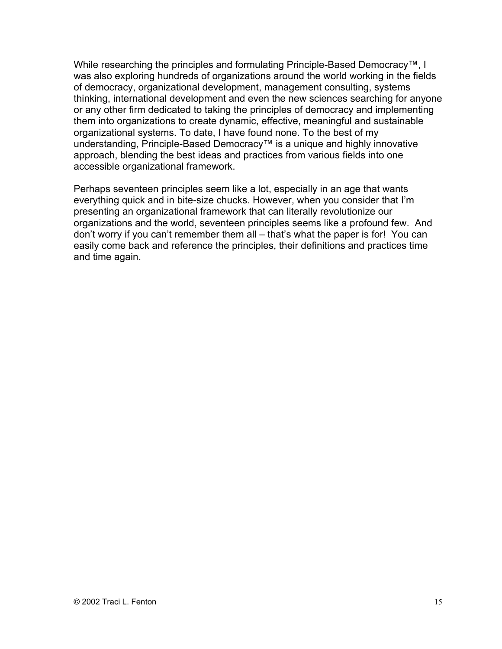While researching the principles and formulating Principle-Based Democracy™, I was also exploring hundreds of organizations around the world working in the fields of democracy, organizational development, management consulting, systems thinking, international development and even the new sciences searching for anyone or any other firm dedicated to taking the principles of democracy and implementing them into organizations to create dynamic, effective, meaningful and sustainable organizational systems. To date, I have found none. To the best of my understanding, Principle-Based Democracy™ is a unique and highly innovative approach, blending the best ideas and practices from various fields into one accessible organizational framework.

Perhaps seventeen principles seem like a lot, especially in an age that wants everything quick and in bite-size chucks. However, when you consider that I'm presenting an organizational framework that can literally revolutionize our organizations and the world, seventeen principles seems like a profound few. And don't worry if you can't remember them all – that's what the paper is for! You can easily come back and reference the principles, their definitions and practices time and time again.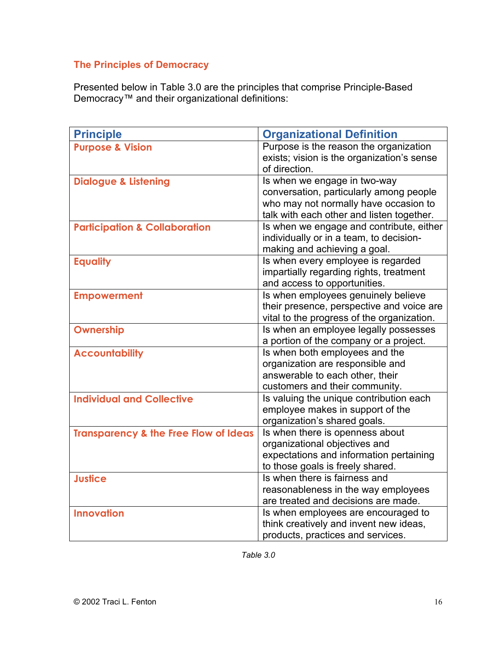### **The Principles of Democracy**

Presented below in Table 3.0 are the principles that comprise Principle-Based Democracy™ and their organizational definitions:

| <b>Principle</b>                                 | <b>Organizational Definition</b>                                                                                                                              |
|--------------------------------------------------|---------------------------------------------------------------------------------------------------------------------------------------------------------------|
| <b>Purpose &amp; Vision</b>                      | Purpose is the reason the organization<br>exists; vision is the organization's sense<br>of direction.                                                         |
| <b>Dialogue &amp; Listening</b>                  | Is when we engage in two-way<br>conversation, particularly among people<br>who may not normally have occasion to<br>talk with each other and listen together. |
| <b>Participation &amp; Collaboration</b>         | Is when we engage and contribute, either<br>individually or in a team, to decision-<br>making and achieving a goal.                                           |
| <b>Equality</b>                                  | Is when every employee is regarded<br>impartially regarding rights, treatment<br>and access to opportunities.                                                 |
| <b>Empowerment</b>                               | Is when employees genuinely believe<br>their presence, perspective and voice are<br>vital to the progress of the organization.                                |
| Ownership                                        | Is when an employee legally possesses<br>a portion of the company or a project.                                                                               |
| <b>Accountability</b>                            | Is when both employees and the<br>organization are responsible and<br>answerable to each other, their<br>customers and their community.                       |
| <b>Individual and Collective</b>                 | Is valuing the unique contribution each<br>employee makes in support of the<br>organization's shared goals.                                                   |
| <b>Transparency &amp; the Free Flow of Ideas</b> | Is when there is openness about<br>organizational objectives and<br>expectations and information pertaining<br>to those goals is freely shared.               |
| <b>Justice</b>                                   | Is when there is fairness and<br>reasonableness in the way employees<br>are treated and decisions are made.                                                   |
| <b>Innovation</b>                                | Is when employees are encouraged to<br>think creatively and invent new ideas,<br>products, practices and services.                                            |

*Table 3.0*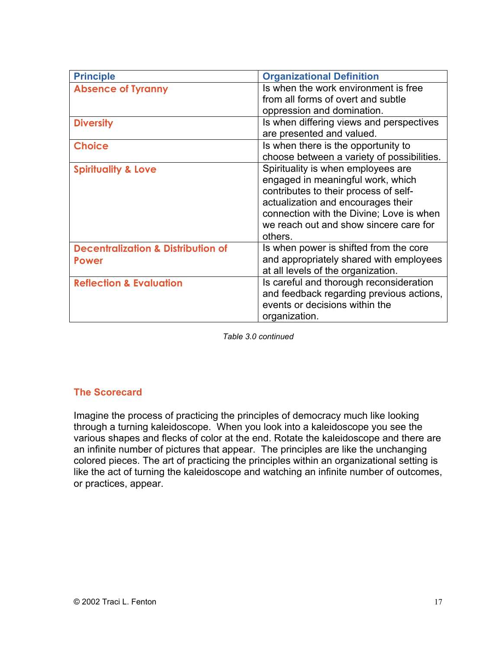| <b>Principle</b>                                              | <b>Organizational Definition</b>                                                                                                                                                                                                                        |
|---------------------------------------------------------------|---------------------------------------------------------------------------------------------------------------------------------------------------------------------------------------------------------------------------------------------------------|
| <b>Absence of Tyranny</b>                                     | Is when the work environment is free<br>from all forms of overt and subtle<br>oppression and domination.                                                                                                                                                |
| <b>Diversity</b>                                              | Is when differing views and perspectives<br>are presented and valued.                                                                                                                                                                                   |
| <b>Choice</b>                                                 | Is when there is the opportunity to<br>choose between a variety of possibilities.                                                                                                                                                                       |
| <b>Spirituality &amp; Love</b>                                | Spirituality is when employees are<br>engaged in meaningful work, which<br>contributes to their process of self-<br>actualization and encourages their<br>connection with the Divine; Love is when<br>we reach out and show sincere care for<br>others. |
| <b>Decentralization &amp; Distribution of</b><br><b>Power</b> | Is when power is shifted from the core<br>and appropriately shared with employees<br>at all levels of the organization.                                                                                                                                 |
| <b>Reflection &amp; Evaluation</b>                            | Is careful and thorough reconsideration<br>and feedback regarding previous actions,<br>events or decisions within the<br>organization.                                                                                                                  |

*Table 3.0 continued*

#### **The Scorecard**

Imagine the process of practicing the principles of democracy much like looking through a turning kaleidoscope. When you look into a kaleidoscope you see the various shapes and flecks of color at the end. Rotate the kaleidoscope and there are an infinite number of pictures that appear. The principles are like the unchanging colored pieces. The art of practicing the principles within an organizational setting is like the act of turning the kaleidoscope and watching an infinite number of outcomes, or practices, appear.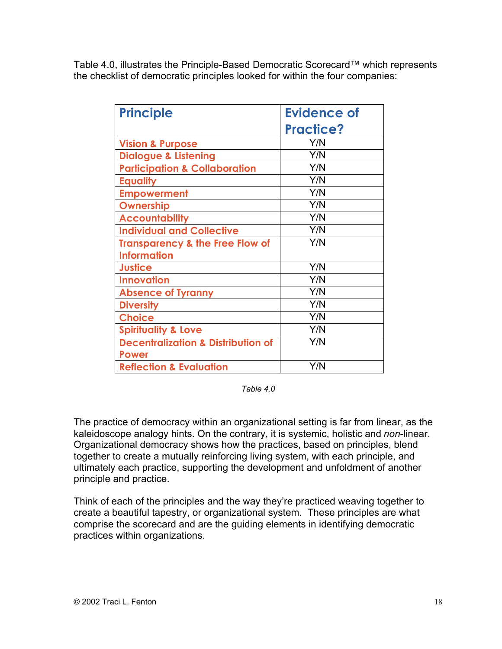Table 4.0, illustrates the Principle-Based Democratic Scorecard™ which represents the checklist of democratic principles looked for within the four companies:

| <b>Principle</b>                              | Evidence of      |
|-----------------------------------------------|------------------|
|                                               | <b>Practice?</b> |
| <b>Vision &amp; Purpose</b>                   | Y/N              |
| <b>Dialogue &amp; Listening</b>               | Y/N              |
| <b>Participation &amp; Collaboration</b>      | Y/N              |
| <b>Equality</b>                               | Y/N              |
| <b>Empowerment</b>                            | Y/N              |
| <b>Ownership</b>                              | Y/N              |
| <b>Accountability</b>                         | Y/N              |
| <b>Individual and Collective</b>              | Y/N              |
| <b>Transparency &amp; the Free Flow of</b>    | Y/N              |
| <b>Information</b>                            |                  |
| <b>Justice</b>                                | Y/N              |
| <b>Innovation</b>                             | Y/N              |
| <b>Absence of Tyranny</b>                     | Y/N              |
| <b>Diversity</b>                              | Y/N              |
| <b>Choice</b>                                 | Y/N              |
| <b>Spirituality &amp; Love</b>                | Y/N              |
| <b>Decentralization &amp; Distribution of</b> | Y/N              |
| <b>Power</b>                                  |                  |
| <b>Reflection &amp; Evaluation</b>            | Y/N              |

*Table 4.0*

The practice of democracy within an organizational setting is far from linear, as the kaleidoscope analogy hints. On the contrary, it is systemic, holistic and *non*-linear. Organizational democracy shows how the practices, based on principles, blend together to create a mutually reinforcing living system, with each principle, and ultimately each practice, supporting the development and unfoldment of another principle and practice.

Think of each of the principles and the way they're practiced weaving together to create a beautiful tapestry, or organizational system. These principles are what comprise the scorecard and are the guiding elements in identifying democratic practices within organizations.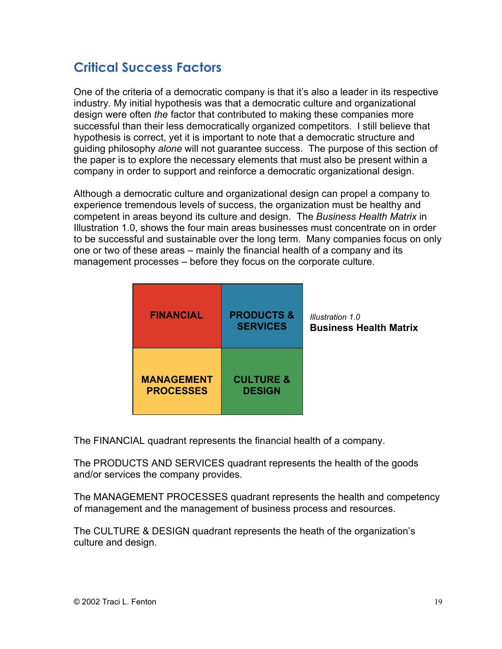## **Critical Success Factors**

One of the criteria of a democratic company is that it's also a leader in its respective industry. My initial hypothesis was that a democratic culture and organizational design were often *the* factor that contributed to making these companies more successful than their less democratically organized competitors. I still believe that hypothesis is correct, yet it is important to note that a democratic structure and guiding philosophy *alone* will not guarantee success. The purpose of this section of the paper is to explore the necessary elements that must also be present within a company in order to support and reinforce a democratic organizational design.

Although a democratic culture and organizational design can propel a company to experience tremendous levels of success, the organization must be healthy and competent in areas beyond its culture and design. The *Business Health Matrix* in Illustration 1.0, shows the four main areas businesses must concentrate on in order to be successful and sustainable over the long term. Many companies focus on only one or two of these areas – mainly the financial health of a company and its management processes – before they focus on the corporate culture.

| <b>FINANCIAL</b>                      | <b>PRODUCTS &amp;</b><br><b>SERVICES</b> | Illustration 1.0<br><b>Business Health Matrix</b> |
|---------------------------------------|------------------------------------------|---------------------------------------------------|
| <b>MANAGEMENT</b><br><b>PROCESSES</b> | <b>CULTURE &amp;</b><br><b>DESIGN</b>    |                                                   |

The FINANCIAL quadrant represents the financial health of a company.

The PRODUCTS AND SERVICES quadrant represents the health of the goods and/or services the company provides.

The MANAGEMENT PROCESSES quadrant represents the health and competency of management and the management of business process and resources.

The CULTURE & DESIGN quadrant represents the heath of the organization's culture and design.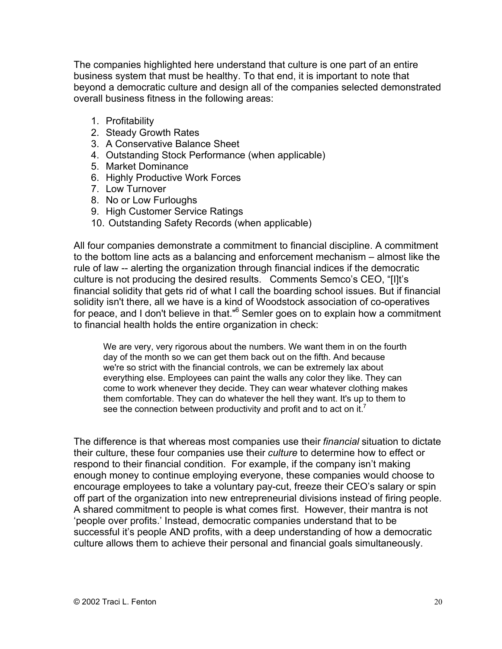The companies highlighted here understand that culture is one part of an entire business system that must be healthy. To that end, it is important to note that beyond a democratic culture and design all of the companies selected demonstrated overall business fitness in the following areas:

- 1. Profitability
- 2. Steady Growth Rates
- 3. A Conservative Balance Sheet
- 4. Outstanding Stock Performance (when applicable)
- 5. Market Dominance
- 6. Highly Productive Work Forces
- 7. Low Turnover
- 8. No or Low Furloughs
- 9. High Customer Service Ratings
- 10. Outstanding Safety Records (when applicable)

All four companies demonstrate a commitment to financial discipline. A commitment to the bottom line acts as a balancing and enforcement mechanism – almost like the rule of law -- alerting the organization through financial indices if the democratic culture is not producing the desired results. Comments Semco's CEO, "[I]t's financial solidity that gets rid of what I call the boarding school issues. But if financial solidity isn't there, all we have is a kind of Woodstock association of co-operatives for peace, and I don't believe in that."<sup>6</sup> Semler goes on to explain how a commitment to financial health holds the entire organization in check:

We are very, very rigorous about the numbers. We want them in on the fourth day of the month so we can get them back out on the fifth. And because we're so strict with the financial controls, we can be extremely lax about everything else. Employees can paint the walls any color they like. They can come to work whenever they decide. They can wear whatever clothing makes them comfortable. They can do whatever the hell they want. It's up to them to see the connection between productivity and profit and to act on it.<sup>7</sup>

The difference is that whereas most companies use their *financial* situation to dictate their culture, these four companies use their *culture* to determine how to effect or respond to their financial condition. For example, if the company isn't making enough money to continue employing everyone, these companies would choose to encourage employees to take a voluntary pay-cut, freeze their CEO's salary or spin off part of the organization into new entrepreneurial divisions instead of firing people. A shared commitment to people is what comes first. However, their mantra is not 'people over profits.' Instead, democratic companies understand that to be successful it's people AND profits, with a deep understanding of how a democratic culture allows them to achieve their personal and financial goals simultaneously.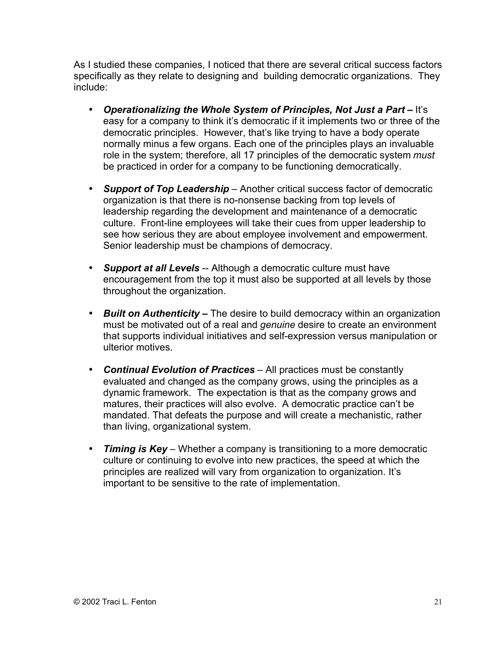As I studied these companies, I noticed that there are several critical success factors specifically as they relate to designing and building democratic organizations. They include:

**Operationalizing the Whole System of Principles, Not Just a Part – It's** easy for a company to think it's democratic if it implements two or three of the democratic principles. However, that's like trying to have a body operate normally minus a few organs. Each one of the principles plays an invaluable role in the system; therefore, all 17 principles of the democratic system *must* be practiced in order for a company to be functioning democratically.

*Support of Top Leadership* – Another critical success factor of democratic organization is that there is no-nonsense backing from top levels of leadership regarding the development and maintenance of a democratic culture. Front-line employees will take their cues from upper leadership to see how serious they are about employee involvement and empowerment. Senior leadership must be champions of democracy.

**Support at all Levels** -- Although a democratic culture must have encouragement from the top it must also be supported at all levels by those throughout the organization.

*Built on Authenticity –* The desire to build democracy within an organization must be motivated out of a real and *genuine* desire to create an environment that supports individual initiatives and self-expression versus manipulation or ulterior motives.

*Continual Evolution of Practices* – All practices must be constantly evaluated and changed as the company grows, using the principles as a dynamic framework. The expectation is that as the company grows and matures, their practices will also evolve. A democratic practice can't be mandated. That defeats the purpose and will create a mechanistic, rather than living, organizational system.

*Timing is Key* – Whether a company is transitioning to a more democratic culture or continuing to evolve into new practices, the speed at which the principles are realized will vary from organization to organization. It's important to be sensitive to the rate of implementation.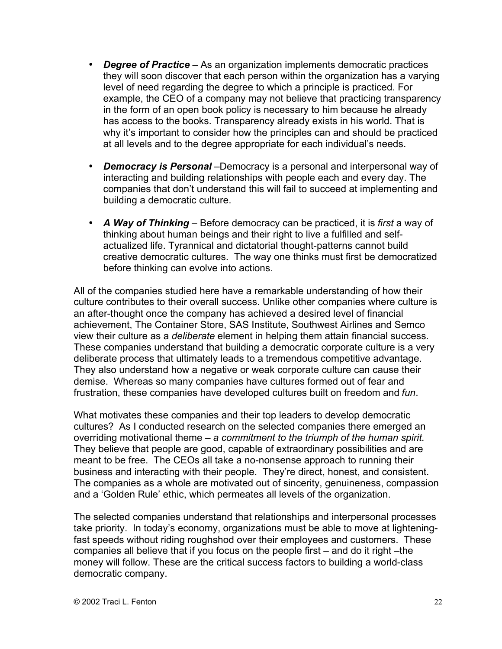*Degree of Practice* – As an organization implements democratic practices they will soon discover that each person within the organization has a varying level of need regarding the degree to which a principle is practiced. For example, the CEO of a company may not believe that practicing transparency in the form of an open book policy is necessary to him because he already has access to the books. Transparency already exists in his world. That is why it's important to consider how the principles can and should be practiced at all levels and to the degree appropriate for each individual's needs.

*Democracy is Personal* –Democracy is a personal and interpersonal way of interacting and building relationships with people each and every day. The companies that don't understand this will fail to succeed at implementing and building a democratic culture.

*A Way of Thinking* – Before democracy can be practiced, it is *first* a way of thinking about human beings and their right to live a fulfilled and selfactualized life. Tyrannical and dictatorial thought-patterns cannot build creative democratic cultures. The way one thinks must first be democratized before thinking can evolve into actions.

All of the companies studied here have a remarkable understanding of how their culture contributes to their overall success. Unlike other companies where culture is an after-thought once the company has achieved a desired level of financial achievement, The Container Store, SAS Institute, Southwest Airlines and Semco view their culture as a *deliberate* element in helping them attain financial success. These companies understand that building a democratic corporate culture is a very deliberate process that ultimately leads to a tremendous competitive advantage. They also understand how a negative or weak corporate culture can cause their demise. Whereas so many companies have cultures formed out of fear and frustration, these companies have developed cultures built on freedom and *fun*.

What motivates these companies and their top leaders to develop democratic cultures? As I conducted research on the selected companies there emerged an overriding motivational theme – *a commitment to the triumph of the human spirit*. They believe that people are good, capable of extraordinary possibilities and are meant to be free. The CEOs all take a no-nonsense approach to running their business and interacting with their people. They're direct, honest, and consistent. The companies as a whole are motivated out of sincerity, genuineness, compassion and a 'Golden Rule' ethic, which permeates all levels of the organization.

The selected companies understand that relationships and interpersonal processes take priority. In today's economy, organizations must be able to move at lighteningfast speeds without riding roughshod over their employees and customers. These companies all believe that if you focus on the people first – and do it right –the money will follow. These are the critical success factors to building a world-class democratic company.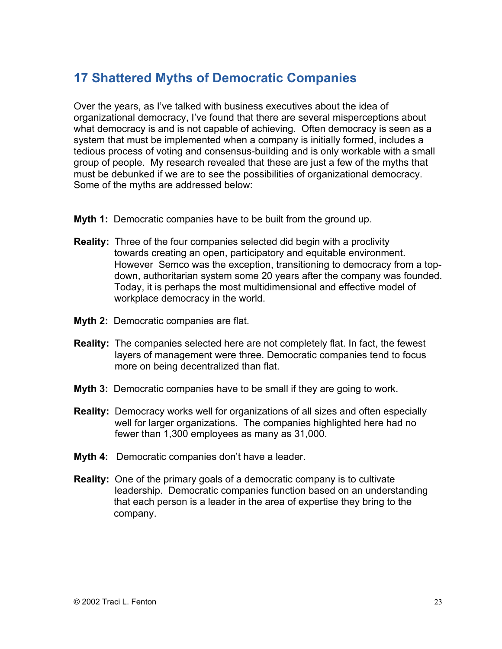### **17 Shattered Myths of Democratic Companies**

Over the years, as I've talked with business executives about the idea of organizational democracy, I've found that there are several misperceptions about what democracy is and is not capable of achieving. Often democracy is seen as a system that must be implemented when a company is initially formed, includes a tedious process of voting and consensus-building and is only workable with a small group of people. My research revealed that these are just a few of the myths that must be debunked if we are to see the possibilities of organizational democracy. Some of the myths are addressed below:

- **Myth 1:** Democratic companies have to be built from the ground up.
- **Reality:** Three of the four companies selected did begin with a proclivity towards creating an open, participatory and equitable environment. However Semco was the exception, transitioning to democracy from a topdown, authoritarian system some 20 years after the company was founded. Today, it is perhaps the most multidimensional and effective model of workplace democracy in the world.
- **Myth 2:** Democratic companies are flat.
- **Reality:** The companies selected here are not completely flat. In fact, the fewest layers of management were three. Democratic companies tend to focus more on being decentralized than flat.
- **Myth 3:** Democratic companies have to be small if they are going to work.
- **Reality:** Democracy works well for organizations of all sizes and often especially well for larger organizations. The companies highlighted here had no fewer than 1,300 employees as many as 31,000.
- **Myth 4:** Democratic companies don't have a leader.
- **Reality:** One of the primary goals of a democratic company is to cultivate leadership. Democratic companies function based on an understanding that each person is a leader in the area of expertise they bring to the company.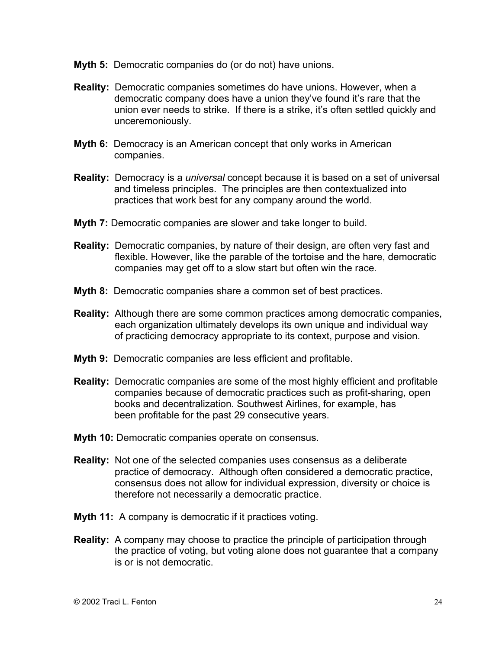- **Myth 5:** Democratic companies do (or do not) have unions.
- **Reality:** Democratic companies sometimes do have unions. However, when a democratic company does have a union they've found it's rare that the union ever needs to strike. If there is a strike, it's often settled quickly and unceremoniously.
- **Myth 6:** Democracy is an American concept that only works in American companies.
- **Reality:** Democracy is a *universal* concept because it is based on a set of universal and timeless principles. The principles are then contextualized into practices that work best for any company around the world.
- **Myth 7:** Democratic companies are slower and take longer to build.
- **Reality:** Democratic companies, by nature of their design, are often very fast and flexible. However, like the parable of the tortoise and the hare, democratic companies may get off to a slow start but often win the race.
- **Myth 8:** Democratic companies share a common set of best practices.
- **Reality:** Although there are some common practices among democratic companies, each organization ultimately develops its own unique and individual way of practicing democracy appropriate to its context, purpose and vision.
- **Myth 9:** Democratic companies are less efficient and profitable.
- **Reality:** Democratic companies are some of the most highly efficient and profitable companies because of democratic practices such as profit-sharing, open books and decentralization. Southwest Airlines, for example, has been profitable for the past 29 consecutive years.
- **Myth 10:** Democratic companies operate on consensus.
- **Reality:** Not one of the selected companies uses consensus as a deliberate practice of democracy. Although often considered a democratic practice, consensus does not allow for individual expression, diversity or choice is therefore not necessarily a democratic practice.
- **Myth 11:** A company is democratic if it practices voting.
- **Reality:** A company may choose to practice the principle of participation through the practice of voting, but voting alone does not guarantee that a company is or is not democratic.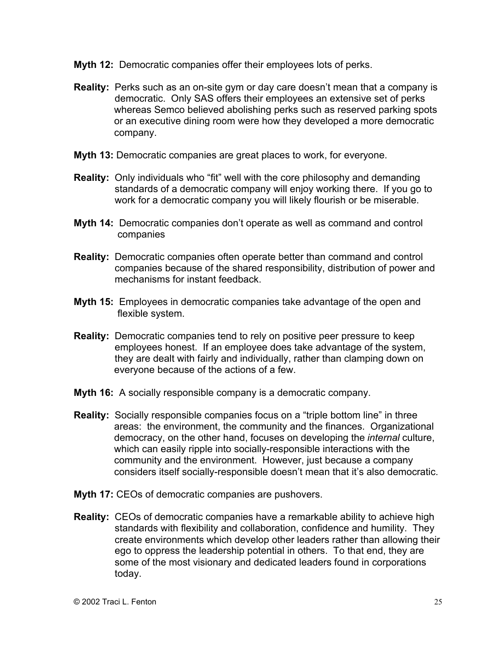- **Myth 12:** Democratic companies offer their employees lots of perks.
- **Reality:** Perks such as an on-site gym or day care doesn't mean that a company is democratic. Only SAS offers their employees an extensive set of perks whereas Semco believed abolishing perks such as reserved parking spots or an executive dining room were how they developed a more democratic company.
- **Myth 13:** Democratic companies are great places to work, for everyone.
- **Reality:** Only individuals who "fit" well with the core philosophy and demanding standards of a democratic company will enjoy working there. If you go to work for a democratic company you will likely flourish or be miserable.
- **Myth 14:** Democratic companies don't operate as well as command and control companies
- **Reality:** Democratic companies often operate better than command and control companies because of the shared responsibility, distribution of power and mechanisms for instant feedback.
- **Myth 15:** Employees in democratic companies take advantage of the open and flexible system.
- **Reality:** Democratic companies tend to rely on positive peer pressure to keep employees honest. If an employee does take advantage of the system, they are dealt with fairly and individually, rather than clamping down on everyone because of the actions of a few.
- **Myth 16:** A socially responsible company is a democratic company.
- **Reality:** Socially responsible companies focus on a "triple bottom line" in three areas: the environment, the community and the finances. Organizational democracy, on the other hand, focuses on developing the *internal* culture, which can easily ripple into socially-responsible interactions with the community and the environment. However, just because a company considers itself socially-responsible doesn't mean that it's also democratic.
- **Myth 17:** CEOs of democratic companies are pushovers.
- **Reality:** CEOs of democratic companies have a remarkable ability to achieve high standards with flexibility and collaboration, confidence and humility. They create environments which develop other leaders rather than allowing their ego to oppress the leadership potential in others. To that end, they are some of the most visionary and dedicated leaders found in corporations today.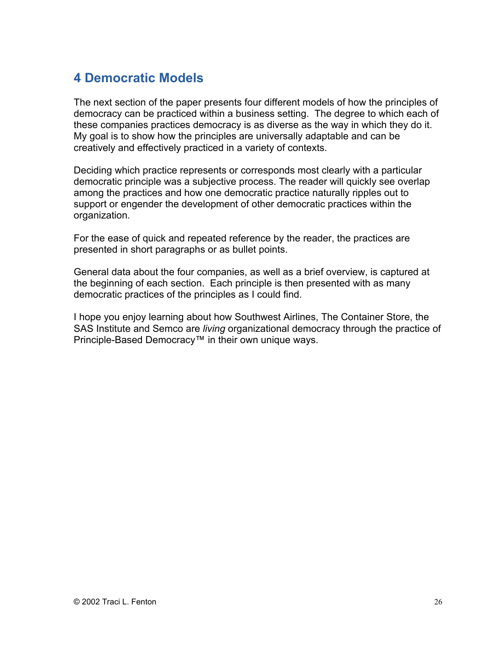## **4 Democratic Models**

The next section of the paper presents four different models of how the principles of democracy can be practiced within a business setting. The degree to which each of these companies practices democracy is as diverse as the way in which they do it. My goal is to show how the principles are universally adaptable and can be creatively and effectively practiced in a variety of contexts.

Deciding which practice represents or corresponds most clearly with a particular democratic principle was a subjective process. The reader will quickly see overlap among the practices and how one democratic practice naturally ripples out to support or engender the development of other democratic practices within the organization.

For the ease of quick and repeated reference by the reader, the practices are presented in short paragraphs or as bullet points.

General data about the four companies, as well as a brief overview, is captured at the beginning of each section. Each principle is then presented with as many democratic practices of the principles as I could find.

I hope you enjoy learning about how Southwest Airlines, The Container Store, the SAS Institute and Semco are *living* organizational democracy through the practice of Principle-Based Democracy™ in their own unique ways.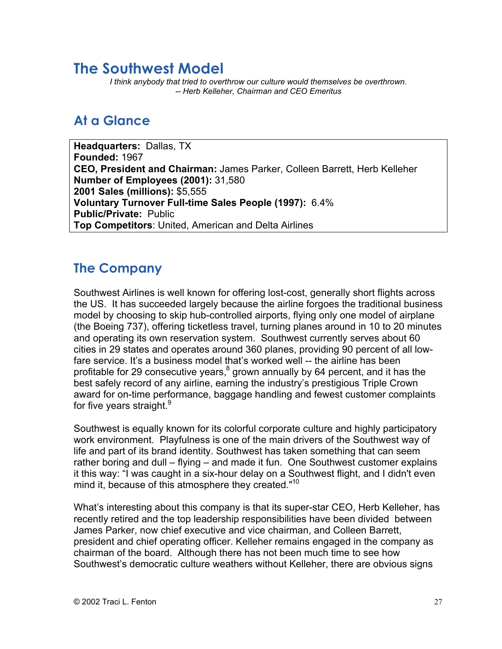### **The Southwest Model**

*I think anybody that tried to overthrow our culture would themselves be overthrown. -- Herb Kelleher, Chairman and CEO Emeritus*

### **At a Glance**

**Headquarters:** Dallas, TX **Founded:** 1967 **CEO, President and Chairman:** James Parker, Colleen Barrett, Herb Kelleher **Number of Employees (2001):** 31,580 **2001 Sales (millions):** \$5,555 **Voluntary Turnover Full-time Sales People (1997):** 6.4% **Public/Private:** Public **Top Competitors**: United, American and Delta Airlines

### **The Company**

Southwest Airlines is well known for offering lost-cost, generally short flights across the US. It has succeeded largely because the airline forgoes the traditional business model by choosing to skip hub-controlled airports, flying only one model of airplane (the Boeing 737), offering ticketless travel, turning planes around in 10 to 20 minutes and operating its own reservation system. Southwest currently serves about 60 cities in 29 states and operates around 360 planes, providing 90 percent of all lowfare service. It's a business model that's worked well -- the airline has been profitable for 29 consecutive years, $^8$  grown annually by 64 percent, and it has the best safely record of any airline, earning the industry's prestigious Triple Crown award for on-time performance, baggage handling and fewest customer complaints for five years straight.<sup>9</sup>

Southwest is equally known for its colorful corporate culture and highly participatory work environment. Playfulness is one of the main drivers of the Southwest way of life and part of its brand identity. Southwest has taken something that can seem rather boring and dull – flying – and made it fun. One Southwest customer explains it this way: "I was caught in a six-hour delay on a Southwest flight, and I didn't even mind it, because of this atmosphere they created."<sup>10</sup>

What's interesting about this company is that its super-star CEO, Herb Kelleher, has recently retired and the top leadership responsibilities have been divided between James Parker, now chief executive and vice chairman, and Colleen Barrett, president and chief operating officer. Kelleher remains engaged in the company as chairman of the board. Although there has not been much time to see how Southwest's democratic culture weathers without Kelleher, there are obvious signs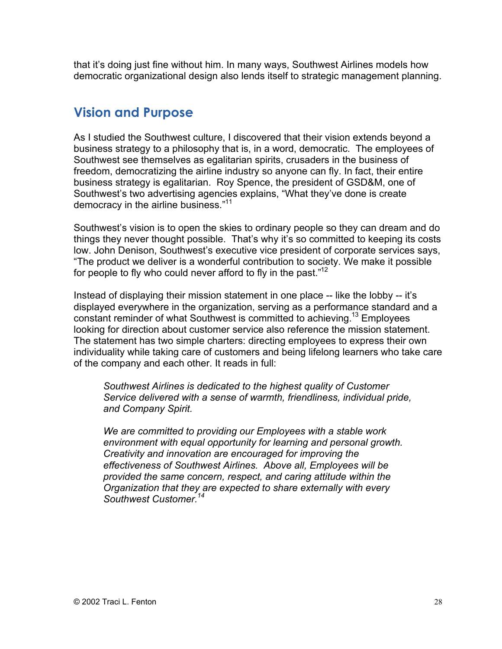that it's doing just fine without him. In many ways, Southwest Airlines models how democratic organizational design also lends itself to strategic management planning.

### **Vision and Purpose**

As I studied the Southwest culture, I discovered that their vision extends beyond a business strategy to a philosophy that is, in a word, democratic. The employees of Southwest see themselves as egalitarian spirits, crusaders in the business of freedom, democratizing the airline industry so anyone can fly. In fact, their entire business strategy is egalitarian. Roy Spence, the president of GSD&M, one of Southwest's two advertising agencies explains, "What they've done is create democracy in the airline business."11

Southwest's vision is to open the skies to ordinary people so they can dream and do things they never thought possible. That's why it's so committed to keeping its costs low. John Denison, Southwest's executive vice president of corporate services says, "The product we deliver is a wonderful contribution to society. We make it possible for people to fly who could never afford to fly in the past."<sup>12</sup>

Instead of displaying their mission statement in one place -- like the lobby -- it's displayed everywhere in the organization, serving as a performance standard and a constant reminder of what Southwest is committed to achieving.<sup>13</sup> Employees looking for direction about customer service also reference the mission statement. The statement has two simple charters: directing employees to express their own individuality while taking care of customers and being lifelong learners who take care of the company and each other. It reads in full:

*Southwest Airlines is dedicated to the highest quality of Customer Service delivered with a sense of warmth, friendliness, individual pride, and Company Spirit.*

*We are committed to providing our Employees with a stable work environment with equal opportunity for learning and personal growth. Creativity and innovation are encouraged for improving the effectiveness of Southwest Airlines. Above all, Employees will be provided the same concern, respect, and caring attitude within the Organization that they are expected to share externally with every Southwest Customer.14*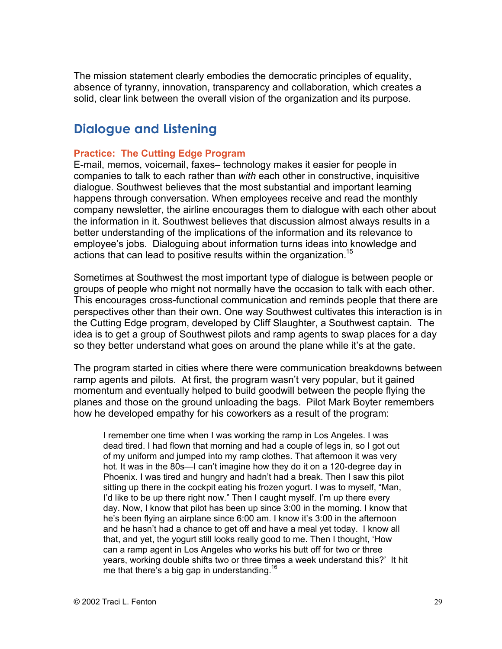The mission statement clearly embodies the democratic principles of equality, absence of tyranny, innovation, transparency and collaboration, which creates a solid, clear link between the overall vision of the organization and its purpose.

### **Dialogue and Listening**

#### **Practice: The Cutting Edge Program**

E-mail, memos, voicemail, faxes– technology makes it easier for people in companies to talk to each rather than *with* each other in constructive, inquisitive dialogue. Southwest believes that the most substantial and important learning happens through conversation. When employees receive and read the monthly company newsletter, the airline encourages them to dialogue with each other about the information in it. Southwest believes that discussion almost always results in a better understanding of the implications of the information and its relevance to employee's jobs. Dialoguing about information turns ideas into knowledge and actions that can lead to positive results within the organization.<sup>15</sup>

Sometimes at Southwest the most important type of dialogue is between people or groups of people who might not normally have the occasion to talk with each other. This encourages cross-functional communication and reminds people that there are perspectives other than their own. One way Southwest cultivates this interaction is in the Cutting Edge program, developed by Cliff Slaughter, a Southwest captain. The idea is to get a group of Southwest pilots and ramp agents to swap places for a day so they better understand what goes on around the plane while it's at the gate.

The program started in cities where there were communication breakdowns between ramp agents and pilots. At first, the program wasn't very popular, but it gained momentum and eventually helped to build goodwill between the people flying the planes and those on the ground unloading the bags. Pilot Mark Boyter remembers how he developed empathy for his coworkers as a result of the program:

I remember one time when I was working the ramp in Los Angeles. I was dead tired. I had flown that morning and had a couple of legs in, so I got out of my uniform and jumped into my ramp clothes. That afternoon it was very hot. It was in the 80s—I can't imagine how they do it on a 120-degree day in Phoenix. I was tired and hungry and hadn't had a break. Then I saw this pilot sitting up there in the cockpit eating his frozen yogurt. I was to myself, "Man, I'd like to be up there right now." Then I caught myself. I'm up there every day. Now, I know that pilot has been up since 3:00 in the morning. I know that he's been flying an airplane since 6:00 am. I know it's 3:00 in the afternoon and he hasn't had a chance to get off and have a meal yet today. I know all that, and yet, the yogurt still looks really good to me. Then I thought, 'How can a ramp agent in Los Angeles who works his butt off for two or three years, working double shifts two or three times a week understand this?' It hit me that there's a big gap in understanding.<sup>16</sup>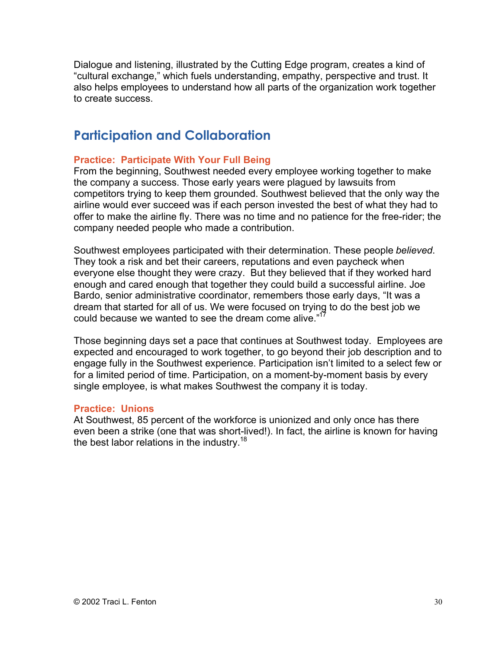Dialogue and listening, illustrated by the Cutting Edge program, creates a kind of "cultural exchange," which fuels understanding, empathy, perspective and trust. It also helps employees to understand how all parts of the organization work together to create success.

### **Participation and Collaboration**

#### **Practice: Participate With Your Full Being**

From the beginning, Southwest needed every employee working together to make the company a success. Those early years were plagued by lawsuits from competitors trying to keep them grounded. Southwest believed that the only way the airline would ever succeed was if each person invested the best of what they had to offer to make the airline fly. There was no time and no patience for the free-rider; the company needed people who made a contribution.

Southwest employees participated with their determination. These people *believed*. They took a risk and bet their careers, reputations and even paycheck when everyone else thought they were crazy. But they believed that if they worked hard enough and cared enough that together they could build a successful airline. Joe Bardo, senior administrative coordinator, remembers those early days, "It was a dream that started for all of us. We were focused on trying to do the best job we could because we wanted to see the dream come alive."<sup>17</sup>

Those beginning days set a pace that continues at Southwest today. Employees are expected and encouraged to work together, to go beyond their job description and to engage fully in the Southwest experience. Participation isn't limited to a select few or for a limited period of time. Participation, on a moment-by-moment basis by every single employee, is what makes Southwest the company it is today.

#### **Practice: Unions**

At Southwest, 85 percent of the workforce is unionized and only once has there even been a strike (one that was short-lived!). In fact, the airline is known for having the best labor relations in the industry.<sup>18</sup>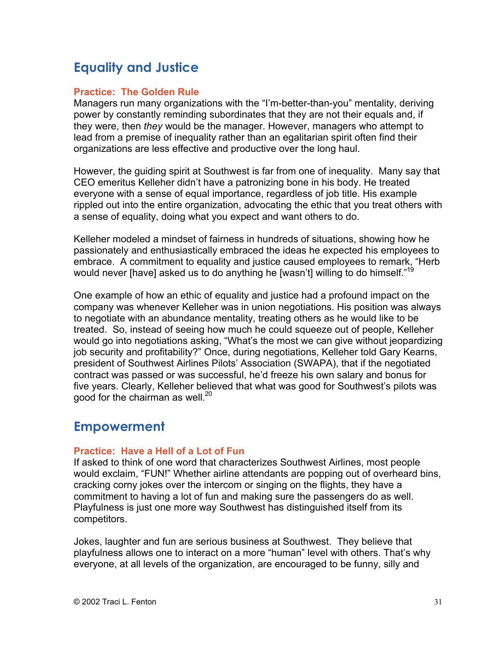### **Equality and Justice**

#### **Practice: The Golden Rule**

Managers run many organizations with the "I'm-better-than-you" mentality, deriving power by constantly reminding subordinates that they are not their equals and, if they were, then *they* would be the manager. However, managers who attempt to lead from a premise of inequality rather than an egalitarian spirit often find their organizations are less effective and productive over the long haul.

However, the guiding spirit at Southwest is far from one of inequality. Many say that CEO emeritus Kelleher didn't have a patronizing bone in his body. He treated everyone with a sense of equal importance, regardless of job title. His example rippled out into the entire organization, advocating the ethic that you treat others with a sense of equality, doing what you expect and want others to do.

Kelleher modeled a mindset of fairness in hundreds of situations, showing how he passionately and enthusiastically embraced the ideas he expected his employees to embrace. A commitment to equality and justice caused employees to remark, "Herb would never [have] asked us to do anything he [wasn't] willing to do himself."<sup>19</sup>

One example of how an ethic of equality and justice had a profound impact on the company was whenever Kelleher was in union negotiations. His position was always to negotiate with an abundance mentality, treating others as he would like to be treated. So, instead of seeing how much he could squeeze out of people, Kelleher would go into negotiations asking, "What's the most we can give without jeopardizing job security and profitability?" Once, during negotiations, Kelleher told Gary Kearns, president of Southwest Airlines Pilots' Association (SWAPA), that if the negotiated contract was passed or was successful, he'd freeze his own salary and bonus for five years. Clearly, Kelleher believed that what was good for Southwest's pilots was good for the chairman as well. $^{20}$ 

### **Empowerment**

#### **Practice: Have a Hell of a Lot of Fun**

If asked to think of one word that characterizes Southwest Airlines, most people would exclaim, "FUN!" Whether airline attendants are popping out of overheard bins, cracking corny jokes over the intercom or singing on the flights, they have a commitment to having a lot of fun and making sure the passengers do as well. Playfulness is just one more way Southwest has distinguished itself from its competitors.

Jokes, laughter and fun are serious business at Southwest. They believe that playfulness allows one to interact on a more "human" level with others. That's why everyone, at all levels of the organization, are encouraged to be funny, silly and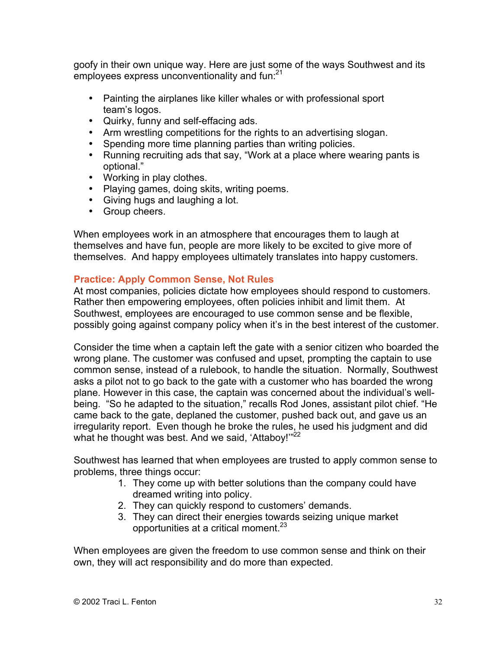goofy in their own unique way. Here are just some of the ways Southwest and its employees express unconventionality and fun:<sup>21</sup>

Painting the airplanes like killer whales or with professional sport team's logos. Quirky, funny and self-effacing ads. Arm wrestling competitions for the rights to an advertising slogan. Spending more time planning parties than writing policies. Running recruiting ads that say, "Work at a place where wearing pants is optional." Working in play clothes. Playing games, doing skits, writing poems. Giving hugs and laughing a lot. Group cheers.

When employees work in an atmosphere that encourages them to laugh at themselves and have fun, people are more likely to be excited to give more of themselves. And happy employees ultimately translates into happy customers.

#### **Practice: Apply Common Sense, Not Rules**

At most companies, policies dictate how employees should respond to customers. Rather then empowering employees, often policies inhibit and limit them. At Southwest, employees are encouraged to use common sense and be flexible, possibly going against company policy when it's in the best interest of the customer.

Consider the time when a captain left the gate with a senior citizen who boarded the wrong plane. The customer was confused and upset, prompting the captain to use common sense, instead of a rulebook, to handle the situation. Normally, Southwest asks a pilot not to go back to the gate with a customer who has boarded the wrong plane. However in this case, the captain was concerned about the individual's wellbeing. "So he adapted to the situation," recalls Rod Jones, assistant pilot chief. "He came back to the gate, deplaned the customer, pushed back out, and gave us an irregularity report. Even though he broke the rules, he used his judgment and did what he thought was best. And we said, 'Attaboy!"<sup>22</sup>

Southwest has learned that when employees are trusted to apply common sense to problems, three things occur:

- 1. They come up with better solutions than the company could have dreamed writing into policy.
- 2. They can quickly respond to customers' demands.
- 3. They can direct their energies towards seizing unique market opportunities at a critical moment.<sup>23</sup>

When employees are given the freedom to use common sense and think on their own, they will act responsibility and do more than expected.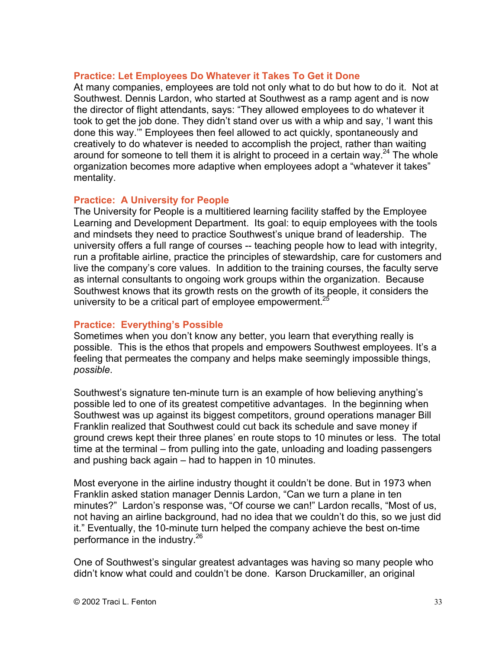#### **Practice: Let Employees Do Whatever it Takes To Get it Done**

At many companies, employees are told not only what to do but how to do it. Not at Southwest. Dennis Lardon, who started at Southwest as a ramp agent and is now the director of flight attendants, says: "They allowed employees to do whatever it took to get the job done. They didn't stand over us with a whip and say, 'I want this done this way.'" Employees then feel allowed to act quickly, spontaneously and creatively to do whatever is needed to accomplish the project, rather than waiting around for someone to tell them it is alright to proceed in a certain way.<sup>24</sup> The whole organization becomes more adaptive when employees adopt a "whatever it takes" mentality.

#### **Practice: A University for People**

The University for People is a multitiered learning facility staffed by the Employee Learning and Development Department. Its goal: to equip employees with the tools and mindsets they need to practice Southwest's unique brand of leadership. The university offers a full range of courses -- teaching people how to lead with integrity, run a profitable airline, practice the principles of stewardship, care for customers and live the company's core values. In addition to the training courses, the faculty serve as internal consultants to ongoing work groups within the organization. Because Southwest knows that its growth rests on the growth of its people, it considers the university to be a critical part of employee empowerment.<sup>25</sup>

#### **Practice: Everything's Possible**

Sometimes when you don't know any better, you learn that everything really is possible. This is the ethos that propels and empowers Southwest employees. It's a feeling that permeates the company and helps make seemingly impossible things, *possible*.

Southwest's signature ten-minute turn is an example of how believing anything's possible led to one of its greatest competitive advantages. In the beginning when Southwest was up against its biggest competitors, ground operations manager Bill Franklin realized that Southwest could cut back its schedule and save money if ground crews kept their three planes' en route stops to 10 minutes or less. The total time at the terminal – from pulling into the gate, unloading and loading passengers and pushing back again – had to happen in 10 minutes.

Most everyone in the airline industry thought it couldn't be done. But in 1973 when Franklin asked station manager Dennis Lardon, "Can we turn a plane in ten minutes?" Lardon's response was, "Of course we can!" Lardon recalls, "Most of us, not having an airline background, had no idea that we couldn't do this, so we just did it." Eventually, the 10-minute turn helped the company achieve the best on-time performance in the industry.<sup>26</sup>

One of Southwest's singular greatest advantages was having so many people who didn't know what could and couldn't be done. Karson Druckamiller, an original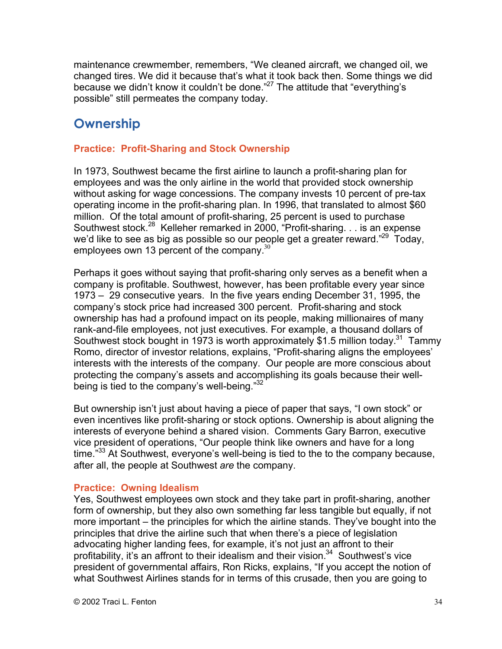maintenance crewmember, remembers, "We cleaned aircraft, we changed oil, we changed tires. We did it because that's what it took back then. Some things we did because we didn't know it couldn't be done."<sup>27</sup> The attitude that "everything's possible" still permeates the company today.

### **Ownership**

#### **Practice: Profit-Sharing and Stock Ownership**

In 1973, Southwest became the first airline to launch a profit-sharing plan for employees and was the only airline in the world that provided stock ownership without asking for wage concessions. The company invests 10 percent of pre-tax operating income in the profit-sharing plan. In 1996, that translated to almost \$60 million. Of the total amount of profit-sharing, 25 percent is used to purchase Southwest stock.<sup>28</sup> Kelleher remarked in 2000, "Profit-sharing. . . is an expense we'd like to see as big as possible so our people get a greater reward."<sup>29</sup> Today, employees own 13 percent of the company.<sup>30</sup>

Perhaps it goes without saying that profit-sharing only serves as a benefit when a company is profitable. Southwest, however, has been profitable every year since 1973 – 29 consecutive years. In the five years ending December 31, 1995, the company's stock price had increased 300 percent. Profit-sharing and stock ownership has had a profound impact on its people, making millionaires of many rank-and-file employees, not just executives. For example, a thousand dollars of Southwest stock bought in 1973 is worth approximately \$1.5 million today.<sup>31</sup> Tammy Romo, director of investor relations, explains, "Profit-sharing aligns the employees' interests with the interests of the company. Our people are more conscious about protecting the company's assets and accomplishing its goals because their wellbeing is tied to the company's well-being."32

But ownership isn't just about having a piece of paper that says, "I own stock" or even incentives like profit-sharing or stock options. Ownership is about aligning the interests of everyone behind a shared vision. Comments Gary Barron, executive vice president of operations, "Our people think like owners and have for a long time."<sup>33</sup> At Southwest, everyone's well-being is tied to the to the company because, after all, the people at Southwest *are* the company.

#### **Practice: Owning Idealism**

Yes, Southwest employees own stock and they take part in profit-sharing, another form of ownership, but they also own something far less tangible but equally, if not more important – the principles for which the airline stands. They've bought into the principles that drive the airline such that when there's a piece of legislation advocating higher landing fees, for example, it's not just an affront to their profitability, it's an affront to their idealism and their vision.<sup>34</sup> Southwest's vice president of governmental affairs, Ron Ricks, explains, "If you accept the notion of what Southwest Airlines stands for in terms of this crusade, then you are going to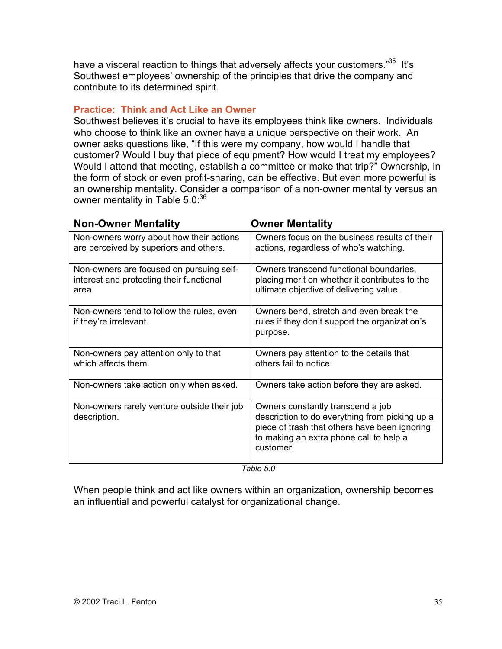have a visceral reaction to things that adversely affects your customers."<sup>35</sup> It's Southwest employees' ownership of the principles that drive the company and contribute to its determined spirit.

#### **Practice: Think and Act Like an Owner**

Southwest believes it's crucial to have its employees think like owners. Individuals who choose to think like an owner have a unique perspective on their work. An owner asks questions like, "If this were my company, how would I handle that customer? Would I buy that piece of equipment? How would I treat my employees? Would I attend that meeting, establish a committee or make that trip?" Ownership, in the form of stock or even profit-sharing, can be effective. But even more powerful is an ownership mentality. Consider a comparison of a non-owner mentality versus an owner mentality in Table 5.0.<sup>36</sup>

| <b>Non-Owner Mentality</b>                                                                    | <b>Owner Mentality</b>                                                                                                                                                                       |
|-----------------------------------------------------------------------------------------------|----------------------------------------------------------------------------------------------------------------------------------------------------------------------------------------------|
| Non-owners worry about how their actions<br>are perceived by superiors and others.            | Owners focus on the business results of their<br>actions, regardless of who's watching.                                                                                                      |
| Non-owners are focused on pursuing self-<br>interest and protecting their functional<br>area. | Owners transcend functional boundaries,<br>placing merit on whether it contributes to the<br>ultimate objective of delivering value.                                                         |
| Non-owners tend to follow the rules, even<br>if they're irrelevant.                           | Owners bend, stretch and even break the<br>rules if they don't support the organization's<br>purpose.                                                                                        |
| Non-owners pay attention only to that<br>which affects them.                                  | Owners pay attention to the details that<br>others fail to notice.                                                                                                                           |
| Non-owners take action only when asked.                                                       | Owners take action before they are asked.                                                                                                                                                    |
| Non-owners rarely venture outside their job<br>description.                                   | Owners constantly transcend a job<br>description to do everything from picking up a<br>piece of trash that others have been ignoring<br>to making an extra phone call to help a<br>customer. |

*Table 5.0*

When people think and act like owners within an organization, ownership becomes an influential and powerful catalyst for organizational change.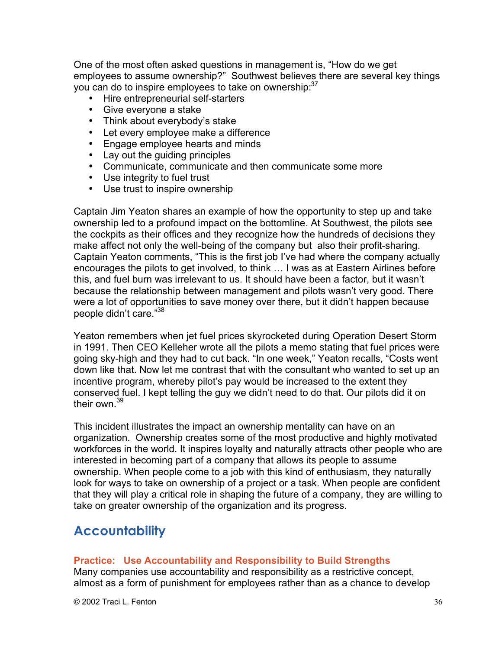One of the most often asked questions in management is, "How do we get employees to assume ownership?" Southwest believes there are several key things you can do to inspire employees to take on ownership: 37

Hire entrepreneurial self-starters Give everyone a stake Think about everybody's stake Let every employee make a difference Engage employee hearts and minds Lay out the quiding principles Communicate, communicate and then communicate some more Use integrity to fuel trust Use trust to inspire ownership

Captain Jim Yeaton shares an example of how the opportunity to step up and take ownership led to a profound impact on the bottomline. At Southwest, the pilots see the cockpits as their offices and they recognize how the hundreds of decisions they make affect not only the well-being of the company but also their profit-sharing. Captain Yeaton comments, "This is the first job I've had where the company actually encourages the pilots to get involved, to think … I was as at Eastern Airlines before this, and fuel burn was irrelevant to us. It should have been a factor, but it wasn't because the relationship between management and pilots wasn't very good. There were a lot of opportunities to save money over there, but it didn't happen because people didn't care."38

Yeaton remembers when jet fuel prices skyrocketed during Operation Desert Storm in 1991. Then CEO Kelleher wrote all the pilots a memo stating that fuel prices were going sky-high and they had to cut back. "In one week," Yeaton recalls, "Costs went down like that. Now let me contrast that with the consultant who wanted to set up an incentive program, whereby pilot's pay would be increased to the extent they conserved fuel. I kept telling the guy we didn't need to do that. Our pilots did it on their own.<sup>39</sup>

This incident illustrates the impact an ownership mentality can have on an organization. Ownership creates some of the most productive and highly motivated workforces in the world. It inspires loyalty and naturally attracts other people who are interested in becoming part of a company that allows its people to assume ownership. When people come to a job with this kind of enthusiasm, they naturally look for ways to take on ownership of a project or a task. When people are confident that they will play a critical role in shaping the future of a company, they are willing to take on greater ownership of the organization and its progress.

### **Accountability**

#### **Practice: Use Accountability and Responsibility to Build Strengths**

Many companies use accountability and responsibility as a restrictive concept, almost as a form of punishment for employees rather than as a chance to develop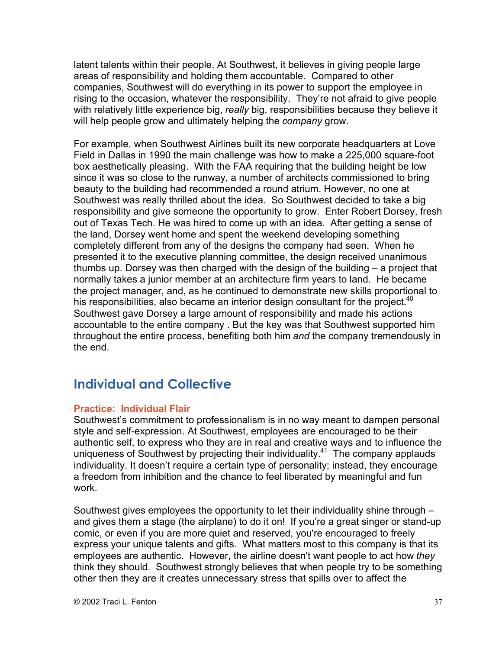latent talents within their people. At Southwest, it believes in giving people large areas of responsibility and holding them accountable. Compared to other companies, Southwest will do everything in its power to support the employee in rising to the occasion, whatever the responsibility. They're not afraid to give people with relatively little experience big, *really* big, responsibilities because they believe it will help people grow and ultimately helping the *company* grow.

For example, when Southwest Airlines built its new corporate headquarters at Love Field in Dallas in 1990 the main challenge was how to make a 225,000 square-foot box aesthetically pleasing. With the FAA requiring that the building height be low since it was so close to the runway, a number of architects commissioned to bring beauty to the building had recommended a round atrium. However, no one at Southwest was really thrilled about the idea. So Southwest decided to take a big responsibility and give someone the opportunity to grow. Enter Robert Dorsey, fresh out of Texas Tech. He was hired to come up with an idea. After getting a sense of the land, Dorsey went home and spent the weekend developing something completely different from any of the designs the company had seen. When he presented it to the executive planning committee, the design received unanimous thumbs up. Dorsey was then charged with the design of the building – a project that normally takes a junior member at an architecture firm years to land. He became the project manager, and, as he continued to demonstrate new skills proportional to his responsibilities, also became an interior design consultant for the project. $40$ Southwest gave Dorsey a large amount of responsibility and made his actions accountable to the entire company . But the key was that Southwest supported him throughout the entire process, benefiting both him *and* the company tremendously in the end.

## **Individual and Collective**

#### **Practice: Individual Flair**

Southwest's commitment to professionalism is in no way meant to dampen personal style and self-expression. At Southwest, employees are encouraged to be their authentic self, to express who they are in real and creative ways and to influence the uniqueness of Southwest by projecting their individuality.<sup>41</sup> The company applauds individuality. It doesn't require a certain type of personality; instead, they encourage a freedom from inhibition and the chance to feel liberated by meaningful and fun work.

Southwest gives employees the opportunity to let their individuality shine through – and gives them a stage (the airplane) to do it on! If you're a great singer or stand-up comic, or even if you are more quiet and reserved, you're encouraged to freely express your unique talents and gifts. What matters most to this company is that its employees are authentic. However, the airline doesn't want people to act how *they* think they should. Southwest strongly believes that when people try to be something other then they are it creates unnecessary stress that spills over to affect the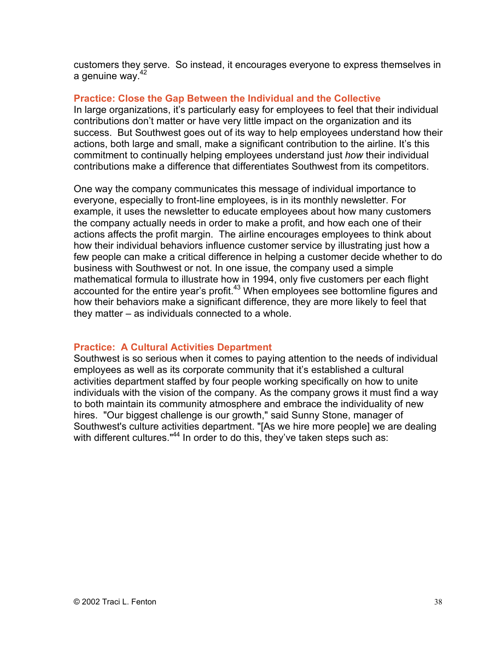customers they serve. So instead, it encourages everyone to express themselves in a genuine way.<sup>42</sup>

#### **Practice: Close the Gap Between the Individual and the Collective**

In large organizations, it's particularly easy for employees to feel that their individual contributions don't matter or have very little impact on the organization and its success. But Southwest goes out of its way to help employees understand how their actions, both large and small, make a significant contribution to the airline. It's this commitment to continually helping employees understand just *how* their individual contributions make a difference that differentiates Southwest from its competitors.

One way the company communicates this message of individual importance to everyone, especially to front-line employees, is in its monthly newsletter. For example, it uses the newsletter to educate employees about how many customers the company actually needs in order to make a profit, and how each one of their actions affects the profit margin. The airline encourages employees to think about how their individual behaviors influence customer service by illustrating just how a few people can make a critical difference in helping a customer decide whether to do business with Southwest or not. In one issue, the company used a simple mathematical formula to illustrate how in 1994, only five customers per each flight accounted for the entire year's profit.<sup>43</sup> When employees see bottomline figures and how their behaviors make a significant difference, they are more likely to feel that they matter – as individuals connected to a whole.

#### **Practice: A Cultural Activities Department**

Southwest is so serious when it comes to paying attention to the needs of individual employees as well as its corporate community that it's established a cultural activities department staffed by four people working specifically on how to unite individuals with the vision of the company. As the company grows it must find a way to both maintain its community atmosphere and embrace the individuality of new hires. "Our biggest challenge is our growth," said Sunny Stone, manager of Southwest's culture activities department. "[As we hire more people] we are dealing with different cultures."<sup>44</sup> In order to do this, they've taken steps such as: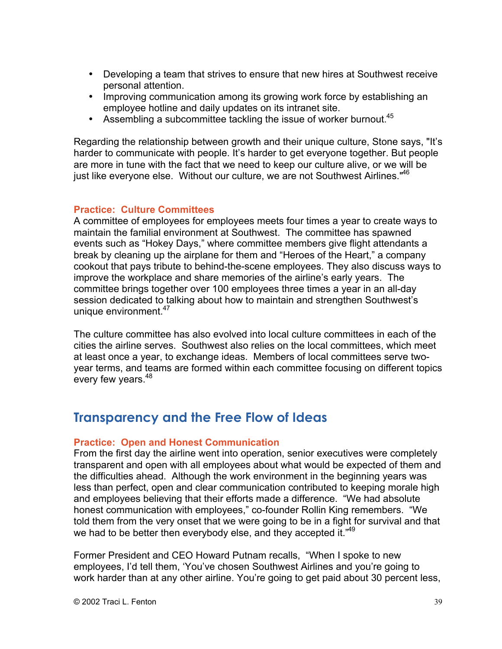Developing a team that strives to ensure that new hires at Southwest receive personal attention.

Improving communication among its growing work force by establishing an employee hotline and daily updates on its intranet site.

Assembling a subcommittee tackling the issue of worker burnout.<sup>45</sup>

Regarding the relationship between growth and their unique culture, Stone says, "It's harder to communicate with people. It's harder to get everyone together. But people are more in tune with the fact that we need to keep our culture alive, or we will be just like everyone else. Without our culture, we are not Southwest Airlines."<sup>46</sup>

#### **Practice: Culture Committees**

A committee of employees for employees meets four times a year to create ways to maintain the familial environment at Southwest. The committee has spawned events such as "Hokey Days," where committee members give flight attendants a break by cleaning up the airplane for them and "Heroes of the Heart," a company cookout that pays tribute to behind-the-scene employees. They also discuss ways to improve the workplace and share memories of the airline's early years. The committee brings together over 100 employees three times a year in an all-day session dedicated to talking about how to maintain and strengthen Southwest's unique environment.<sup>47</sup>

The culture committee has also evolved into local culture committees in each of the cities the airline serves. Southwest also relies on the local committees, which meet at least once a year, to exchange ideas. Members of local committees serve twoyear terms, and teams are formed within each committee focusing on different topics every few years.<sup>48</sup>

### **Transparency and the Free Flow of Ideas**

#### **Practice: Open and Honest Communication**

From the first day the airline went into operation, senior executives were completely transparent and open with all employees about what would be expected of them and the difficulties ahead. Although the work environment in the beginning years was less than perfect, open and clear communication contributed to keeping morale high and employees believing that their efforts made a difference. "We had absolute honest communication with employees," co-founder Rollin King remembers. "We told them from the very onset that we were going to be in a fight for survival and that we had to be better then everybody else, and they accepted it."<sup>49</sup>

Former President and CEO Howard Putnam recalls, "When I spoke to new employees, I'd tell them, 'You've chosen Southwest Airlines and you're going to work harder than at any other airline. You're going to get paid about 30 percent less,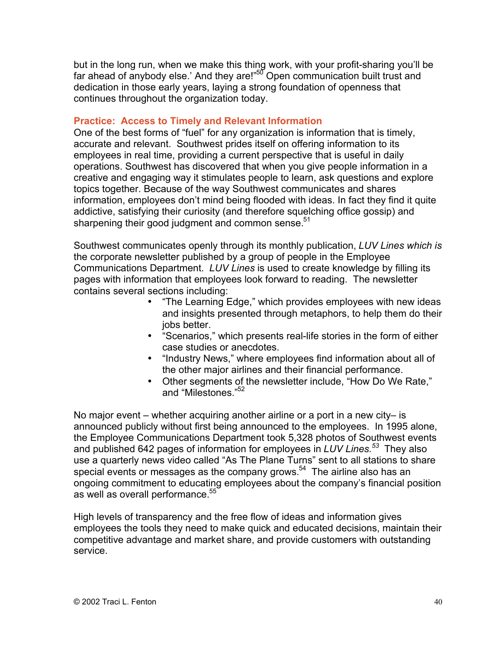but in the long run, when we make this thing work, with your profit-sharing you'll be far ahead of anybody else.' And they are!"<sup>50</sup> Open communication built trust and dedication in those early years, laying a strong foundation of openness that continues throughout the organization today.

#### **Practice: Access to Timely and Relevant Information**

One of the best forms of "fuel" for any organization is information that is timely, accurate and relevant. Southwest prides itself on offering information to its employees in real time, providing a current perspective that is useful in daily operations. Southwest has discovered that when you give people information in a creative and engaging way it stimulates people to learn, ask questions and explore topics together. Because of the way Southwest communicates and shares information, employees don't mind being flooded with ideas. In fact they find it quite addictive, satisfying their curiosity (and therefore squelching office gossip) and sharpening their good judgment and common sense.<sup>51</sup>

Southwest communicates openly through its monthly publication, *LUV Lines which is* the corporate newsletter published by a group of people in the Employee Communications Department. *LUV Lines* is used to create knowledge by filling its pages with information that employees look forward to reading. The newsletter contains several sections including:

> "The Learning Edge," which provides employees with new ideas and insights presented through metaphors, to help them do their jobs better.

"Scenarios," which presents real-life stories in the form of either case studies or anecdotes.

"Industry News," where employees find information about all of the other major airlines and their financial performance. Other segments of the newsletter include, "How Do We Rate," and "Milestones."52

No major event – whether acquiring another airline or a port in a new city– is announced publicly without first being announced to the employees. In 1995 alone, the Employee Communications Department took 5,328 photos of Southwest events and published 642 pages of information for employees in *LUV Lines.*<sup>53</sup> They also use a quarterly news video called "As The Plane Turns" sent to all stations to share special events or messages as the company grows.<sup>54</sup> The airline also has an ongoing commitment to educating employees about the company's financial position as well as overall performance.<sup>55</sup>

High levels of transparency and the free flow of ideas and information gives employees the tools they need to make quick and educated decisions, maintain their competitive advantage and market share, and provide customers with outstanding service.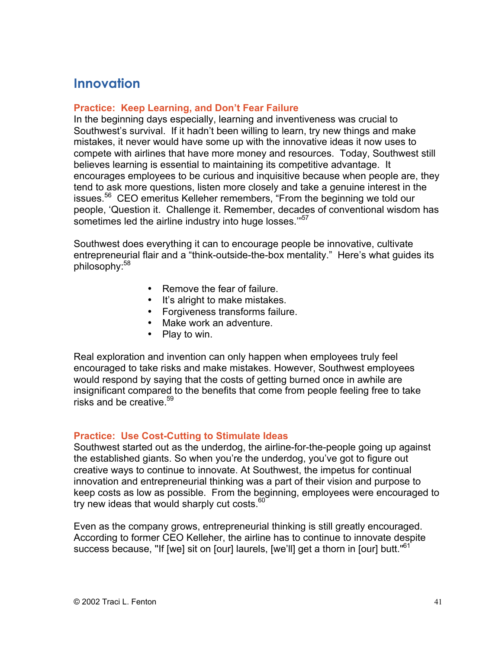### **Innovation**

#### **Practice: Keep Learning, and Don't Fear Failure**

In the beginning days especially, learning and inventiveness was crucial to Southwest's survival. If it hadn't been willing to learn, try new things and make mistakes, it never would have some up with the innovative ideas it now uses to compete with airlines that have more money and resources. Today, Southwest still believes learning is essential to maintaining its competitive advantage. It encourages employees to be curious and inquisitive because when people are, they tend to ask more questions, listen more closely and take a genuine interest in the issues.<sup>56</sup> CEO emeritus Kelleher remembers, "From the beginning we told our people, 'Question it. Challenge it. Remember, decades of conventional wisdom has sometimes led the airline industry into huge losses."57

Southwest does everything it can to encourage people be innovative, cultivate entrepreneurial flair and a "think-outside-the-box mentality." Here's what guides its philosophy:<sup>58</sup>

> Remove the fear of failure. It's alright to make mistakes. Forgiveness transforms failure. Make work an adventure. Play to win.

Real exploration and invention can only happen when employees truly feel encouraged to take risks and make mistakes. However, Southwest employees would respond by saying that the costs of getting burned once in awhile are insignificant compared to the benefits that come from people feeling free to take risks and be creative.  $59$ 

#### **Practice: Use Cost-Cutting to Stimulate Ideas**

Southwest started out as the underdog, the airline-for-the-people going up against the established giants. So when you're the underdog, you've got to figure out creative ways to continue to innovate. At Southwest, the impetus for continual innovation and entrepreneurial thinking was a part of their vision and purpose to keep costs as low as possible. From the beginning, employees were encouraged to try new ideas that would sharply cut costs. $60$ 

Even as the company grows, entrepreneurial thinking is still greatly encouraged. According to former CEO Kelleher, the airline has to continue to innovate despite success because, "If [we] sit on [our] laurels, [we'll] get a thorn in [our] butt."<sup>61</sup>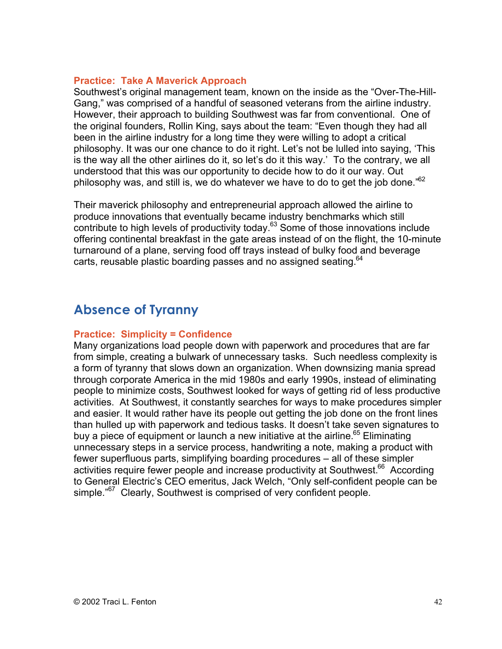#### **Practice: Take A Maverick Approach**

Southwest's original management team, known on the inside as the "Over-The-Hill-Gang," was comprised of a handful of seasoned veterans from the airline industry. However, their approach to building Southwest was far from conventional. One of the original founders, Rollin King, says about the team: "Even though they had all been in the airline industry for a long time they were willing to adopt a critical philosophy. It was our one chance to do it right. Let's not be lulled into saying, 'This is the way all the other airlines do it, so let's do it this way.' To the contrary, we all understood that this was our opportunity to decide how to do it our way. Out philosophy was, and still is, we do whatever we have to do to get the job done."<sup>62</sup>

Their maverick philosophy and entrepreneurial approach allowed the airline to produce innovations that eventually became industry benchmarks which still contribute to high levels of productivity today.<sup>63</sup> Some of those innovations include offering continental breakfast in the gate areas instead of on the flight, the 10-minute turnaround of a plane, serving food off trays instead of bulky food and beverage carts, reusable plastic boarding passes and no assigned seating.  $64$ 

## **Absence of Tyranny**

#### **Practice: Simplicity = Confidence**

Many organizations load people down with paperwork and procedures that are far from simple, creating a bulwark of unnecessary tasks. Such needless complexity is a form of tyranny that slows down an organization. When downsizing mania spread through corporate America in the mid 1980s and early 1990s, instead of eliminating people to minimize costs, Southwest looked for ways of getting rid of less productive activities. At Southwest, it constantly searches for ways to make procedures simpler and easier. It would rather have its people out getting the job done on the front lines than hulled up with paperwork and tedious tasks. It doesn't take seven signatures to buy a piece of equipment or launch a new initiative at the airline.<sup>65</sup> Eliminating unnecessary steps in a service process, handwriting a note, making a product with fewer superfluous parts, simplifying boarding procedures – all of these simpler activities require fewer people and increase productivity at Southwest.<sup>66</sup> According to General Electric's CEO emeritus, Jack Welch, "Only self-confident people can be simple."<sup>67</sup> Clearly, Southwest is comprised of very confident people.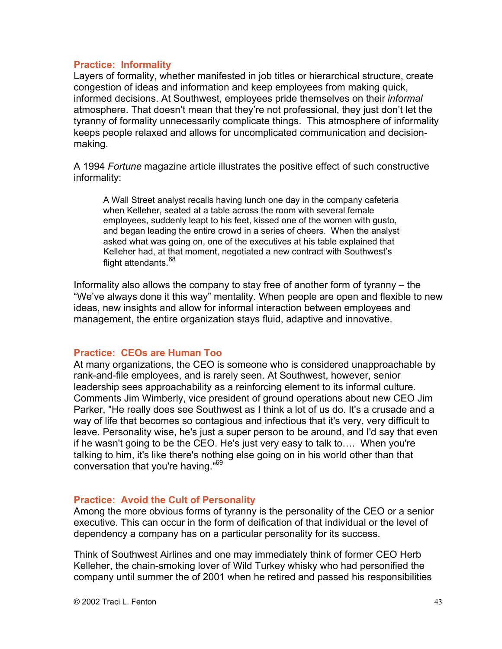#### **Practice: Informality**

Layers of formality, whether manifested in job titles or hierarchical structure, create congestion of ideas and information and keep employees from making quick, informed decisions. At Southwest, employees pride themselves on their *informal* atmosphere. That doesn't mean that they're not professional, they just don't let the tyranny of formality unnecessarily complicate things. This atmosphere of informality keeps people relaxed and allows for uncomplicated communication and decisionmaking.

A 1994 *Fortune* magazine article illustrates the positive effect of such constructive informality:

A Wall Street analyst recalls having lunch one day in the company cafeteria when Kelleher, seated at a table across the room with several female employees, suddenly leapt to his feet, kissed one of the women with gusto, and began leading the entire crowd in a series of cheers. When the analyst asked what was going on, one of the executives at his table explained that Kelleher had, at that moment, negotiated a new contract with Southwest's flight attendants.<sup>68</sup>

Informality also allows the company to stay free of another form of tyranny – the "We've always done it this way" mentality. When people are open and flexible to new ideas, new insights and allow for informal interaction between employees and management, the entire organization stays fluid, adaptive and innovative.

#### **Practice: CEOs are Human Too**

At many organizations, the CEO is someone who is considered unapproachable by rank-and-file employees, and is rarely seen. At Southwest, however, senior leadership sees approachability as a reinforcing element to its informal culture. Comments Jim Wimberly, vice president of ground operations about new CEO Jim Parker, "He really does see Southwest as I think a lot of us do. It's a crusade and a way of life that becomes so contagious and infectious that it's very, very difficult to leave. Personality wise, he's just a super person to be around, and I'd say that even if he wasn't going to be the CEO. He's just very easy to talk to…. When you're talking to him, it's like there's nothing else going on in his world other than that conversation that you're having."69

#### **Practice: Avoid the Cult of Personality**

Among the more obvious forms of tyranny is the personality of the CEO or a senior executive. This can occur in the form of deification of that individual or the level of dependency a company has on a particular personality for its success.

Think of Southwest Airlines and one may immediately think of former CEO Herb Kelleher, the chain-smoking lover of Wild Turkey whisky who had personified the company until summer the of 2001 when he retired and passed his responsibilities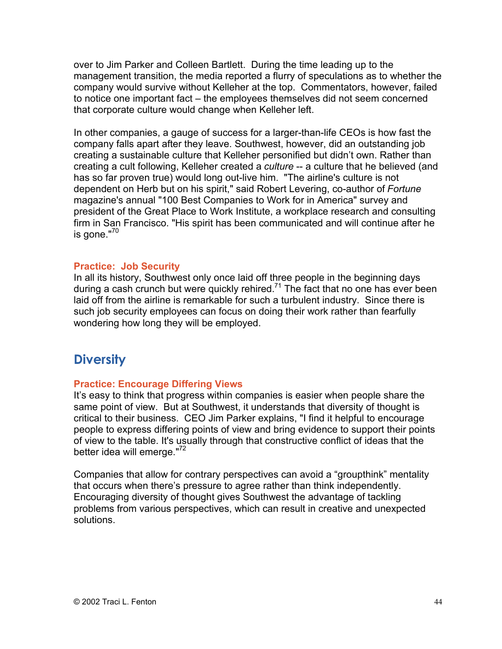over to Jim Parker and Colleen Bartlett. During the time leading up to the management transition, the media reported a flurry of speculations as to whether the company would survive without Kelleher at the top. Commentators, however, failed to notice one important fact – the employees themselves did not seem concerned that corporate culture would change when Kelleher left.

In other companies, a gauge of success for a larger-than-life CEOs is how fast the company falls apart after they leave. Southwest, however, did an outstanding job creating a sustainable culture that Kelleher personified but didn't own. Rather than creating a cult following, Kelleher created a *culture* -- a culture that he believed (and has so far proven true) would long out-live him. "The airline's culture is not dependent on Herb but on his spirit," said Robert Levering, co-author of *Fortune* magazine's annual "100 Best Companies to Work for in America" survey and president of the Great Place to Work Institute, a workplace research and consulting firm in San Francisco. "His spirit has been communicated and will continue after he is gone."70

#### **Practice: Job Security**

In all its history, Southwest only once laid off three people in the beginning days during a cash crunch but were quickly rehired.<sup>71</sup> The fact that no one has ever been laid off from the airline is remarkable for such a turbulent industry. Since there is such job security employees can focus on doing their work rather than fearfully wondering how long they will be employed.

### **Diversity**

#### **Practice: Encourage Differing Views**

It's easy to think that progress within companies is easier when people share the same point of view. But at Southwest, it understands that diversity of thought is critical to their business. CEO Jim Parker explains, "I find it helpful to encourage people to express differing points of view and bring evidence to support their points of view to the table. It's usually through that constructive conflict of ideas that the better idea will emerge."<sup>72</sup>

Companies that allow for contrary perspectives can avoid a "groupthink" mentality that occurs when there's pressure to agree rather than think independently. Encouraging diversity of thought gives Southwest the advantage of tackling problems from various perspectives, which can result in creative and unexpected solutions.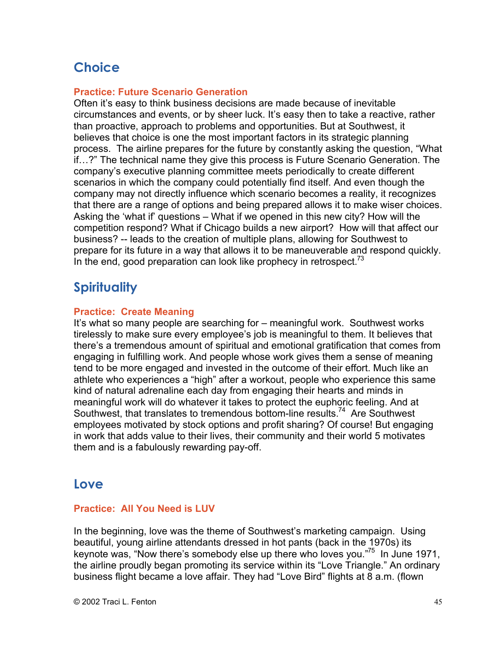# **Choice**

#### **Practice: Future Scenario Generation**

Often it's easy to think business decisions are made because of inevitable circumstances and events, or by sheer luck. It's easy then to take a reactive, rather than proactive, approach to problems and opportunities. But at Southwest, it believes that choice is one the most important factors in its strategic planning process. The airline prepares for the future by constantly asking the question, "What if…?" The technical name they give this process is Future Scenario Generation. The company's executive planning committee meets periodically to create different scenarios in which the company could potentially find itself. And even though the company may not directly influence which scenario becomes a reality, it recognizes that there are a range of options and being prepared allows it to make wiser choices. Asking the 'what if' questions – What if we opened in this new city? How will the competition respond? What if Chicago builds a new airport? How will that affect our business? -- leads to the creation of multiple plans, allowing for Southwest to prepare for its future in a way that allows it to be maneuverable and respond quickly. In the end, good preparation can look like prophecy in retrospect.<sup>73</sup>

## **Spirituality**

#### **Practice: Create Meaning**

It's what so many people are searching for – meaningful work. Southwest works tirelessly to make sure every employee's job is meaningful to them. It believes that there's a tremendous amount of spiritual and emotional gratification that comes from engaging in fulfilling work. And people whose work gives them a sense of meaning tend to be more engaged and invested in the outcome of their effort. Much like an athlete who experiences a "high" after a workout, people who experience this same kind of natural adrenaline each day from engaging their hearts and minds in meaningful work will do whatever it takes to protect the euphoric feeling. And at Southwest, that translates to tremendous bottom-line results.<sup>74</sup> Are Southwest employees motivated by stock options and profit sharing? Of course! But engaging in work that adds value to their lives, their community and their world 5 motivates them and is a fabulously rewarding pay-off.

### **Love**

#### **Practice: All You Need is LUV**

In the beginning, love was the theme of Southwest's marketing campaign. Using beautiful, young airline attendants dressed in hot pants (back in the 1970s) its keynote was, "Now there's somebody else up there who loves you."<sup>75</sup> In June 1971, the airline proudly began promoting its service within its "Love Triangle." An ordinary business flight became a love affair. They had "Love Bird" flights at 8 a.m. (flown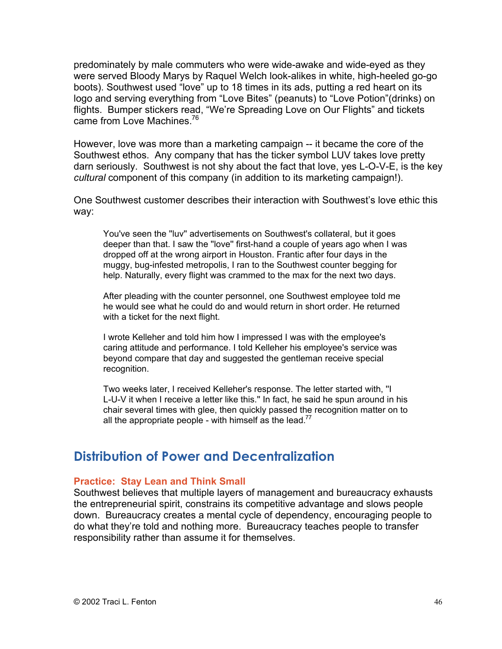predominately by male commuters who were wide-awake and wide-eyed as they were served Bloody Marys by Raquel Welch look-alikes in white, high-heeled go-go boots). Southwest used "love" up to 18 times in its ads, putting a red heart on its logo and serving everything from "Love Bites" (peanuts) to "Love Potion"(drinks) on flights. Bumper stickers read, "We're Spreading Love on Our Flights" and tickets came from Love Machines.<sup>76</sup>

However, love was more than a marketing campaign -- it became the core of the Southwest ethos. Any company that has the ticker symbol LUV takes love pretty darn seriously. Southwest is not shy about the fact that love, yes L-O-V-E, is the key *cultural* component of this company (in addition to its marketing campaign!).

One Southwest customer describes their interaction with Southwest's love ethic this way:

You've seen the ''luv'' advertisements on Southwest's collateral, but it goes deeper than that. I saw the ''love'' first-hand a couple of years ago when I was dropped off at the wrong airport in Houston. Frantic after four days in the muggy, bug-infested metropolis, I ran to the Southwest counter begging for help. Naturally, every flight was crammed to the max for the next two days.

After pleading with the counter personnel, one Southwest employee told me he would see what he could do and would return in short order. He returned with a ticket for the next flight.

I wrote Kelleher and told him how I impressed I was with the employee's caring attitude and performance. I told Kelleher his employee's service was beyond compare that day and suggested the gentleman receive special recognition.

Two weeks later, I received Kelleher's response. The letter started with, ''I L-U-V it when I receive a letter like this.'' In fact, he said he spun around in his chair several times with glee, then quickly passed the recognition matter on to all the appropriate people - with himself as the lead.<sup>77</sup>

### **Distribution of Power and Decentralization**

#### **Practice: Stay Lean and Think Small**

Southwest believes that multiple layers of management and bureaucracy exhausts the entrepreneurial spirit, constrains its competitive advantage and slows people down. Bureaucracy creates a mental cycle of dependency, encouraging people to do what they're told and nothing more. Bureaucracy teaches people to transfer responsibility rather than assume it for themselves.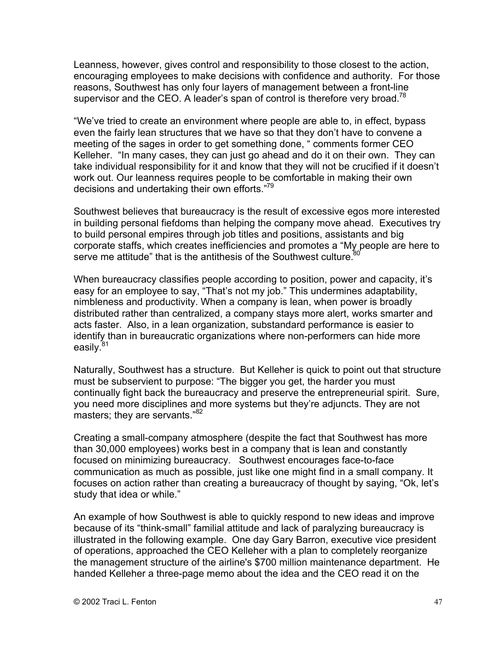Leanness, however, gives control and responsibility to those closest to the action, encouraging employees to make decisions with confidence and authority. For those reasons, Southwest has only four layers of management between a front-line supervisor and the CEO. A leader's span of control is therefore very broad.<sup>78</sup>

"We've tried to create an environment where people are able to, in effect, bypass even the fairly lean structures that we have so that they don't have to convene a meeting of the sages in order to get something done, " comments former CEO Kelleher. "In many cases, they can just go ahead and do it on their own. They can take individual responsibility for it and know that they will not be crucified if it doesn't work out. Our leanness requires people to be comfortable in making their own decisions and undertaking their own efforts."<sup>79</sup>

Southwest believes that bureaucracy is the result of excessive egos more interested in building personal fiefdoms than helping the company move ahead. Executives try to build personal empires through job titles and positions, assistants and big corporate staffs, which creates inefficiencies and promotes a "My people are here to serve me attitude" that is the antithesis of the Southwest culture.

When bureaucracy classifies people according to position, power and capacity, it's easy for an employee to say, "That's not my job." This undermines adaptability, nimbleness and productivity. When a company is lean, when power is broadly distributed rather than centralized, a company stays more alert, works smarter and acts faster. Also, in a lean organization, substandard performance is easier to identify than in bureaucratic organizations where non-performers can hide more easily.<sup>81</sup>

Naturally, Southwest has a structure. But Kelleher is quick to point out that structure must be subservient to purpose: "The bigger you get, the harder you must continually fight back the bureaucracy and preserve the entrepreneurial spirit. Sure, you need more disciplines and more systems but they're adjuncts. They are not masters; they are servants."<sup>82</sup>

Creating a small-company atmosphere (despite the fact that Southwest has more than 30,000 employees) works best in a company that is lean and constantly focused on minimizing bureaucracy. Southwest encourages face-to-face communication as much as possible, just like one might find in a small company. It focuses on action rather than creating a bureaucracy of thought by saying, "Ok, let's study that idea or while."

An example of how Southwest is able to quickly respond to new ideas and improve because of its "think-small" familial attitude and lack of paralyzing bureaucracy is illustrated in the following example. One day Gary Barron, executive vice president of operations, approached the CEO Kelleher with a plan to completely reorganize the management structure of the airline's \$700 million maintenance department. He handed Kelleher a three-page memo about the idea and the CEO read it on the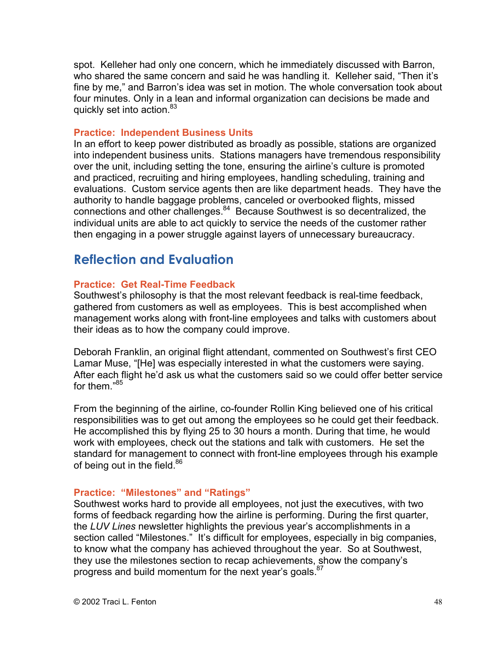spot. Kelleher had only one concern, which he immediately discussed with Barron, who shared the same concern and said he was handling it. Kelleher said, "Then it's fine by me," and Barron's idea was set in motion. The whole conversation took about four minutes. Only in a lean and informal organization can decisions be made and quickly set into action.<sup>83</sup>

#### **Practice: Independent Business Units**

In an effort to keep power distributed as broadly as possible, stations are organized into independent business units. Stations managers have tremendous responsibility over the unit, including setting the tone, ensuring the airline's culture is promoted and practiced, recruiting and hiring employees, handling scheduling, training and evaluations. Custom service agents then are like department heads. They have the authority to handle baggage problems, canceled or overbooked flights, missed connections and other challenges.<sup>84</sup> Because Southwest is so decentralized, the individual units are able to act quickly to service the needs of the customer rather then engaging in a power struggle against layers of unnecessary bureaucracy.

### **Reflection and Evaluation**

#### **Practice: Get Real-Time Feedback**

Southwest's philosophy is that the most relevant feedback is real-time feedback, gathered from customers as well as employees. This is best accomplished when management works along with front-line employees and talks with customers about their ideas as to how the company could improve.

Deborah Franklin, an original flight attendant, commented on Southwest's first CEO Lamar Muse, "[He] was especially interested in what the customers were saying. After each flight he'd ask us what the customers said so we could offer better service for them."<sup>85</sup>

From the beginning of the airline, co-founder Rollin King believed one of his critical responsibilities was to get out among the employees so he could get their feedback. He accomplished this by flying 25 to 30 hours a month. During that time, he would work with employees, check out the stations and talk with customers. He set the standard for management to connect with front-line employees through his example of being out in the field. $86$ 

#### **Practice: "Milestones" and "Ratings"**

Southwest works hard to provide all employees, not just the executives, with two forms of feedback regarding how the airline is performing. During the first quarter, the *LUV Lines* newsletter highlights the previous year's accomplishments in a section called "Milestones." It's difficult for employees, especially in big companies, to know what the company has achieved throughout the year. So at Southwest, they use the milestones section to recap achievements, show the company's progress and build momentum for the next year's goals.<sup>87</sup>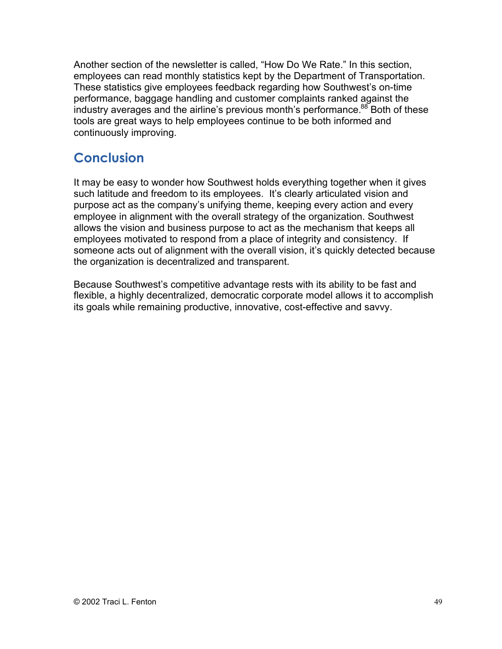Another section of the newsletter is called, "How Do We Rate." In this section, employees can read monthly statistics kept by the Department of Transportation. These statistics give employees feedback regarding how Southwest's on-time performance, baggage handling and customer complaints ranked against the industry averages and the airline's previous month's performance.<sup>88</sup> Both of these tools are great ways to help employees continue to be both informed and continuously improving.

## **Conclusion**

It may be easy to wonder how Southwest holds everything together when it gives such latitude and freedom to its employees. It's clearly articulated vision and purpose act as the company's unifying theme, keeping every action and every employee in alignment with the overall strategy of the organization. Southwest allows the vision and business purpose to act as the mechanism that keeps all employees motivated to respond from a place of integrity and consistency. If someone acts out of alignment with the overall vision, it's quickly detected because the organization is decentralized and transparent.

Because Southwest's competitive advantage rests with its ability to be fast and flexible, a highly decentralized, democratic corporate model allows it to accomplish its goals while remaining productive, innovative, cost-effective and savvy.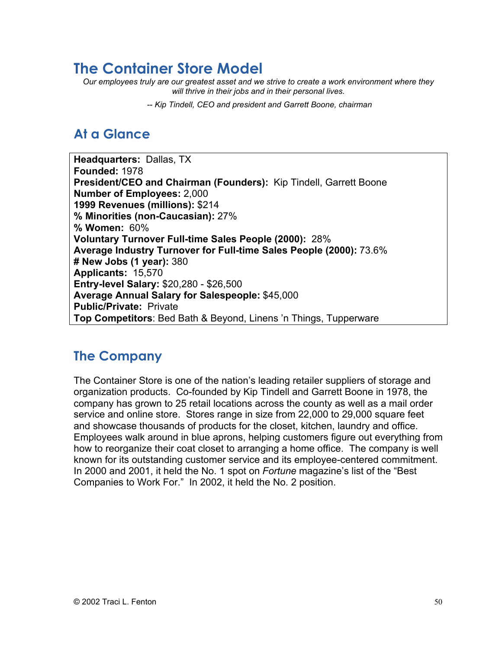# **The Container Store Model**

*Our employees truly are our greatest asset and we strive to create a work environment where they will thrive in their jobs and in their personal lives.*

 *-- Kip Tindell, CEO and president and Garrett Boone, chairman*

# **At a Glance**

**Headquarters:** Dallas, TX **Founded:** 1978 **President/CEO and Chairman (Founders):** Kip Tindell, Garrett Boone **Number of Employees:** 2,000 **1999 Revenues (millions):** \$214 **% Minorities (non-Caucasian):** 27% **% Women:** 60% **Voluntary Turnover Full-time Sales People (2000):** 28% **Average Industry Turnover for Full-time Sales People (2000):** 73.6% **# New Jobs (1 year):** 380 **Applicants:** 15,570 **Entry-level Salary:** \$20,280 - \$26,500 **Average Annual Salary for Salespeople:** \$45,000 **Public/Private:** Private **Top Competitors**: Bed Bath & Beyond, Linens 'n Things, Tupperware

## **The Company**

The Container Store is one of the nation's leading retailer suppliers of storage and organization products. Co-founded by Kip Tindell and Garrett Boone in 1978, the company has grown to 25 retail locations across the county as well as a mail order service and online store. Stores range in size from 22,000 to 29,000 square feet and showcase thousands of products for the closet, kitchen, laundry and office. Employees walk around in blue aprons, helping customers figure out everything from how to reorganize their coat closet to arranging a home office. The company is well known for its outstanding customer service and its employee-centered commitment. In 2000 and 2001, it held the No. 1 spot on *Fortune* magazine's list of the "Best Companies to Work For." In 2002, it held the No. 2 position.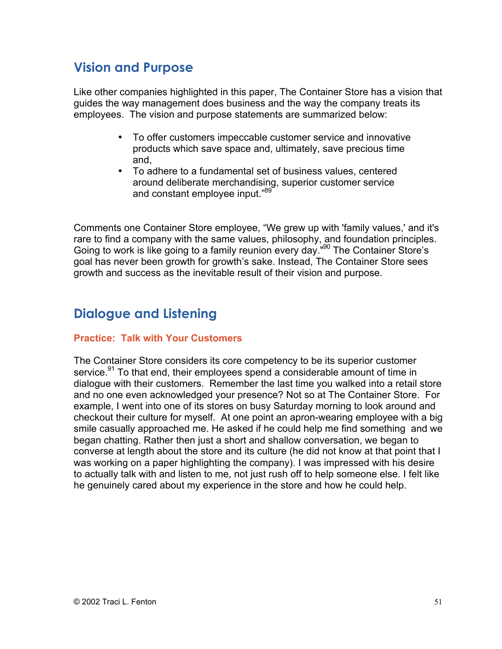## **Vision and Purpose**

Like other companies highlighted in this paper, The Container Store has a vision that guides the way management does business and the way the company treats its employees. The vision and purpose statements are summarized below:

> To offer customers impeccable customer service and innovative products which save space and, ultimately, save precious time and,

To adhere to a fundamental set of business values, centered around deliberate merchandising, superior customer service and constant employee input."89

Comments one Container Store employee, "We grew up with 'family values,' and it's rare to find a company with the same values, philosophy, and foundation principles. Going to work is like going to a family reunion every day."<sup>90</sup> The Container Store's goal has never been growth for growth's sake. Instead, The Container Store sees growth and success as the inevitable result of their vision and purpose.

## **Dialogue and Listening**

#### **Practice: Talk with Your Customers**

The Container Store considers its core competency to be its superior customer service.<sup>91</sup> To that end, their employees spend a considerable amount of time in dialogue with their customers. Remember the last time you walked into a retail store and no one even acknowledged your presence? Not so at The Container Store. For example, I went into one of its stores on busy Saturday morning to look around and checkout their culture for myself. At one point an apron-wearing employee with a big smile casually approached me. He asked if he could help me find something and we began chatting. Rather then just a short and shallow conversation, we began to converse at length about the store and its culture (he did not know at that point that I was working on a paper highlighting the company). I was impressed with his desire to actually talk with and listen to me, not just rush off to help someone else. I felt like he genuinely cared about my experience in the store and how he could help.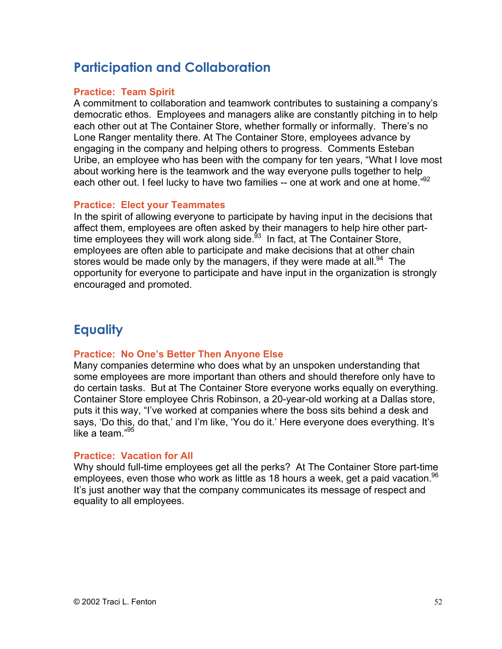# **Participation and Collaboration**

#### **Practice: Team Spirit**

A commitment to collaboration and teamwork contributes to sustaining a company's democratic ethos. Employees and managers alike are constantly pitching in to help each other out at The Container Store, whether formally or informally. There's no Lone Ranger mentality there. At The Container Store, employees advance by engaging in the company and helping others to progress. Comments Esteban Uribe, an employee who has been with the company for ten years, "What I love most about working here is the teamwork and the way everyone pulls together to help each other out. I feel lucky to have two families -- one at work and one at home."<sup>92</sup>

#### **Practice: Elect your Teammates**

In the spirit of allowing everyone to participate by having input in the decisions that affect them, employees are often asked by their managers to help hire other parttime employees they will work along side.<sup>93</sup> In fact, at The Container Store, employees are often able to participate and make decisions that at other chain stores would be made only by the managers, if they were made at all.<sup>94</sup> The opportunity for everyone to participate and have input in the organization is strongly encouraged and promoted.

## **Equality**

#### **Practice: No One's Better Then Anyone Else**

Many companies determine who does what by an unspoken understanding that some employees are more important than others and should therefore only have to do certain tasks. But at The Container Store everyone works equally on everything. Container Store employee Chris Robinson, a 20-year-old working at a Dallas store, puts it this way, "I've worked at companies where the boss sits behind a desk and says, 'Do this, do that,' and I'm like, 'You do it.' Here everyone does everything. It's like a team  $^{95}$ 

#### **Practice: Vacation for All**

Why should full-time employees get all the perks? At The Container Store part-time employees, even those who work as little as 18 hours a week, get a paid vacation.<sup>96</sup> It's just another way that the company communicates its message of respect and equality to all employees.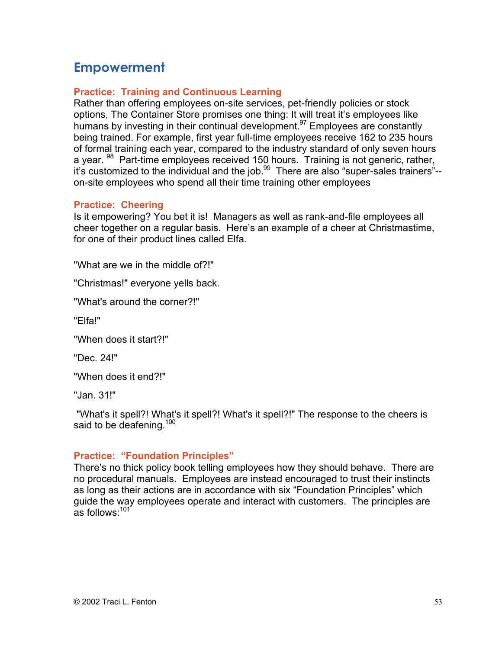## **Empowerment**

#### **Practice: Training and Continuous Learning**

Rather than offering employees on-site services, pet-friendly policies or stock options, The Container Store promises one thing: It will treat it's employees like humans by investing in their continual development.<sup>97</sup> Employees are constantly being trained. For example, first year full-time employees receive 162 to 235 hours of formal training each year, compared to the industry standard of only seven hours a year. <sup>98</sup> Part-time employees received 150 hours. Training is not generic, rather, it's customized to the individual and the job.<sup>99</sup> There are also "super-sales trainers"-on-site employees who spend all their time training other employees

#### **Practice: Cheering**

Is it empowering? You bet it is! Managers as well as rank-and-file employees all cheer together on a regular basis. Here's an example of a cheer at Christmastime, for one of their product lines called Elfa.

"What are we in the middle of?!"

"Christmas!" everyone yells back.

"What's around the corner?!"

"Elfa!"

"When does it start?!"

"Dec. 24!"

"When does it end?!"

"Jan. 31!"

 "What's it spell?! What's it spell?! What's it spell?!" The response to the cheers is said to be deafening.<sup>100</sup>

#### **Practice: "Foundation Principles"**

There's no thick policy book telling employees how they should behave. There are no procedural manuals. Employees are instead encouraged to trust their instincts as long as their actions are in accordance with six "Foundation Principles" which guide the way employees operate and interact with customers. The principles are as follows:<sup>101</sup>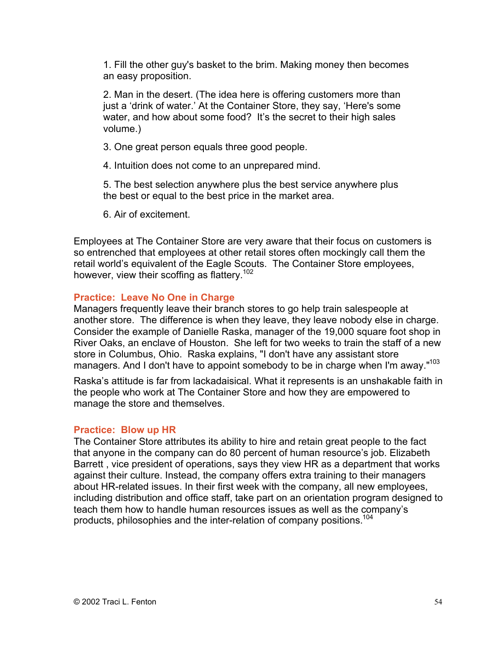1. Fill the other guy's basket to the brim. Making money then becomes an easy proposition.

2. Man in the desert. (The idea here is offering customers more than just a 'drink of water.' At the Container Store, they say, 'Here's some water, and how about some food? It's the secret to their high sales volume.)

3. One great person equals three good people.

4. Intuition does not come to an unprepared mind.

5. The best selection anywhere plus the best service anywhere plus the best or equal to the best price in the market area.

6. Air of excitement.

Employees at The Container Store are very aware that their focus on customers is so entrenched that employees at other retail stores often mockingly call them the retail world's equivalent of the Eagle Scouts. The Container Store employees, however, view their scoffing as flattery.<sup>102</sup>

#### **Practice: Leave No One in Charge**

Managers frequently leave their branch stores to go help train salespeople at another store. The difference is when they leave, they leave nobody else in charge. Consider the example of Danielle Raska, manager of the 19,000 square foot shop in River Oaks, an enclave of Houston. She left for two weeks to train the staff of a new store in Columbus, Ohio. Raska explains, "I don't have any assistant store managers. And I don't have to appoint somebody to be in charge when I'm away."<sup>103</sup>

Raska's attitude is far from lackadaisical. What it represents is an unshakable faith in the people who work at The Container Store and how they are empowered to manage the store and themselves.

#### **Practice: Blow up HR**

The Container Store attributes its ability to hire and retain great people to the fact that anyone in the company can do 80 percent of human resource's job. Elizabeth Barrett , vice president of operations, says they view HR as a department that works against their culture. Instead, the company offers extra training to their managers about HR-related issues. In their first week with the company, all new employees, including distribution and office staff, take part on an orientation program designed to teach them how to handle human resources issues as well as the company's products, philosophies and the inter-relation of company positions.<sup>104</sup>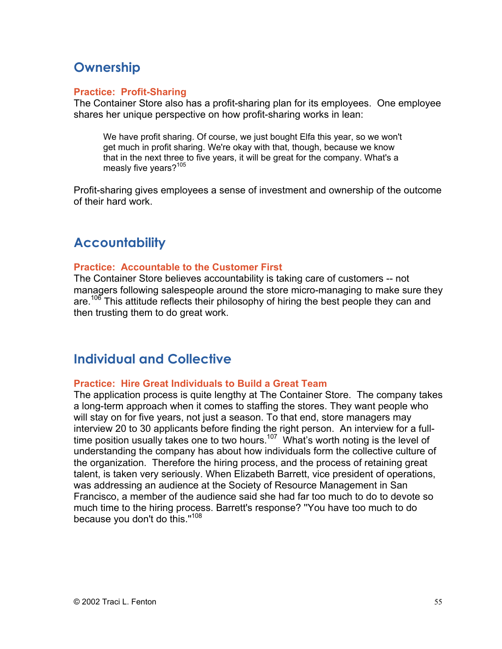# **Ownership**

#### **Practice: Profit-Sharing**

The Container Store also has a profit-sharing plan for its employees. One employee shares her unique perspective on how profit-sharing works in lean:

We have profit sharing. Of course, we just bought Elfa this year, so we won't get much in profit sharing. We're okay with that, though, because we know that in the next three to five years, it will be great for the company. What's a measly five years?<sup>105</sup>

Profit-sharing gives employees a sense of investment and ownership of the outcome of their hard work.

## **Accountability**

#### **Practice: Accountable to the Customer First**

The Container Store believes accountability is taking care of customers -- not managers following salespeople around the store micro-managing to make sure they are.<sup>106</sup> This attitude reflects their philosophy of hiring the best people they can and then trusting them to do great work.

## **Individual and Collective**

#### **Practice: Hire Great Individuals to Build a Great Team**

The application process is quite lengthy at The Container Store. The company takes a long-term approach when it comes to staffing the stores. They want people who will stay on for five years, not just a season. To that end, store managers may interview 20 to 30 applicants before finding the right person. An interview for a fulltime position usually takes one to two hours.<sup>107</sup> What's worth noting is the level of understanding the company has about how individuals form the collective culture of the organization. Therefore the hiring process, and the process of retaining great talent, is taken very seriously. When Elizabeth Barrett, vice president of operations, was addressing an audience at the Society of Resource Management in San Francisco, a member of the audience said she had far too much to do to devote so much time to the hiring process. Barrett's response? ''You have too much to do because you don't do this."<sup>108</sup>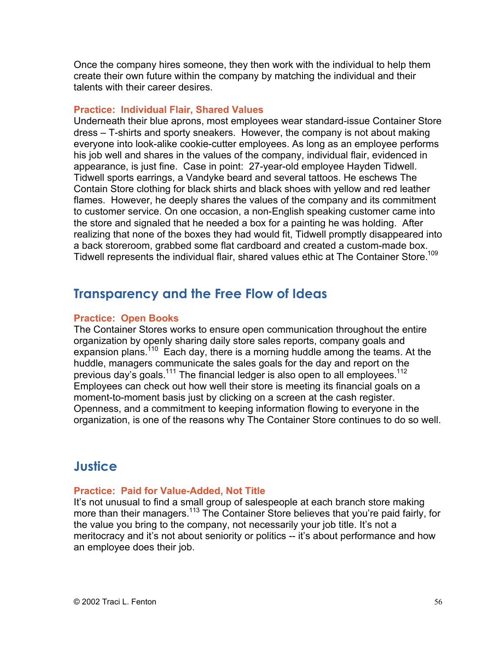Once the company hires someone, they then work with the individual to help them create their own future within the company by matching the individual and their talents with their career desires.

#### **Practice: Individual Flair, Shared Values**

Underneath their blue aprons, most employees wear standard-issue Container Store dress – T-shirts and sporty sneakers. However, the company is not about making everyone into look-alike cookie-cutter employees. As long as an employee performs his job well and shares in the values of the company, individual flair, evidenced in appearance, is just fine. Case in point: 27-year-old employee Hayden Tidwell. Tidwell sports earrings, a Vandyke beard and several tattoos. He eschews The Contain Store clothing for black shirts and black shoes with yellow and red leather flames. However, he deeply shares the values of the company and its commitment to customer service. On one occasion, a non-English speaking customer came into the store and signaled that he needed a box for a painting he was holding. After realizing that none of the boxes they had would fit, Tidwell promptly disappeared into a back storeroom, grabbed some flat cardboard and created a custom-made box. Tidwell represents the individual flair, shared values ethic at The Container Store.109

## **Transparency and the Free Flow of Ideas**

#### **Practice: Open Books**

The Container Stores works to ensure open communication throughout the entire organization by openly sharing daily store sales reports, company goals and expansion plans.<sup>110</sup> Each day, there is a morning huddle among the teams. At the huddle, managers communicate the sales goals for the day and report on the previous day's goals.<sup>111</sup> The financial ledger is also open to all employees.<sup>112</sup> Employees can check out how well their store is meeting its financial goals on a moment-to-moment basis just by clicking on a screen at the cash register. Openness, and a commitment to keeping information flowing to everyone in the organization, is one of the reasons why The Container Store continues to do so well.

## **Justice**

#### **Practice: Paid for Value-Added, Not Title**

It's not unusual to find a small group of salespeople at each branch store making more than their managers.<sup>113</sup> The Container Store believes that you're paid fairly, for the value you bring to the company, not necessarily your job title. It's not a meritocracy and it's not about seniority or politics -- it's about performance and how an employee does their job.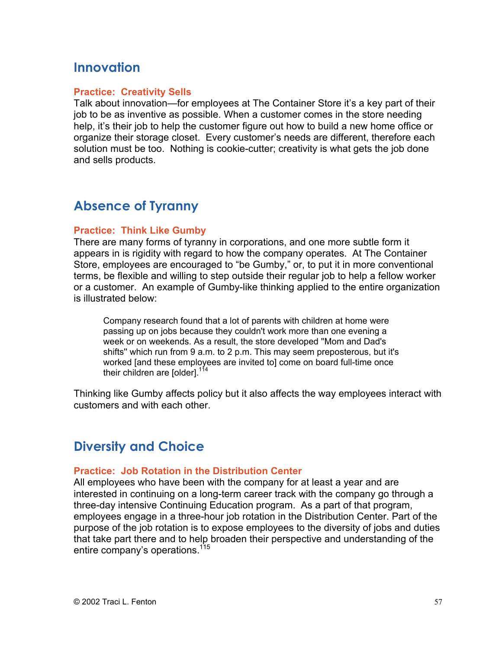## **Innovation**

#### **Practice: Creativity Sells**

Talk about innovation—for employees at The Container Store it's a key part of their job to be as inventive as possible. When a customer comes in the store needing help, it's their job to help the customer figure out how to build a new home office or organize their storage closet. Every customer's needs are different, therefore each solution must be too. Nothing is cookie-cutter; creativity is what gets the job done and sells products.

## **Absence of Tyranny**

#### **Practice: Think Like Gumby**

There are many forms of tyranny in corporations, and one more subtle form it appears in is rigidity with regard to how the company operates. At The Container Store, employees are encouraged to "be Gumby," or, to put it in more conventional terms, be flexible and willing to step outside their regular job to help a fellow worker or a customer. An example of Gumby-like thinking applied to the entire organization is illustrated below:

Company research found that a lot of parents with children at home were passing up on jobs because they couldn't work more than one evening a week or on weekends. As a result, the store developed ''Mom and Dad's shifts'' which run from 9 a.m. to 2 p.m. This may seem preposterous, but it's worked [and these employees are invited to] come on board full-time once their children are [older].<sup>114</sup>

Thinking like Gumby affects policy but it also affects the way employees interact with customers and with each other.

## **Diversity and Choice**

#### **Practice: Job Rotation in the Distribution Center**

All employees who have been with the company for at least a year and are interested in continuing on a long-term career track with the company go through a three-day intensive Continuing Education program. As a part of that program, employees engage in a three-hour job rotation in the Distribution Center. Part of the purpose of the job rotation is to expose employees to the diversity of jobs and duties that take part there and to help broaden their perspective and understanding of the entire company's operations.<sup>115</sup>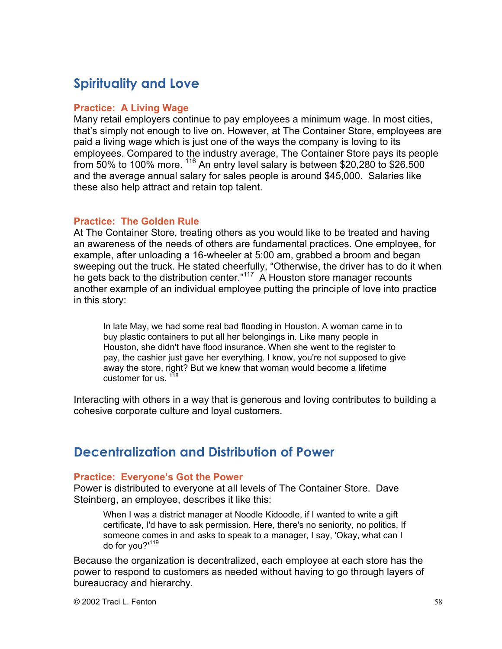# **Spirituality and Love**

#### **Practice: A Living Wage**

Many retail employers continue to pay employees a minimum wage. In most cities, that's simply not enough to live on. However, at The Container Store, employees are paid a living wage which is just one of the ways the company is loving to its employees. Compared to the industry average, The Container Store pays its people from 50% to 100% more.  $^{116}$  An entry level salary is between \$20,280 to \$26,500 and the average annual salary for sales people is around \$45,000. Salaries like these also help attract and retain top talent.

#### **Practice: The Golden Rule**

At The Container Store, treating others as you would like to be treated and having an awareness of the needs of others are fundamental practices. One employee, for example, after unloading a 16-wheeler at 5:00 am, grabbed a broom and began sweeping out the truck. He stated cheerfully, "Otherwise, the driver has to do it when he gets back to the distribution center."<sup>117</sup> A Houston store manager recounts another example of an individual employee putting the principle of love into practice in this story:

In late May, we had some real bad flooding in Houston. A woman came in to buy plastic containers to put all her belongings in. Like many people in Houston, she didn't have flood insurance. When she went to the register to pay, the cashier just gave her everything. I know, you're not supposed to give away the store, right? But we knew that woman would become a lifetime customer for us. <sup>118</sup>

Interacting with others in a way that is generous and loving contributes to building a cohesive corporate culture and loyal customers.

### **Decentralization and Distribution of Power**

#### **Practice: Everyone's Got the Power**

Power is distributed to everyone at all levels of The Container Store. Dave Steinberg, an employee, describes it like this:

When I was a district manager at Noodle Kidoodle, if I wanted to write a gift certificate, I'd have to ask permission. Here, there's no seniority, no politics. If someone comes in and asks to speak to a manager, I say, 'Okay, what can I do for you?'<sup>119</sup>

Because the organization is decentralized, each employee at each store has the power to respond to customers as needed without having to go through layers of bureaucracy and hierarchy.

 $@$  2002 Traci L. Fenton  $58$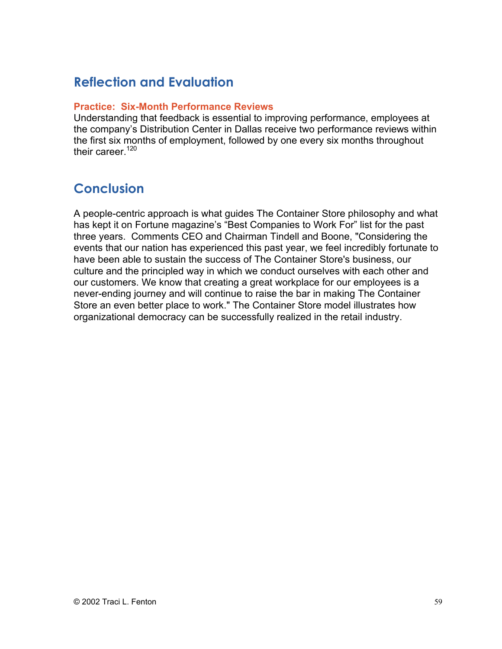## **Reflection and Evaluation**

#### **Practice: Six-Month Performance Reviews**

Understanding that feedback is essential to improving performance, employees at the company's Distribution Center in Dallas receive two performance reviews within the first six months of employment, followed by one every six months throughout their career. $120$ 

## **Conclusion**

A people-centric approach is what guides The Container Store philosophy and what has kept it on Fortune magazine's "Best Companies to Work For" list for the past three years. Comments CEO and Chairman Tindell and Boone, "Considering the events that our nation has experienced this past year, we feel incredibly fortunate to have been able to sustain the success of The Container Store's business, our culture and the principled way in which we conduct ourselves with each other and our customers. We know that creating a great workplace for our employees is a never-ending journey and will continue to raise the bar in making The Container Store an even better place to work." The Container Store model illustrates how organizational democracy can be successfully realized in the retail industry.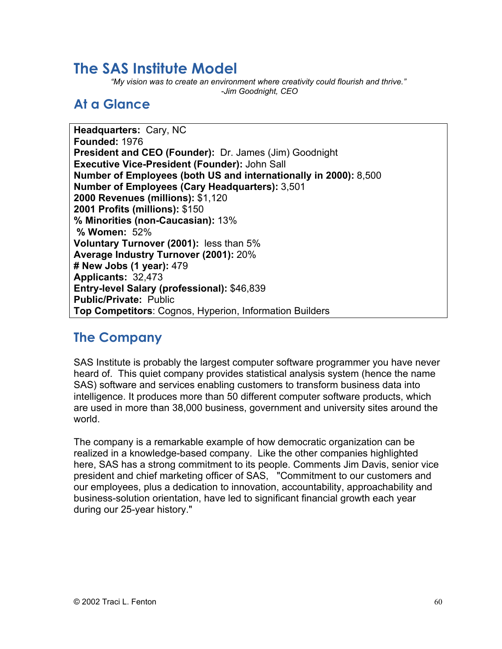# **The SAS Institute Model**

*"My vision was to create an environment where creativity could flourish and thrive." -Jim Goodnight, CEO*

# **At a Glance**

**Headquarters:** Cary, NC **Founded:** 1976 **President and CEO (Founder):** Dr. James (Jim) Goodnight **Executive Vice-President (Founder):** John Sall **Number of Employees (both US and internationally in 2000):** 8,500 **Number of Employees (Cary Headquarters):** 3,501 **2000 Revenues (millions):** \$1,120 **2001 Profits (millions):** \$150 **% Minorities (non-Caucasian):** 13%  **% Women:** 52% **Voluntary Turnover (2001):** less than 5% **Average Industry Turnover (2001):** 20% **# New Jobs (1 year):** 479 **Applicants:** 32,473 **Entry-level Salary (professional):** \$46,839 **Public/Private:** Public **Top Competitors**: Cognos, Hyperion, Information Builders

### **The Company**

SAS Institute is probably the largest computer software programmer you have never heard of. This quiet company provides statistical analysis system (hence the name SAS) software and services enabling customers to transform business data into intelligence. It produces more than 50 different computer software products, which are used in more than 38,000 business, government and university sites around the world.

The company is a remarkable example of how democratic organization can be realized in a knowledge-based company. Like the other companies highlighted here, SAS has a strong commitment to its people. Comments Jim Davis, senior vice president and chief marketing officer of SAS, "Commitment to our customers and our employees, plus a dedication to innovation, accountability, approachability and business-solution orientation, have led to significant financial growth each year during our 25-year history."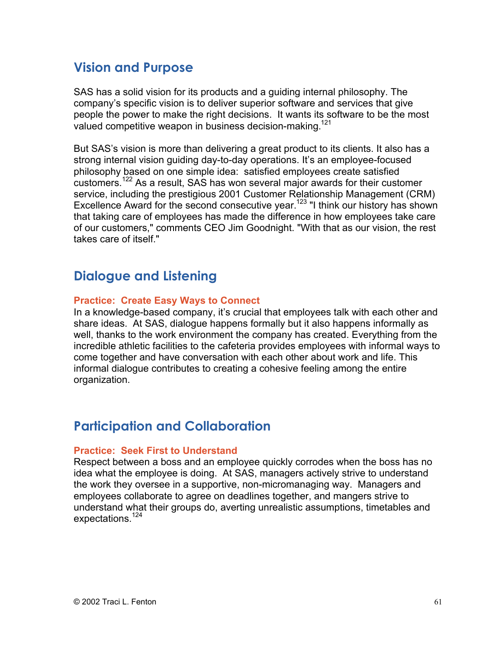## **Vision and Purpose**

SAS has a solid vision for its products and a guiding internal philosophy. The company's specific vision is to deliver superior software and services that give people the power to make the right decisions. It wants its software to be the most valued competitive weapon in business decision-making.<sup>121</sup>

But SAS's vision is more than delivering a great product to its clients. It also has a strong internal vision guiding day-to-day operations. It's an employee-focused philosophy based on one simple idea: satisfied employees create satisfied customers.<sup>122</sup> As a result, SAS has won several major awards for their customer service, including the prestigious 2001 Customer Relationship Management (CRM) Excellence Award for the second consecutive year.<sup>123</sup> "I think our history has shown that taking care of employees has made the difference in how employees take care of our customers," comments CEO Jim Goodnight. "With that as our vision, the rest takes care of itself."

## **Dialogue and Listening**

#### **Practice: Create Easy Ways to Connect**

In a knowledge-based company, it's crucial that employees talk with each other and share ideas. At SAS, dialogue happens formally but it also happens informally as well, thanks to the work environment the company has created. Everything from the incredible athletic facilities to the cafeteria provides employees with informal ways to come together and have conversation with each other about work and life. This informal dialogue contributes to creating a cohesive feeling among the entire organization.

## **Participation and Collaboration**

#### **Practice: Seek First to Understand**

Respect between a boss and an employee quickly corrodes when the boss has no idea what the employee is doing. At SAS, managers actively strive to understand the work they oversee in a supportive, non-micromanaging way. Managers and employees collaborate to agree on deadlines together, and mangers strive to understand what their groups do, averting unrealistic assumptions, timetables and expectations.<sup>124</sup>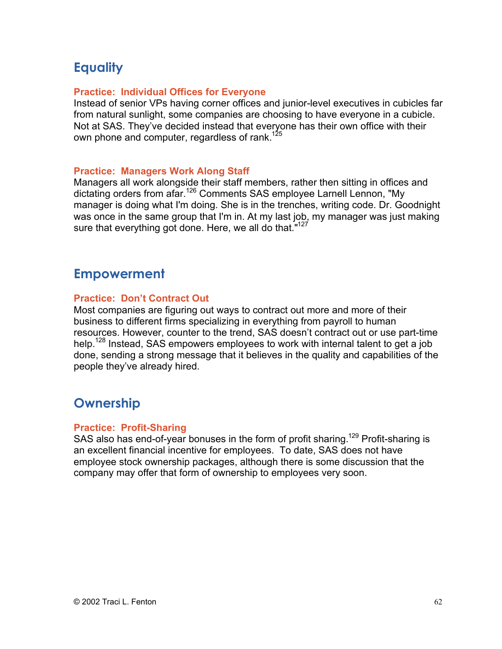# **Equality**

#### **Practice: Individual Offices for Everyone**

Instead of senior VPs having corner offices and junior-level executives in cubicles far from natural sunlight, some companies are choosing to have everyone in a cubicle. Not at SAS. They've decided instead that everyone has their own office with their own phone and computer, regardless of rank.<sup>12</sup>

#### **Practice: Managers Work Along Staff**

Managers all work alongside their staff members, rather then sitting in offices and dictating orders from afar.<sup>126</sup> Comments SAS employee Larnell Lennon, "My manager is doing what I'm doing. She is in the trenches, writing code. Dr. Goodnight was once in the same group that I'm in. At my last job, my manager was just making sure that everything got done. Here, we all do that."<sup>127</sup>

### **Empowerment**

#### **Practice: Don't Contract Out**

Most companies are figuring out ways to contract out more and more of their business to different firms specializing in everything from payroll to human resources. However, counter to the trend, SAS doesn't contract out or use part-time help.<sup>128</sup> Instead, SAS empowers employees to work with internal talent to get a job done, sending a strong message that it believes in the quality and capabilities of the people they've already hired.

## **Ownership**

#### **Practice: Profit-Sharing**

SAS also has end-of-year bonuses in the form of profit sharing.<sup>129</sup> Profit-sharing is an excellent financial incentive for employees. To date, SAS does not have employee stock ownership packages, although there is some discussion that the company may offer that form of ownership to employees very soon.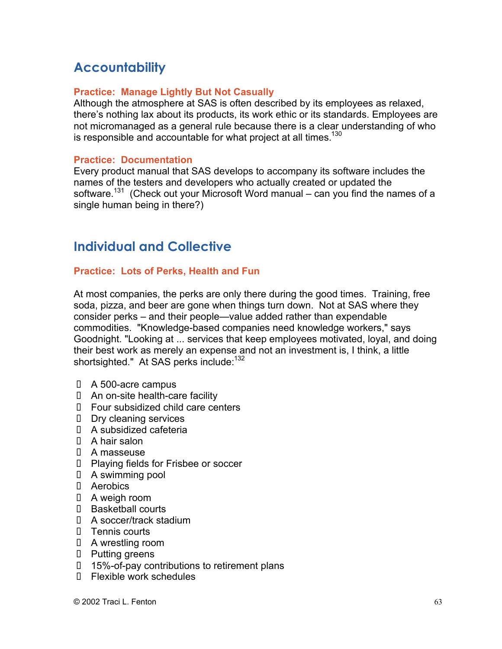# **Accountability**

#### **Practice: Manage Lightly But Not Casually**

Although the atmosphere at SAS is often described by its employees as relaxed, there's nothing lax about its products, its work ethic or its standards. Employees are not micromanaged as a general rule because there is a clear understanding of who is responsible and accountable for what project at all times. $130$ 

#### **Practice: Documentation**

Every product manual that SAS develops to accompany its software includes the names of the testers and developers who actually created or updated the software.<sup>131</sup> (Check out your Microsoft Word manual – can you find the names of a single human being in there?)

## **Individual and Collective**

#### **Practice: Lots of Perks, Health and Fun**

At most companies, the perks are only there during the good times. Training, free soda, pizza, and beer are gone when things turn down. Not at SAS where they consider perks – and their people—value added rather than expendable commodities. "Knowledge-based companies need knowledge workers," says Goodnight. "Looking at ... services that keep employees motivated, loyal, and doing their best work as merely an expense and not an investment is, I think, a little shortsighted." At SAS perks include:<sup>132</sup>

- $\blacksquare$  A 500-acre campus
- An on-site health-care facility
- **Four subsidized child care centers**
- **Dry cleaning services**
- $\blacksquare$  A subsidized cafeteria
- $\blacksquare$  A hair salon
- **A** masseuse
- **Playing fields for Frisbee or soccer**
- $\blacksquare$  A swimming pool
- Aerobics
- A weigh room
- **Basketball courts**
- A soccer/track stadium
- **Tennis courts**
- $\blacksquare$  A wrestling room
- Putting greens
- 15%-of-pay contributions to retirement plans
- **Flexible work schedules**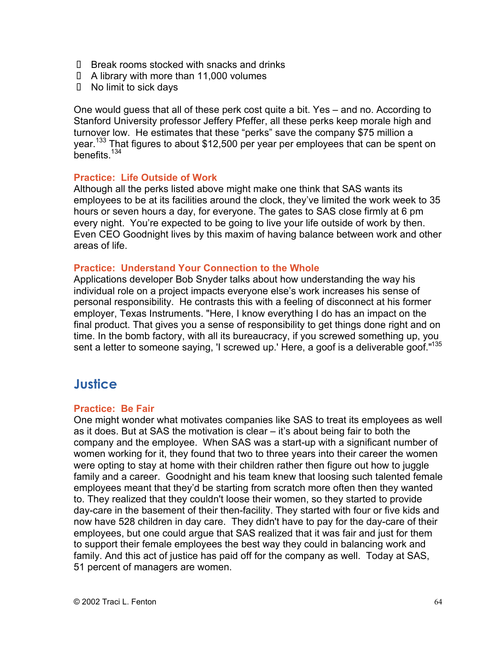- **Break rooms stocked with snacks and drinks**
- $\blacksquare$  A library with more than 11,000 volumes
- $\blacksquare$  No limit to sick days

One would guess that all of these perk cost quite a bit. Yes – and no. According to Stanford University professor Jeffery Pfeffer, all these perks keep morale high and turnover low. He estimates that these "perks" save the company \$75 million a year.<sup>133</sup> That figures to about \$12,500 per year per employees that can be spent on benefits.<sup>134</sup>

#### **Practice: Life Outside of Work**

Although all the perks listed above might make one think that SAS wants its employees to be at its facilities around the clock, they've limited the work week to 35 hours or seven hours a day, for everyone. The gates to SAS close firmly at 6 pm every night. You're expected to be going to live your life outside of work by then. Even CEO Goodnight lives by this maxim of having balance between work and other areas of life.

#### **Practice: Understand Your Connection to the Whole**

Applications developer Bob Snyder talks about how understanding the way his individual role on a project impacts everyone else's work increases his sense of personal responsibility. He contrasts this with a feeling of disconnect at his former employer, Texas Instruments. "Here, I know everything I do has an impact on the final product. That gives you a sense of responsibility to get things done right and on time. In the bomb factory, with all its bureaucracy, if you screwed something up, you sent a letter to someone saying, 'I screwed up.' Here, a goof is a deliverable goof."<sup>135</sup>

### **Justice**

#### **Practice: Be Fair**

One might wonder what motivates companies like SAS to treat its employees as well as it does. But at SAS the motivation is clear – it's about being fair to both the company and the employee. When SAS was a start-up with a significant number of women working for it, they found that two to three years into their career the women were opting to stay at home with their children rather then figure out how to juggle family and a career. Goodnight and his team knew that loosing such talented female employees meant that they'd be starting from scratch more often then they wanted to. They realized that they couldn't loose their women, so they started to provide day-care in the basement of their then-facility. They started with four or five kids and now have 528 children in day care. They didn't have to pay for the day-care of their employees, but one could argue that SAS realized that it was fair and just for them to support their female employees the best way they could in balancing work and family. And this act of justice has paid off for the company as well. Today at SAS, 51 percent of managers are women.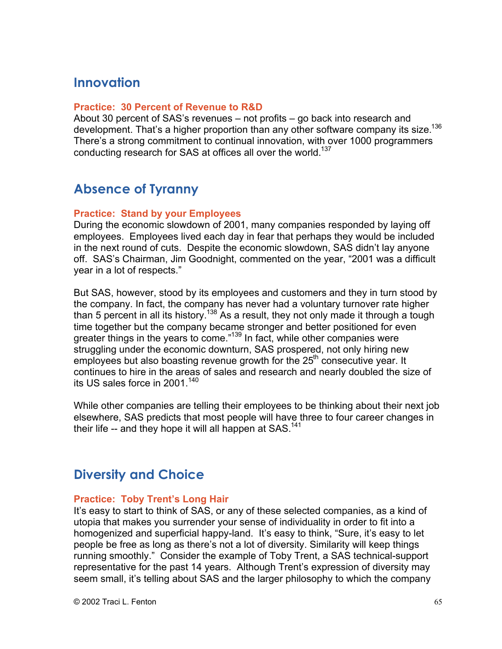### **Innovation**

#### **Practice: 30 Percent of Revenue to R&D**

About 30 percent of SAS's revenues – not profits – go back into research and development. That's a higher proportion than any other software company its size.<sup>136</sup> There's a strong commitment to continual innovation, with over 1000 programmers conducting research for SAS at offices all over the world.<sup>137</sup>

### **Absence of Tyranny**

#### **Practice: Stand by your Employees**

During the economic slowdown of 2001, many companies responded by laying off employees. Employees lived each day in fear that perhaps they would be included in the next round of cuts. Despite the economic slowdown, SAS didn't lay anyone off. SAS's Chairman, Jim Goodnight, commented on the year, "2001 was a difficult year in a lot of respects."

But SAS, however, stood by its employees and customers and they in turn stood by the company. In fact, the company has never had a voluntary turnover rate higher than 5 percent in all its history.<sup>138</sup> As a result, they not only made it through a tough time together but the company became stronger and better positioned for even greater things in the years to come."<sup>139</sup> In fact, while other companies were struggling under the economic downturn, SAS prospered, not only hiring new employees but also boasting revenue growth for the 25<sup>th</sup> consecutive year. It continues to hire in the areas of sales and research and nearly doubled the size of its US sales force in 2001. $140$ 

While other companies are telling their employees to be thinking about their next job elsewhere, SAS predicts that most people will have three to four career changes in their life  $-$  and they hope it will all happen at SAS.<sup>141</sup>

### **Diversity and Choice**

#### **Practice: Toby Trent's Long Hair**

It's easy to start to think of SAS, or any of these selected companies, as a kind of utopia that makes you surrender your sense of individuality in order to fit into a homogenized and superficial happy-land. It's easy to think, "Sure, it's easy to let people be free as long as there's not a lot of diversity. Similarity will keep things running smoothly." Consider the example of Toby Trent, a SAS technical-support representative for the past 14 years. Although Trent's expression of diversity may seem small, it's telling about SAS and the larger philosophy to which the company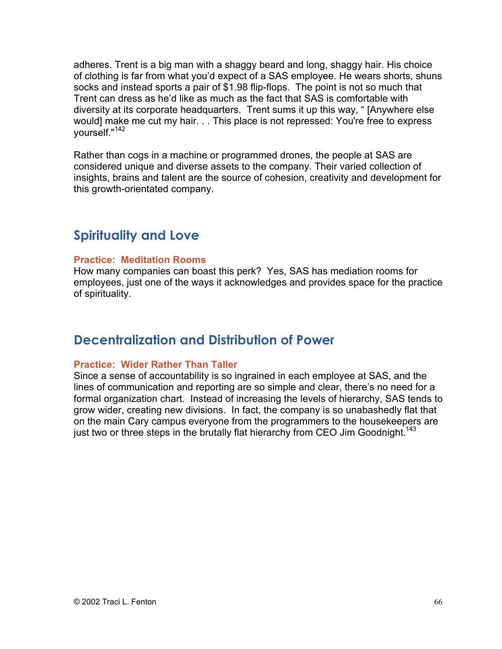adheres. Trent is a big man with a shaggy beard and long, shaggy hair. His choice of clothing is far from what you'd expect of a SAS employee. He wears shorts, shuns socks and instead sports a pair of \$1.98 flip-flops. The point is not so much that Trent can dress as he'd like as much as the fact that SAS is comfortable with diversity at its corporate headquarters. Trent sums it up this way, " [Anywhere else would] make me cut my hair. . . This place is not repressed: You're free to express yourself."<sup>142</sup>

Rather than cogs in a machine or programmed drones, the people at SAS are considered unique and diverse assets to the company. Their varied collection of insights, brains and talent are the source of cohesion, creativity and development for this growth-orientated company.

### **Spirituality and Love**

#### **Practice: Meditation Rooms**

How many companies can boast this perk? Yes, SAS has mediation rooms for employees, just one of the ways it acknowledges and provides space for the practice of spirituality.

### **Decentralization and Distribution of Power**

#### **Practice: Wider Rather Than Taller**

Since a sense of accountability is so ingrained in each employee at SAS, and the lines of communication and reporting are so simple and clear, there's no need for a formal organization chart. Instead of increasing the levels of hierarchy, SAS tends to grow wider, creating new divisions. In fact, the company is so unabashedly flat that on the main Cary campus everyone from the programmers to the housekeepers are just two or three steps in the brutally flat hierarchy from CEO Jim Goodnight.<sup>143</sup>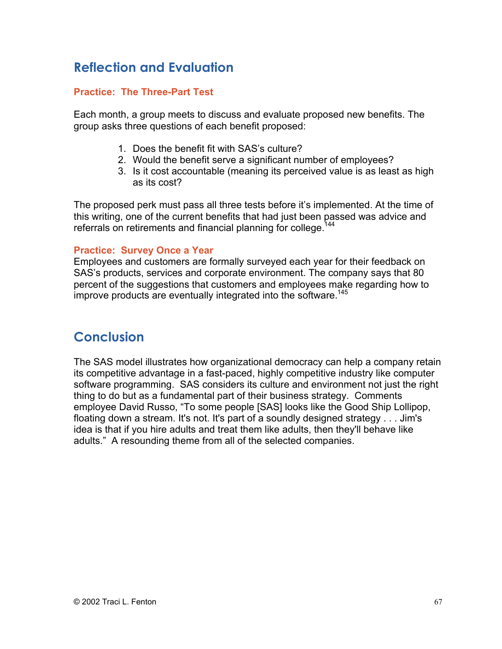# **Reflection and Evaluation**

#### **Practice: The Three-Part Test**

Each month, a group meets to discuss and evaluate proposed new benefits. The group asks three questions of each benefit proposed:

- 1. Does the benefit fit with SAS's culture?
- 2. Would the benefit serve a significant number of employees?
- 3. Is it cost accountable (meaning its perceived value is as least as high as its cost?

The proposed perk must pass all three tests before it's implemented. At the time of this writing, one of the current benefits that had just been passed was advice and referrals on retirements and financial planning for college.<sup>144</sup>

#### **Practice: Survey Once a Year**

Employees and customers are formally surveyed each year for their feedback on SAS's products, services and corporate environment. The company says that 80 percent of the suggestions that customers and employees make regarding how to improve products are eventually integrated into the software.<sup>145</sup>

### **Conclusion**

The SAS model illustrates how organizational democracy can help a company retain its competitive advantage in a fast-paced, highly competitive industry like computer software programming. SAS considers its culture and environment not just the right thing to do but as a fundamental part of their business strategy. Comments employee David Russo, "To some people [SAS] looks like the Good Ship Lollipop, floating down a stream. It's not. It's part of a soundly designed strategy . . . Jim's idea is that if you hire adults and treat them like adults, then they'll behave like adults." A resounding theme from all of the selected companies.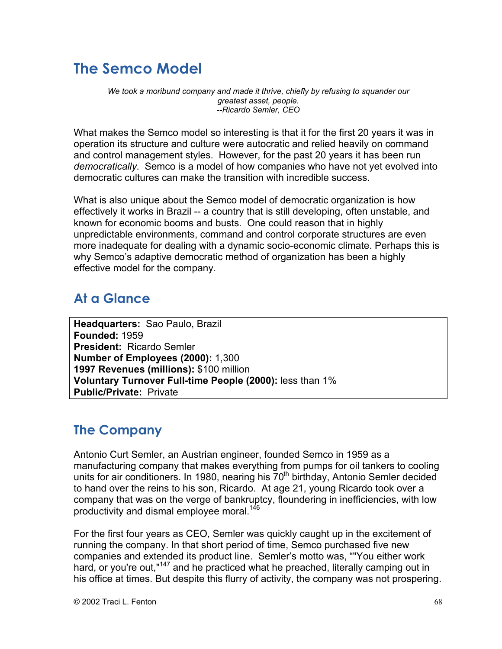# **The Semco Model**

*We took a moribund company and made it thrive, chiefly by refusing to squander our greatest asset, people. --Ricardo Semler, CEO*

What makes the Semco model so interesting is that it for the first 20 years it was in operation its structure and culture were autocratic and relied heavily on command and control management styles. However, for the past 20 years it has been run *democratically*. Semco is a model of how companies who have not yet evolved into democratic cultures can make the transition with incredible success.

What is also unique about the Semco model of democratic organization is how effectively it works in Brazil -- a country that is still developing, often unstable, and known for economic booms and busts. One could reason that in highly unpredictable environments, command and control corporate structures are even more inadequate for dealing with a dynamic socio-economic climate. Perhaps this is why Semco's adaptive democratic method of organization has been a highly effective model for the company.

# **At a Glance**

**Headquarters:** Sao Paulo, Brazil **Founded:** 1959 **President:** Ricardo Semler **Number of Employees (2000):** 1,300 **1997 Revenues (millions):** \$100 million **Voluntary Turnover Full-time People (2000):** less than 1% **Public/Private:** Private

# **The Company**

Antonio Curt Semler, an Austrian engineer, founded Semco in 1959 as a manufacturing company that makes everything from pumps for oil tankers to cooling units for air conditioners. In 1980, nearing his  $70<sup>th</sup>$  birthday, Antonio Semler decided to hand over the reins to his son, Ricardo. At age 21, young Ricardo took over a company that was on the verge of bankruptcy, floundering in inefficiencies, with low productivity and dismal employee moral.<sup>146</sup>

For the first four years as CEO, Semler was quickly caught up in the excitement of running the company. In that short period of time, Semco purchased five new companies and extended its product line. Semler's motto was, ""You either work hard, or you're out,"<sup>147</sup> and he practiced what he preached, literally camping out in his office at times. But despite this flurry of activity, the company was not prospering.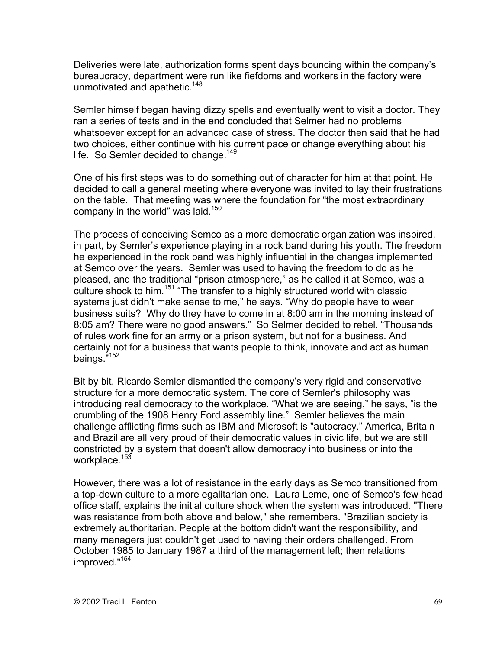Deliveries were late, authorization forms spent days bouncing within the company's bureaucracy, department were run like fiefdoms and workers in the factory were unmotivated and apathetic.<sup>148</sup>

Semler himself began having dizzy spells and eventually went to visit a doctor. They ran a series of tests and in the end concluded that Selmer had no problems whatsoever except for an advanced case of stress. The doctor then said that he had two choices, either continue with his current pace or change everything about his life. So Semler decided to change.<sup>149</sup>

One of his first steps was to do something out of character for him at that point. He decided to call a general meeting where everyone was invited to lay their frustrations on the table. That meeting was where the foundation for "the most extraordinary company in the world" was laid.<sup>150</sup>

The process of conceiving Semco as a more democratic organization was inspired, in part, by Semler's experience playing in a rock band during his youth. The freedom he experienced in the rock band was highly influential in the changes implemented at Semco over the years. Semler was used to having the freedom to do as he pleased, and the traditional "prison atmosphere," as he called it at Semco, was a culture shock to him.<sup>151</sup> "The transfer to a highly structured world with classic systems just didn't make sense to me," he says. "Why do people have to wear business suits? Why do they have to come in at 8:00 am in the morning instead of 8:05 am? There were no good answers." So Selmer decided to rebel. "Thousands of rules work fine for an army or a prison system, but not for a business. And certainly not for a business that wants people to think, innovate and act as human beings."152

Bit by bit, Ricardo Semler dismantled the company's very rigid and conservative structure for a more democratic system. The core of Semler's philosophy was introducing real democracy to the workplace. "What we are seeing," he says, "is the crumbling of the 1908 Henry Ford assembly line." Semler believes the main challenge afflicting firms such as IBM and Microsoft is "autocracy." America, Britain and Brazil are all very proud of their democratic values in civic life, but we are still constricted by a system that doesn't allow democracy into business or into the workplace.<sup>153</sup>

However, there was a lot of resistance in the early days as Semco transitioned from a top-down culture to a more egalitarian one. Laura Leme, one of Semco's few head office staff, explains the initial culture shock when the system was introduced. "There was resistance from both above and below," she remembers. "Brazilian society is extremely authoritarian. People at the bottom didn't want the responsibility, and many managers just couldn't get used to having their orders challenged. From October 1985 to January 1987 a third of the management left; then relations improved."154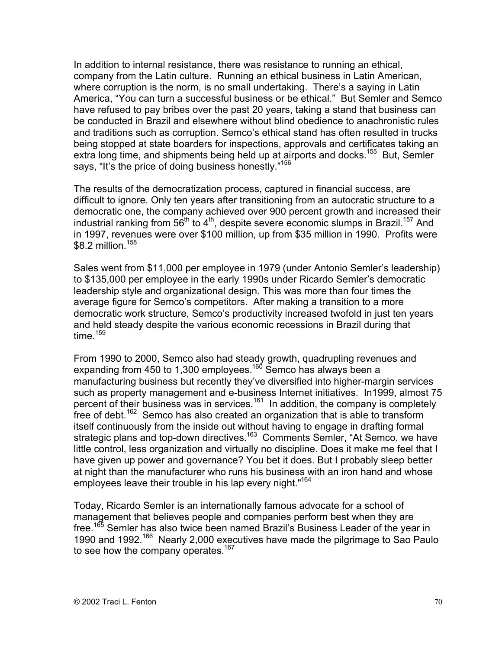In addition to internal resistance, there was resistance to running an ethical, company from the Latin culture. Running an ethical business in Latin American, where corruption is the norm, is no small undertaking. There's a saying in Latin America, "You can turn a successful business or be ethical." But Semler and Semco have refused to pay bribes over the past 20 years, taking a stand that business can be conducted in Brazil and elsewhere without blind obedience to anachronistic rules and traditions such as corruption. Semco's ethical stand has often resulted in trucks being stopped at state boarders for inspections, approvals and certificates taking an extra long time, and shipments being held up at airports and docks.<sup>155</sup> But, Semler says, "It's the price of doing business honestly."156

The results of the democratization process, captured in financial success, are difficult to ignore. Only ten years after transitioning from an autocratic structure to a democratic one, the company achieved over 900 percent growth and increased their industrial ranking from 56<sup>th</sup> to 4<sup>th</sup>, despite severe economic slumps in Brazil.<sup>157</sup> And in 1997, revenues were over \$100 million, up from \$35 million in 1990. Profits were  $$8.2$  million.<sup>158</sup>

Sales went from \$11,000 per employee in 1979 (under Antonio Semler's leadership) to \$135,000 per employee in the early 1990s under Ricardo Semler's democratic leadership style and organizational design. This was more than four times the average figure for Semco's competitors. After making a transition to a more democratic work structure, Semco's productivity increased twofold in just ten years and held steady despite the various economic recessions in Brazil during that time. $159$ 

From 1990 to 2000, Semco also had steady growth, quadrupling revenues and expanding from 450 to 1,300 employees.<sup>160</sup> Semco has always been a manufacturing business but recently they've diversified into higher-margin services such as property management and e-business Internet initiatives. In1999, almost 75 percent of their business was in services.<sup>161</sup> In addition, the company is completely free of debt.<sup>162</sup> Semco has also created an organization that is able to transform itself continuously from the inside out without having to engage in drafting formal strategic plans and top-down directives.<sup>163</sup> Comments Semler, "At Semco, we have little control, less organization and virtually no discipline. Does it make me feel that I have given up power and governance? You bet it does. But I probably sleep better at night than the manufacturer who runs his business with an iron hand and whose employees leave their trouble in his lap every night."<sup>164</sup>

Today, Ricardo Semler is an internationally famous advocate for a school of management that believes people and companies perform best when they are free.<sup>165</sup> Semler has also twice been named Brazil's Business Leader of the year in 1990 and 1992.<sup>166</sup> Nearly 2,000 executives have made the pilgrimage to Sao Paulo to see how the company operates.<sup>167</sup>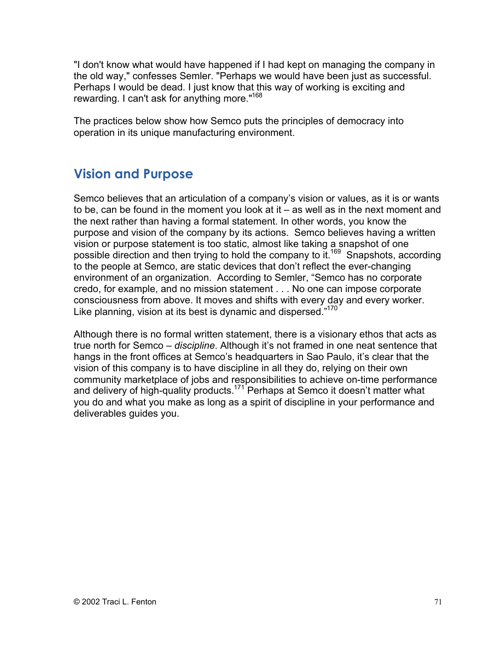"I don't know what would have happened if I had kept on managing the company in the old way," confesses Semler. "Perhaps we would have been just as successful. Perhaps I would be dead. I just know that this way of working is exciting and rewarding. I can't ask for anything more."168

The practices below show how Semco puts the principles of democracy into operation in its unique manufacturing environment.

## **Vision and Purpose**

Semco believes that an articulation of a company's vision or values, as it is or wants to be, can be found in the moment you look at it – as well as in the next moment and the next rather than having a formal statement. In other words, you know the purpose and vision of the company by its actions. Semco believes having a written vision or purpose statement is too static, almost like taking a snapshot of one possible direction and then trying to hold the company to it.<sup>169</sup> Snapshots, according to the people at Semco, are static devices that don't reflect the ever-changing environment of an organization. According to Semler, "Semco has no corporate credo, for example, and no mission statement . . . No one can impose corporate consciousness from above. It moves and shifts with every day and every worker. Like planning, vision at its best is dynamic and dispersed."<sup>170</sup>

Although there is no formal written statement, there is a visionary ethos that acts as true north for Semco – *discipline*. Although it's not framed in one neat sentence that hangs in the front offices at Semco's headquarters in Sao Paulo, it's clear that the vision of this company is to have discipline in all they do, relying on their own community marketplace of jobs and responsibilities to achieve on-time performance and delivery of high-quality products.<sup>171</sup> Perhaps at Semco it doesn't matter what you do and what you make as long as a spirit of discipline in your performance and deliverables guides you.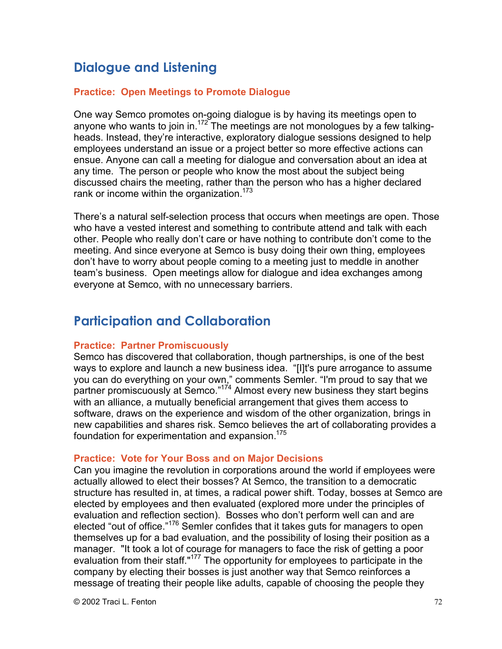## **Dialogue and Listening**

#### **Practice: Open Meetings to Promote Dialogue**

One way Semco promotes on-going dialogue is by having its meetings open to anyone who wants to join in.<sup>172</sup> The meetings are not monologues by a few talkingheads. Instead, they're interactive, exploratory dialogue sessions designed to help employees understand an issue or a project better so more effective actions can ensue. Anyone can call a meeting for dialogue and conversation about an idea at any time. The person or people who know the most about the subject being discussed chairs the meeting, rather than the person who has a higher declared rank or income within the organization.<sup>173</sup>

There's a natural self-selection process that occurs when meetings are open. Those who have a vested interest and something to contribute attend and talk with each other. People who really don't care or have nothing to contribute don't come to the meeting. And since everyone at Semco is busy doing their own thing, employees don't have to worry about people coming to a meeting just to meddle in another team's business. Open meetings allow for dialogue and idea exchanges among everyone at Semco, with no unnecessary barriers.

## **Participation and Collaboration**

#### **Practice: Partner Promiscuously**

Semco has discovered that collaboration, though partnerships, is one of the best ways to explore and launch a new business idea. "[I]t's pure arrogance to assume you can do everything on your own," comments Semler. "I'm proud to say that we partner promiscuously at Semco."<sup>174</sup> Almost every new business they start begins with an alliance, a mutually beneficial arrangement that gives them access to software, draws on the experience and wisdom of the other organization, brings in new capabilities and shares risk. Semco believes the art of collaborating provides a foundation for experimentation and expansion.<sup>175</sup>

#### **Practice: Vote for Your Boss and on Major Decisions**

Can you imagine the revolution in corporations around the world if employees were actually allowed to elect their bosses? At Semco, the transition to a democratic structure has resulted in, at times, a radical power shift. Today, bosses at Semco are elected by employees and then evaluated (explored more under the principles of evaluation and reflection section). Bosses who don't perform well can and are elected "out of office."<sup>176</sup> Semler confides that it takes guts for managers to open themselves up for a bad evaluation, and the possibility of losing their position as a manager. "It took a lot of courage for managers to face the risk of getting a poor evaluation from their staff."<sup>177</sup> The opportunity for employees to participate in the company by electing their bosses is just another way that Semco reinforces a message of treating their people like adults, capable of choosing the people they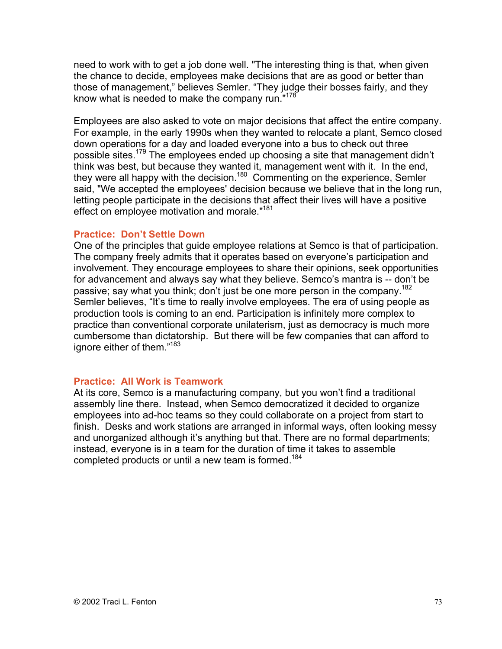need to work with to get a job done well. "The interesting thing is that, when given the chance to decide, employees make decisions that are as good or better than those of management," believes Semler. "They judge their bosses fairly, and they know what is needed to make the company run."<sup>178</sup>

Employees are also asked to vote on major decisions that affect the entire company. For example, in the early 1990s when they wanted to relocate a plant, Semco closed down operations for a day and loaded everyone into a bus to check out three possible sites.<sup>179</sup> The employees ended up choosing a site that management didn't think was best, but because they wanted it, management went with it. In the end, they were all happy with the decision.<sup>180</sup> Commenting on the experience, Semler said, "We accepted the employees' decision because we believe that in the long run, letting people participate in the decisions that affect their lives will have a positive effect on employee motivation and morale."<sup>181</sup>

### **Practice: Don't Settle Down**

One of the principles that guide employee relations at Semco is that of participation. The company freely admits that it operates based on everyone's participation and involvement. They encourage employees to share their opinions, seek opportunities for advancement and always say what they believe. Semco's mantra is -- don't be passive; say what you think; don't just be one more person in the company.<sup>182</sup> Semler believes, "It's time to really involve employees. The era of using people as production tools is coming to an end. Participation is infinitely more complex to practice than conventional corporate unilaterism, just as democracy is much more cumbersome than dictatorship. But there will be few companies that can afford to ignore either of them."<sup>183</sup>

### **Practice: All Work is Teamwork**

At its core, Semco is a manufacturing company, but you won't find a traditional assembly line there. Instead, when Semco democratized it decided to organize employees into ad-hoc teams so they could collaborate on a project from start to finish. Desks and work stations are arranged in informal ways, often looking messy and unorganized although it's anything but that. There are no formal departments; instead, everyone is in a team for the duration of time it takes to assemble completed products or until a new team is formed.<sup>184</sup>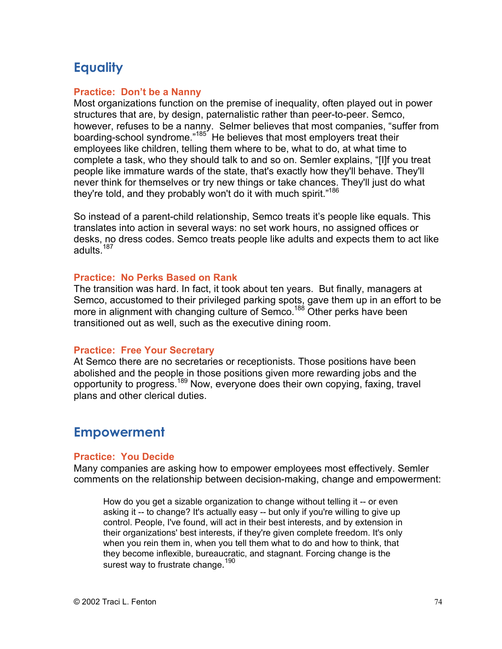## **Equality**

### **Practice: Don't be a Nanny**

Most organizations function on the premise of inequality, often played out in power structures that are, by design, paternalistic rather than peer-to-peer. Semco, however, refuses to be a nanny. Selmer believes that most companies, "suffer from boarding-school syndrome."<sup>185</sup> He believes that most employers treat their employees like children, telling them where to be, what to do, at what time to complete a task, who they should talk to and so on. Semler explains, "[I]f you treat people like immature wards of the state, that's exactly how they'll behave. They'll never think for themselves or try new things or take chances. They'll just do what they're told, and they probably won't do it with much spirit."<sup>186</sup>

So instead of a parent-child relationship, Semco treats it's people like equals. This translates into action in several ways: no set work hours, no assigned offices or desks, no dress codes. Semco treats people like adults and expects them to act like adults.<sup>187</sup>

### **Practice: No Perks Based on Rank**

The transition was hard. In fact, it took about ten years. But finally, managers at Semco, accustomed to their privileged parking spots, gave them up in an effort to be more in alignment with changing culture of Semco.<sup>188</sup> Other perks have been transitioned out as well, such as the executive dining room.

### **Practice: Free Your Secretary**

At Semco there are no secretaries or receptionists. Those positions have been abolished and the people in those positions given more rewarding jobs and the opportunity to progress.<sup>189</sup> Now, everyone does their own copying, faxing, travel plans and other clerical duties.

## **Empowerment**

### **Practice: You Decide**

Many companies are asking how to empower employees most effectively. Semler comments on the relationship between decision-making, change and empowerment:

How do you get a sizable organization to change without telling it -- or even asking it -- to change? It's actually easy -- but only if you're willing to give up control. People, I've found, will act in their best interests, and by extension in their organizations' best interests, if they're given complete freedom. It's only when you rein them in, when you tell them what to do and how to think, that they become inflexible, bureaucratic, and stagnant. Forcing change is the surest way to frustrate change.<sup>190</sup>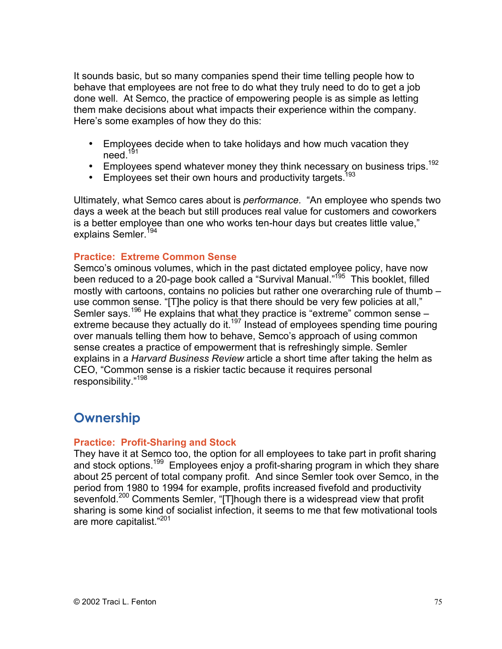It sounds basic, but so many companies spend their time telling people how to behave that employees are not free to do what they truly need to do to get a job done well. At Semco, the practice of empowering people is as simple as letting them make decisions about what impacts their experience within the company. Here's some examples of how they do this:

Employees decide when to take holidays and how much vacation they need. $191$ 

Employees spend whatever money they think necessary on business trips.<sup>192</sup> Employees set their own hours and productivity targets.<sup>193</sup>

Ultimately, what Semco cares about is *performance*. "An employee who spends two days a week at the beach but still produces real value for customers and coworkers is a better employee than one who works ten-hour days but creates little value," explains Semler.<sup>194</sup>

### **Practice: Extreme Common Sense**

Semco's ominous volumes, which in the past dictated employee policy, have now been reduced to a 20-page book called a "Survival Manual."<sup>195</sup> This booklet, filled mostly with cartoons, contains no policies but rather one overarching rule of thumb – use common sense. "[T]he policy is that there should be very few policies at all," Semler says.<sup>196</sup> He explains that what they practice is "extreme" common sense extreme because they actually do it.<sup>197</sup> Instead of employees spending time pouring over manuals telling them how to behave, Semco's approach of using common sense creates a practice of empowerment that is refreshingly simple. Semler explains in a *Harvard Business Review* article a short time after taking the helm as CEO, "Common sense is a riskier tactic because it requires personal responsibility."198

## **Ownership**

#### **Practice: Profit-Sharing and Stock**

They have it at Semco too, the option for all employees to take part in profit sharing and stock options.<sup>199</sup> Employees enjoy a profit-sharing program in which they share about 25 percent of total company profit. And since Semler took over Semco, in the period from 1980 to 1994 for example, profits increased fivefold and productivity sevenfold.<sup>200</sup> Comments Semler, "[T]hough there is a widespread view that profit sharing is some kind of socialist infection, it seems to me that few motivational tools are more capitalist."201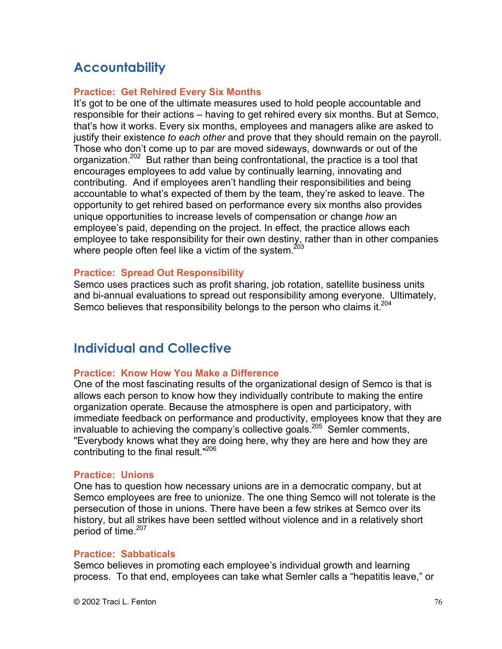## **Accountability**

### **Practice: Get Rehired Every Six Months**

It's got to be one of the ultimate measures used to hold people accountable and responsible for their actions – having to get rehired every six months. But at Semco, that's how it works. Every six months, employees and managers alike are asked to justify their existence *to each other* and prove that they should remain on the payroll. Those who don't come up to par are moved sideways, downwards or out of the organization.<sup>202</sup> But rather than being confrontational, the practice is a tool that encourages employees to add value by continually learning, innovating and contributing. And if employees aren't handling their responsibilities and being accountable to what's expected of them by the team, they're asked to leave. The opportunity to get rehired based on performance every six months also provides unique opportunities to increase levels of compensation or change *how* an employee's paid, depending on the project. In effect, the practice allows each employee to take responsibility for their own destiny, rather than in other companies where people often feel like a victim of the system.<sup>20</sup>

### **Practice: Spread Out Responsibility**

Semco uses practices such as profit sharing, job rotation, satellite business units and bi-annual evaluations to spread out responsibility among everyone. Ultimately, Semco believes that responsibility belongs to the person who claims it.<sup>204</sup>

## **Individual and Collective**

### **Practice: Know How You Make a Difference**

One of the most fascinating results of the organizational design of Semco is that is allows each person to know how they individually contribute to making the entire organization operate. Because the atmosphere is open and participatory, with immediate feedback on performance and productivity, employees know that they are invaluable to achieving the company's collective goals.<sup>205</sup> Semler comments, "Everybody knows what they are doing here, why they are here and how they are contributing to the final result."<sup>206</sup>

#### **Practice: Unions**

One has to question how necessary unions are in a democratic company, but at Semco employees are free to unionize. The one thing Semco will not tolerate is the persecution of those in unions. There have been a few strikes at Semco over its history, but all strikes have been settled without violence and in a relatively short period of time.<sup>207</sup>

#### **Practice: Sabbaticals**

Semco believes in promoting each employee's individual growth and learning process. To that end, employees can take what Semler calls a "hepatitis leave," or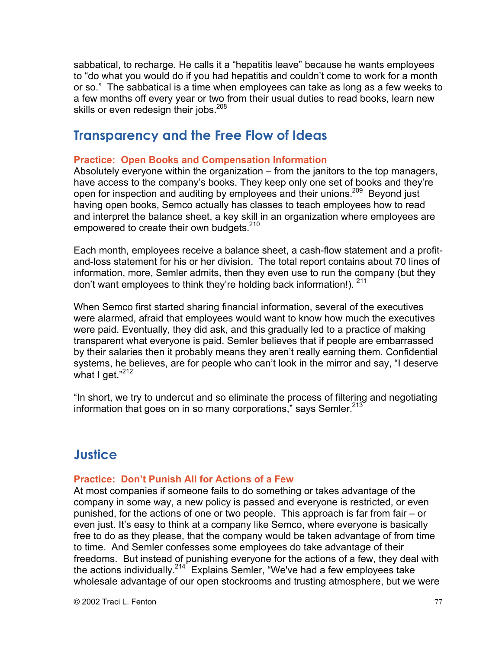sabbatical, to recharge. He calls it a "hepatitis leave" because he wants employees to "do what you would do if you had hepatitis and couldn't come to work for a month or so." The sabbatical is a time when employees can take as long as a few weeks to a few months off every year or two from their usual duties to read books, learn new skills or even redesign their jobs.<sup>208</sup>

## **Transparency and the Free Flow of Ideas**

### **Practice: Open Books and Compensation Information**

Absolutely everyone within the organization – from the janitors to the top managers, have access to the company's books. They keep only one set of books and they're open for inspection and auditing by employees and their unions.<sup>209</sup> Beyond just having open books, Semco actually has classes to teach employees how to read and interpret the balance sheet, a key skill in an organization where employees are empowered to create their own budgets.<sup>210</sup>

Each month, employees receive a balance sheet, a cash-flow statement and a profitand-loss statement for his or her division. The total report contains about 70 lines of information, more, Semler admits, then they even use to run the company (but they don't want employees to think they're holding back information!). <sup>211</sup>

When Semco first started sharing financial information, several of the executives were alarmed, afraid that employees would want to know how much the executives were paid. Eventually, they did ask, and this gradually led to a practice of making transparent what everyone is paid. Semler believes that if people are embarrassed by their salaries then it probably means they aren't really earning them. Confidential systems, he believes, are for people who can't look in the mirror and say, "I deserve what I get."212

"In short, we try to undercut and so eliminate the process of filtering and negotiating information that goes on in so many corporations," says Semler.<sup>213</sup>

## **Justice**

### **Practice: Don't Punish All for Actions of a Few**

At most companies if someone fails to do something or takes advantage of the company in some way, a new policy is passed and everyone is restricted, or even punished, for the actions of one or two people. This approach is far from fair – or even just. It's easy to think at a company like Semco, where everyone is basically free to do as they please, that the company would be taken advantage of from time to time. And Semler confesses some employees do take advantage of their freedoms. But instead of punishing everyone for the actions of a few, they deal with the actions individually.<sup>214</sup> Explains Semler, "We've had a few employees take wholesale advantage of our open stockrooms and trusting atmosphere, but we were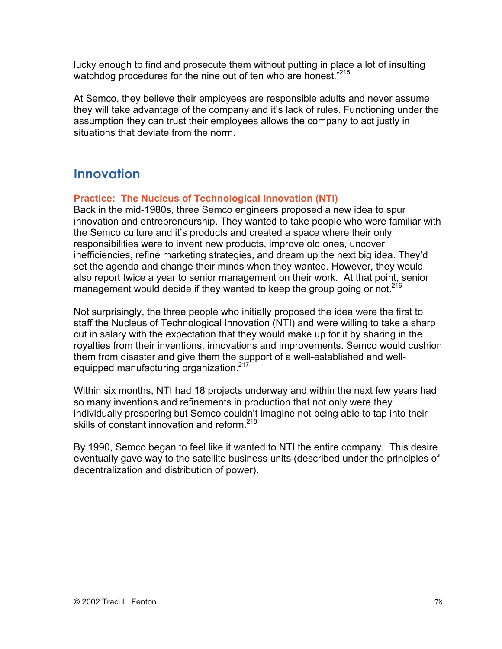lucky enough to find and prosecute them without putting in place a lot of insulting watchdog procedures for the nine out of ten who are honest."<sup>215</sup>

At Semco, they believe their employees are responsible adults and never assume they will take advantage of the company and it's lack of rules. Functioning under the assumption they can trust their employees allows the company to act justly in situations that deviate from the norm.

## **Innovation**

### **Practice: The Nucleus of Technological Innovation (NTI)**

Back in the mid-1980s, three Semco engineers proposed a new idea to spur innovation and entrepreneurship. They wanted to take people who were familiar with the Semco culture and it's products and created a space where their only responsibilities were to invent new products, improve old ones, uncover inefficiencies, refine marketing strategies, and dream up the next big idea. They'd set the agenda and change their minds when they wanted. However, they would also report twice a year to senior management on their work. At that point, senior management would decide if they wanted to keep the group going or not.<sup>216</sup>

Not surprisingly, the three people who initially proposed the idea were the first to staff the Nucleus of Technological Innovation (NTI) and were willing to take a sharp cut in salary with the expectation that they would make up for it by sharing in the royalties from their inventions, innovations and improvements. Semco would cushion them from disaster and give them the support of a well-established and wellequipped manufacturing organization.<sup>217</sup>

Within six months, NTI had 18 projects underway and within the next few years had so many inventions and refinements in production that not only were they individually prospering but Semco couldn't imagine not being able to tap into their skills of constant innovation and reform.<sup>218</sup>

By 1990, Semco began to feel like it wanted to NTI the entire company. This desire eventually gave way to the satellite business units (described under the principles of decentralization and distribution of power).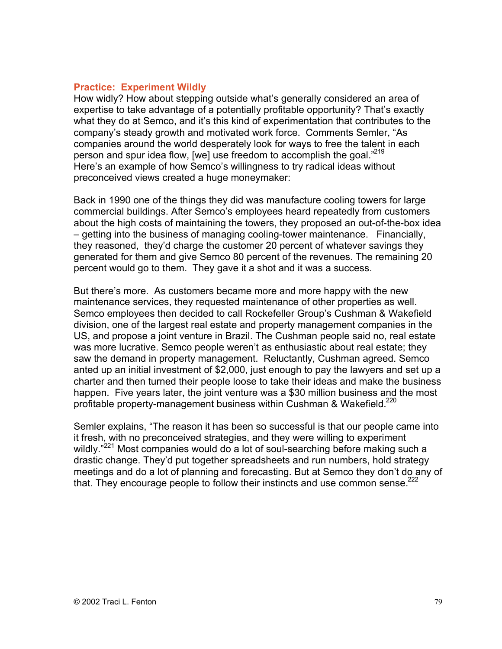### **Practice: Experiment Wildly**

How widly? How about stepping outside what's generally considered an area of expertise to take advantage of a potentially profitable opportunity? That's exactly what they do at Semco, and it's this kind of experimentation that contributes to the company's steady growth and motivated work force. Comments Semler, "As companies around the world desperately look for ways to free the talent in each person and spur idea flow, [we] use freedom to accomplish the goal."<sup>219</sup> Here's an example of how Semco's willingness to try radical ideas without preconceived views created a huge moneymaker:

Back in 1990 one of the things they did was manufacture cooling towers for large commercial buildings. After Semco's employees heard repeatedly from customers about the high costs of maintaining the towers, they proposed an out-of-the-box idea – getting into the business of managing cooling-tower maintenance. Financially, they reasoned, they'd charge the customer 20 percent of whatever savings they generated for them and give Semco 80 percent of the revenues. The remaining 20 percent would go to them. They gave it a shot and it was a success.

But there's more. As customers became more and more happy with the new maintenance services, they requested maintenance of other properties as well. Semco employees then decided to call Rockefeller Group's Cushman & Wakefield division, one of the largest real estate and property management companies in the US, and propose a joint venture in Brazil. The Cushman people said no, real estate was more lucrative. Semco people weren't as enthusiastic about real estate; they saw the demand in property management. Reluctantly, Cushman agreed. Semco anted up an initial investment of \$2,000, just enough to pay the lawyers and set up a charter and then turned their people loose to take their ideas and make the business happen. Five years later, the joint venture was a \$30 million business and the most profitable property-management business within Cushman & Wakefield.<sup>220</sup>

Semler explains, "The reason it has been so successful is that our people came into it fresh, with no preconceived strategies, and they were willing to experiment wildly."<sup>221</sup> Most companies would do a lot of soul-searching before making such a drastic change. They'd put together spreadsheets and run numbers, hold strategy meetings and do a lot of planning and forecasting. But at Semco they don't do any of that. They encourage people to follow their instincts and use common sense.<sup>222</sup>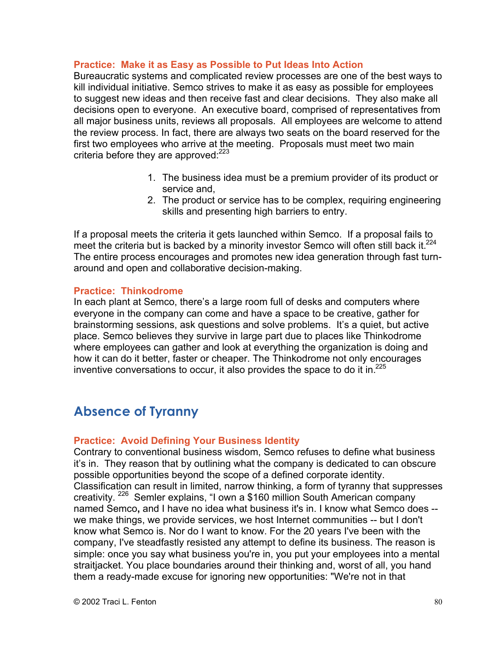### **Practice: Make it as Easy as Possible to Put Ideas Into Action**

Bureaucratic systems and complicated review processes are one of the best ways to kill individual initiative. Semco strives to make it as easy as possible for employees to suggest new ideas and then receive fast and clear decisions. They also make all decisions open to everyone. An executive board, comprised of representatives from all major business units, reviews all proposals. All employees are welcome to attend the review process. In fact, there are always two seats on the board reserved for the first two employees who arrive at the meeting. Proposals must meet two main criteria before they are approved: $223$ 

- 1. The business idea must be a premium provider of its product or service and,
- 2. The product or service has to be complex, requiring engineering skills and presenting high barriers to entry.

If a proposal meets the criteria it gets launched within Semco. If a proposal fails to meet the criteria but is backed by a minority investor Semco will often still back it.<sup>224</sup> The entire process encourages and promotes new idea generation through fast turnaround and open and collaborative decision-making.

### **Practice: Thinkodrome**

In each plant at Semco, there's a large room full of desks and computers where everyone in the company can come and have a space to be creative, gather for brainstorming sessions, ask questions and solve problems. It's a quiet, but active place. Semco believes they survive in large part due to places like Thinkodrome where employees can gather and look at everything the organization is doing and how it can do it better, faster or cheaper. The Thinkodrome not only encourages inventive conversations to occur, it also provides the space to do it in. $^{225}$ 

## **Absence of Tyranny**

### **Practice: Avoid Defining Your Business Identity**

Contrary to conventional business wisdom, Semco refuses to define what business it's in. They reason that by outlining what the company is dedicated to can obscure possible opportunities beyond the scope of a defined corporate identity. Classification can result in limited, narrow thinking, a form of tyranny that suppresses creativity. <sup>226</sup> Semler explains, "I own a \$160 million South American company named Semco**,** and I have no idea what business it's in. I know what Semco does - we make things, we provide services, we host Internet communities -- but I don't know what Semco is. Nor do I want to know. For the 20 years I've been with the company, I've steadfastly resisted any attempt to define its business. The reason is simple: once you say what business you're in, you put your employees into a mental straitjacket. You place boundaries around their thinking and, worst of all, you hand them a ready-made excuse for ignoring new opportunities: "We're not in that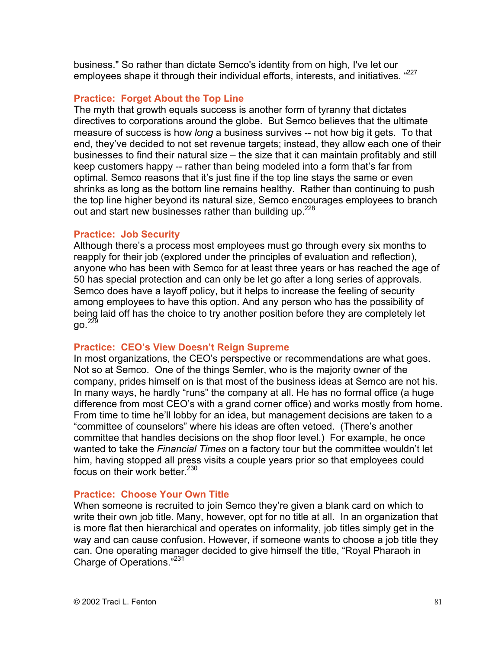business." So rather than dictate Semco's identity from on high, I've let our employees shape it through their individual efforts, interests, and initiatives. "277

### **Practice: Forget About the Top Line**

The myth that growth equals success is another form of tyranny that dictates directives to corporations around the globe. But Semco believes that the ultimate measure of success is how *long* a business survives -- not how big it gets. To that end, they've decided to not set revenue targets; instead, they allow each one of their businesses to find their natural size – the size that it can maintain profitably and still keep customers happy -- rather than being modeled into a form that's far from optimal. Semco reasons that it's just fine if the top line stays the same or even shrinks as long as the bottom line remains healthy. Rather than continuing to push the top line higher beyond its natural size, Semco encourages employees to branch out and start new businesses rather than building up.<sup>228</sup>

### **Practice: Job Security**

Although there's a process most employees must go through every six months to reapply for their job (explored under the principles of evaluation and reflection), anyone who has been with Semco for at least three years or has reached the age of 50 has special protection and can only be let go after a long series of approvals. Semco does have a layoff policy, but it helps to increase the feeling of security among employees to have this option. And any person who has the possibility of being laid off has the choice to try another position before they are completely let  $90.<sup>229</sup>$ 

### **Practice: CEO's View Doesn't Reign Supreme**

In most organizations, the CEO's perspective or recommendations are what goes. Not so at Semco. One of the things Semler, who is the majority owner of the company, prides himself on is that most of the business ideas at Semco are not his. In many ways, he hardly "runs" the company at all. He has no formal office (a huge difference from most CEO's with a grand corner office) and works mostly from home. From time to time he'll lobby for an idea, but management decisions are taken to a "committee of counselors" where his ideas are often vetoed. (There's another committee that handles decisions on the shop floor level.) For example, he once wanted to take the *Financial Times* on a factory tour but the committee wouldn't let him, having stopped all press visits a couple years prior so that employees could focus on their work better.<sup>230</sup>

### **Practice: Choose Your Own Title**

When someone is recruited to join Semco they're given a blank card on which to write their own job title. Many, however, opt for no title at all. In an organization that is more flat then hierarchical and operates on informality, job titles simply get in the way and can cause confusion. However, if someone wants to choose a job title they can. One operating manager decided to give himself the title, "Royal Pharaoh in Charge of Operations."231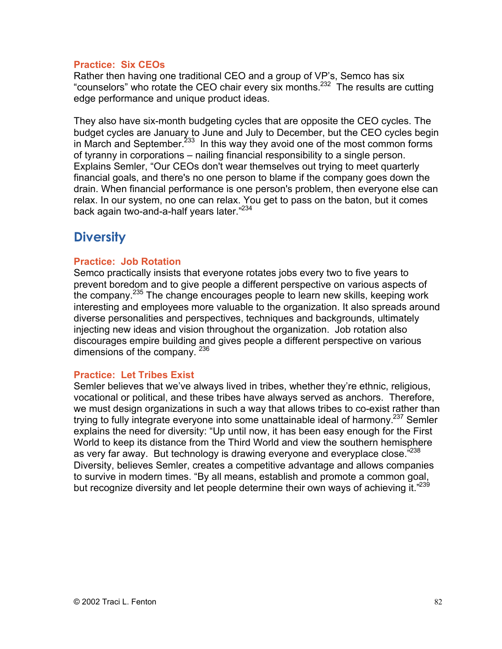### **Practice: Six CEOs**

Rather then having one traditional CEO and a group of VP's, Semco has six "counselors" who rotate the CEO chair every six months.<sup>232</sup> The results are cutting edge performance and unique product ideas.

They also have six-month budgeting cycles that are opposite the CEO cycles. The budget cycles are January to June and July to December, but the CEO cycles begin in March and September.<sup>233</sup> In this way they avoid one of the most common forms of tyranny in corporations – nailing financial responsibility to a single person. Explains Semler, "Our CEOs don't wear themselves out trying to meet quarterly financial goals, and there's no one person to blame if the company goes down the drain. When financial performance is one person's problem, then everyone else can relax. In our system, no one can relax. You get to pass on the baton, but it comes back again two-and-a-half years later."<sup>234</sup>

## **Diversity**

### **Practice: Job Rotation**

Semco practically insists that everyone rotates jobs every two to five years to prevent boredom and to give people a different perspective on various aspects of the company.<sup>235</sup> The change encourages people to learn new skills, keeping work interesting and employees more valuable to the organization. It also spreads around diverse personalities and perspectives, techniques and backgrounds, ultimately injecting new ideas and vision throughout the organization. Job rotation also discourages empire building and gives people a different perspective on various dimensions of the company. 236

### **Practice: Let Tribes Exist**

Semler believes that we've always lived in tribes, whether they're ethnic, religious, vocational or political, and these tribes have always served as anchors. Therefore, we must design organizations in such a way that allows tribes to co-exist rather than trying to fully integrate everyone into some unattainable ideal of harmony.<sup>237</sup> Semler explains the need for diversity: "Up until now, it has been easy enough for the First World to keep its distance from the Third World and view the southern hemisphere as very far away. But technology is drawing everyone and everyplace close."<sup>238</sup> Diversity, believes Semler, creates a competitive advantage and allows companies to survive in modern times. "By all means, establish and promote a common goal, but recognize diversity and let people determine their own ways of achieving it."<sup>239</sup>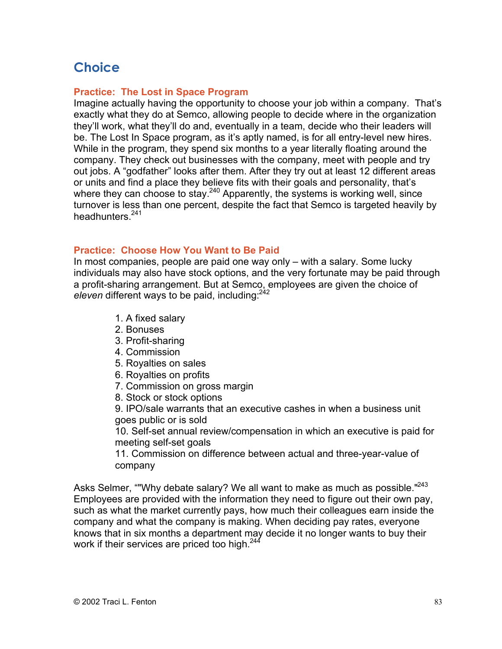# **Choice**

### **Practice: The Lost in Space Program**

Imagine actually having the opportunity to choose your job within a company. That's exactly what they do at Semco, allowing people to decide where in the organization they'll work, what they'll do and, eventually in a team, decide who their leaders will be. The Lost In Space program, as it's aptly named, is for all entry-level new hires. While in the program, they spend six months to a year literally floating around the company. They check out businesses with the company, meet with people and try out jobs. A "godfather" looks after them. After they try out at least 12 different areas or units and find a place they believe fits with their goals and personality, that's where they can choose to stay.<sup>240</sup> Apparently, the systems is working well, since turnover is less than one percent, despite the fact that Semco is targeted heavily by headhunters.<sup>241</sup>

### **Practice: Choose How You Want to Be Paid**

In most companies, people are paid one way only – with a salary. Some lucky individuals may also have stock options, and the very fortunate may be paid through a profit-sharing arrangement. But at Semco, employees are given the choice of eleven different ways to be paid, including:<sup>242</sup>

- 1. A fixed salary
- 2. Bonuses
- 3. Profit-sharing
- 4. Commission
- 5. Royalties on sales
- 6. Royalties on profits
- 7. Commission on gross margin
- 8. Stock or stock options

9. IPO/sale warrants that an executive cashes in when a business unit goes public or is sold

10. Self-set annual review/compensation in which an executive is paid for meeting self-set goals

11. Commission on difference between actual and three-year-value of company

Asks Selmer, ""Why debate salary? We all want to make as much as possible."<sup>243</sup> Employees are provided with the information they need to figure out their own pay, such as what the market currently pays, how much their colleagues earn inside the company and what the company is making. When deciding pay rates, everyone knows that in six months a department may decide it no longer wants to buy their work if their services are priced too high.<sup>244</sup>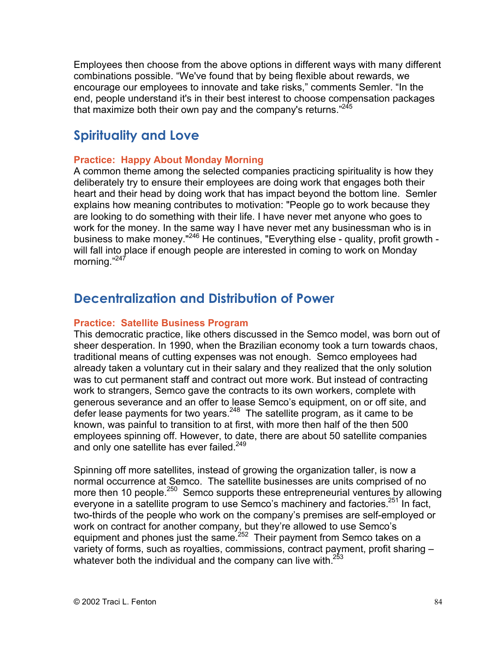Employees then choose from the above options in different ways with many different combinations possible. "We've found that by being flexible about rewards, we encourage our employees to innovate and take risks," comments Semler. "In the end, people understand it's in their best interest to choose compensation packages that maximize both their own pay and the company's returns."<sup>245</sup>

## **Spirituality and Love**

### **Practice: Happy About Monday Morning**

A common theme among the selected companies practicing spirituality is how they deliberately try to ensure their employees are doing work that engages both their heart and their head by doing work that has impact beyond the bottom line. Semler explains how meaning contributes to motivation: "People go to work because they are looking to do something with their life. I have never met anyone who goes to work for the money. In the same way I have never met any businessman who is in business to make money."<sup>246</sup> He continues, "Everything else - quality, profit growth will fall into place if enough people are interested in coming to work on Monday morning."247

## **Decentralization and Distribution of Power**

### **Practice: Satellite Business Program**

This democratic practice, like others discussed in the Semco model, was born out of sheer desperation. In 1990, when the Brazilian economy took a turn towards chaos, traditional means of cutting expenses was not enough. Semco employees had already taken a voluntary cut in their salary and they realized that the only solution was to cut permanent staff and contract out more work. But instead of contracting work to strangers, Semco gave the contracts to its own workers, complete with generous severance and an offer to lease Semco's equipment, on or off site, and defer lease payments for two years.<sup>248</sup> The satellite program, as it came to be known, was painful to transition to at first, with more then half of the then 500 employees spinning off. However, to date, there are about 50 satellite companies and only one satellite has ever failed.<sup>249</sup>

Spinning off more satellites, instead of growing the organization taller, is now a normal occurrence at Semco. The satellite businesses are units comprised of no more then 10 people.<sup>250</sup> Semco supports these entrepreneurial ventures by allowing everyone in a satellite program to use Semco's machinery and factories.<sup>251</sup> In fact, two-thirds of the people who work on the company's premises are self-employed or work on contract for another company, but they're allowed to use Semco's equipment and phones just the same.<sup>252</sup> Their payment from Semco takes on a variety of forms, such as royalties, commissions, contract payment, profit sharing – whatever both the individual and the company can live with. $253$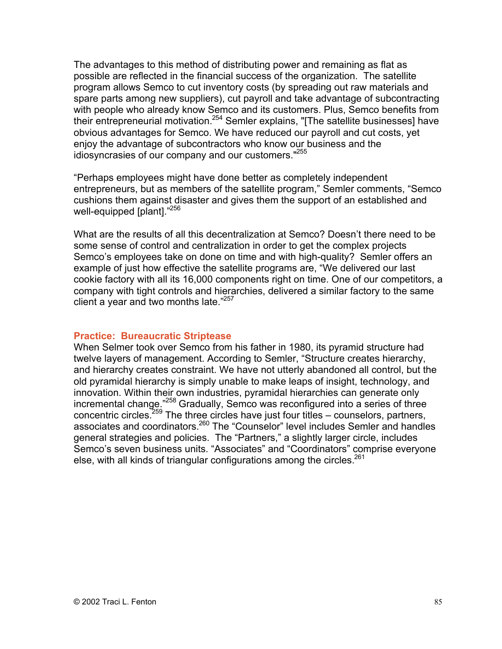The advantages to this method of distributing power and remaining as flat as possible are reflected in the financial success of the organization. The satellite program allows Semco to cut inventory costs (by spreading out raw materials and spare parts among new suppliers), cut payroll and take advantage of subcontracting with people who already know Semco and its customers. Plus, Semco benefits from their entrepreneurial motivation.<sup>254</sup> Semler explains, "[The satellite businesses] have obvious advantages for Semco. We have reduced our payroll and cut costs, yet enjoy the advantage of subcontractors who know our business and the idiosyncrasies of our company and our customers."255

"Perhaps employees might have done better as completely independent entrepreneurs, but as members of the satellite program," Semler comments, "Semco cushions them against disaster and gives them the support of an established and well-equipped [plant]."<sup>256</sup>

What are the results of all this decentralization at Semco? Doesn't there need to be some sense of control and centralization in order to get the complex projects Semco's employees take on done on time and with high-quality? Semler offers an example of just how effective the satellite programs are, "We delivered our last cookie factory with all its 16,000 components right on time. One of our competitors, a company with tight controls and hierarchies, delivered a similar factory to the same client a year and two months late. $1257$ 

### **Practice: Bureaucratic Striptease**

When Selmer took over Semco from his father in 1980, its pyramid structure had twelve layers of management. According to Semler, "Structure creates hierarchy, and hierarchy creates constraint. We have not utterly abandoned all control, but the old pyramidal hierarchy is simply unable to make leaps of insight, technology, and innovation. Within their own industries, pyramidal hierarchies can generate only incremental change."<sup>258</sup> Gradually, Semco was reconfigured into a series of three concentric circles.<sup>259</sup> The three circles have just four titles – counselors, partners, associates and coordinators.<sup>260</sup> The "Counselor" level includes Semler and handles general strategies and policies. The "Partners," a slightly larger circle, includes Semco's seven business units. "Associates" and "Coordinators" comprise everyone else, with all kinds of triangular configurations among the circles. $261$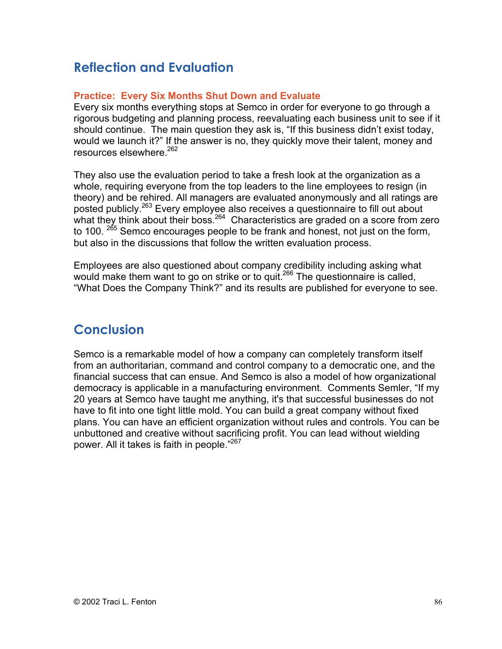# **Reflection and Evaluation**

### **Practice: Every Six Months Shut Down and Evaluate**

Every six months everything stops at Semco in order for everyone to go through a rigorous budgeting and planning process, reevaluating each business unit to see if it should continue. The main question they ask is, "If this business didn't exist today, would we launch it?" If the answer is no, they quickly move their talent, money and resources elsewhere.262

They also use the evaluation period to take a fresh look at the organization as a whole, requiring everyone from the top leaders to the line employees to resign (in theory) and be rehired. All managers are evaluated anonymously and all ratings are posted publicly.<sup>263</sup> Every employee also receives a questionnaire to fill out about what they think about their boss. $264$  Characteristics are graded on a score from zero to 100. <sup>265</sup> Semco encourages people to be frank and honest, not just on the form, but also in the discussions that follow the written evaluation process.

Employees are also questioned about company credibility including asking what would make them want to go on strike or to quit.<sup>266</sup> The questionnaire is called, "What Does the Company Think?" and its results are published for everyone to see.

## **Conclusion**

Semco is a remarkable model of how a company can completely transform itself from an authoritarian, command and control company to a democratic one, and the financial success that can ensue. And Semco is also a model of how organizational democracy is applicable in a manufacturing environment. Comments Semler, "If my 20 years at Semco have taught me anything, it's that successful businesses do not have to fit into one tight little mold. You can build a great company without fixed plans. You can have an efficient organization without rules and controls. You can be unbuttoned and creative without sacrificing profit. You can lead without wielding power. All it takes is faith in people."267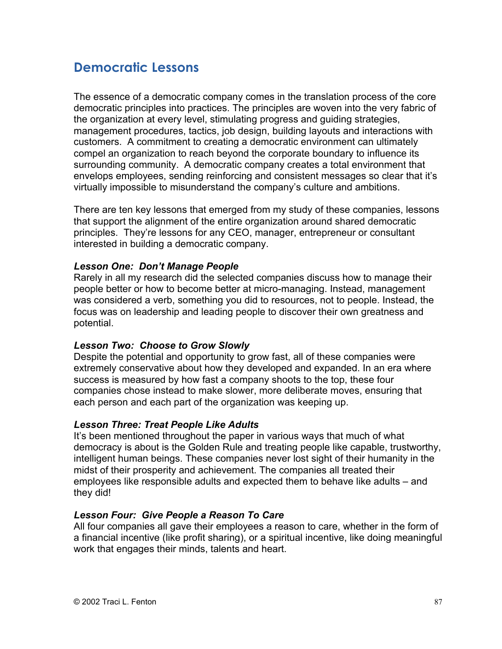## **Democratic Lessons**

The essence of a democratic company comes in the translation process of the core democratic principles into practices. The principles are woven into the very fabric of the organization at every level, stimulating progress and guiding strategies, management procedures, tactics, job design, building layouts and interactions with customers. A commitment to creating a democratic environment can ultimately compel an organization to reach beyond the corporate boundary to influence its surrounding community. A democratic company creates a total environment that envelops employees, sending reinforcing and consistent messages so clear that it's virtually impossible to misunderstand the company's culture and ambitions.

There are ten key lessons that emerged from my study of these companies, lessons that support the alignment of the entire organization around shared democratic principles. They're lessons for any CEO, manager, entrepreneur or consultant interested in building a democratic company.

### *Lesson One: Don't Manage People*

Rarely in all my research did the selected companies discuss how to manage their people better or how to become better at micro-managing. Instead, management was considered a verb, something you did to resources, not to people. Instead, the focus was on leadership and leading people to discover their own greatness and potential.

### *Lesson Two: Choose to Grow Slowly*

Despite the potential and opportunity to grow fast, all of these companies were extremely conservative about how they developed and expanded. In an era where success is measured by how fast a company shoots to the top, these four companies chose instead to make slower, more deliberate moves, ensuring that each person and each part of the organization was keeping up.

### *Lesson Three: Treat People Like Adults*

It's been mentioned throughout the paper in various ways that much of what democracy is about is the Golden Rule and treating people like capable, trustworthy, intelligent human beings. These companies never lost sight of their humanity in the midst of their prosperity and achievement. The companies all treated their employees like responsible adults and expected them to behave like adults – and they did!

### *Lesson Four: Give People a Reason To Care*

All four companies all gave their employees a reason to care, whether in the form of a financial incentive (like profit sharing), or a spiritual incentive, like doing meaningful work that engages their minds, talents and heart.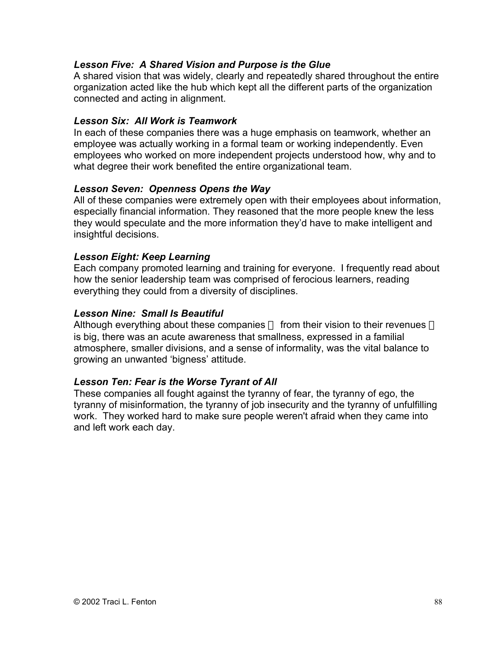### *Lesson Five: A Shared Vision and Purpose is the Glue*

A shared vision that was widely, clearly and repeatedly shared throughout the entire organization acted like the hub which kept all the different parts of the organization connected and acting in alignment.

### *Lesson Six: All Work is Teamwork*

In each of these companies there was a huge emphasis on teamwork, whether an employee was actually working in a formal team or working independently. Even employees who worked on more independent projects understood how, why and to what degree their work benefited the entire organizational team.

### *Lesson Seven: Openness Opens the Way*

All of these companies were extremely open with their employees about information, especially financial information. They reasoned that the more people knew the less they would speculate and the more information they'd have to make intelligent and insightful decisions.

### *Lesson Eight: Keep Learning*

Each company promoted learning and training for everyone. I frequently read about how the senior leadership team was comprised of ferocious learners, reading everything they could from a diversity of disciplines.

### *Lesson Nine: Small Is Beautiful*

Although everything about these companies — from their vision to their revenues is big, there was an acute awareness that smallness, expressed in a familial atmosphere, smaller divisions, and a sense of informality, was the vital balance to growing an unwanted 'bigness' attitude.

### *Lesson Ten: Fear is the Worse Tyrant of All*

These companies all fought against the tyranny of fear, the tyranny of ego, the tyranny of misinformation, the tyranny of job insecurity and the tyranny of unfulfilling work. They worked hard to make sure people weren't afraid when they came into and left work each day.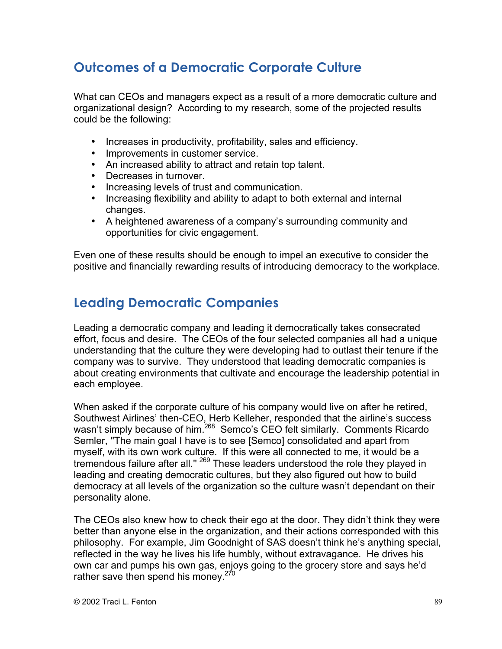# **Outcomes of a Democratic Corporate Culture**

What can CEOs and managers expect as a result of a more democratic culture and organizational design? According to my research, some of the projected results could be the following:

Increases in productivity, profitability, sales and efficiency. Improvements in customer service. An increased ability to attract and retain top talent. Decreases in turnover. Increasing levels of trust and communication. Increasing flexibility and ability to adapt to both external and internal changes. A heightened awareness of a company's surrounding community and opportunities for civic engagement.

Even one of these results should be enough to impel an executive to consider the positive and financially rewarding results of introducing democracy to the workplace.

## **Leading Democratic Companies**

Leading a democratic company and leading it democratically takes consecrated effort, focus and desire. The CEOs of the four selected companies all had a unique understanding that the culture they were developing had to outlast their tenure if the company was to survive. They understood that leading democratic companies is about creating environments that cultivate and encourage the leadership potential in each employee.

When asked if the corporate culture of his company would live on after he retired, Southwest Airlines' then-CEO, Herb Kelleher, responded that the airline's success wasn't simply because of him.<sup>268</sup> Semco's CEO felt similarly. Comments Ricardo Semler, ''The main goal I have is to see [Semco] consolidated and apart from myself, with its own work culture. If this were all connected to me, it would be a tremendous failure after all." <sup>269</sup> These leaders understood the role they played in leading and creating democratic cultures, but they also figured out how to build democracy at all levels of the organization so the culture wasn't dependant on their personality alone.

The CEOs also knew how to check their ego at the door. They didn't think they were better than anyone else in the organization, and their actions corresponded with this philosophy. For example, Jim Goodnight of SAS doesn't think he's anything special, reflected in the way he lives his life humbly, without extravagance. He drives his own car and pumps his own gas, enjoys going to the grocery store and says he'd rather save then spend his money.<sup>270</sup>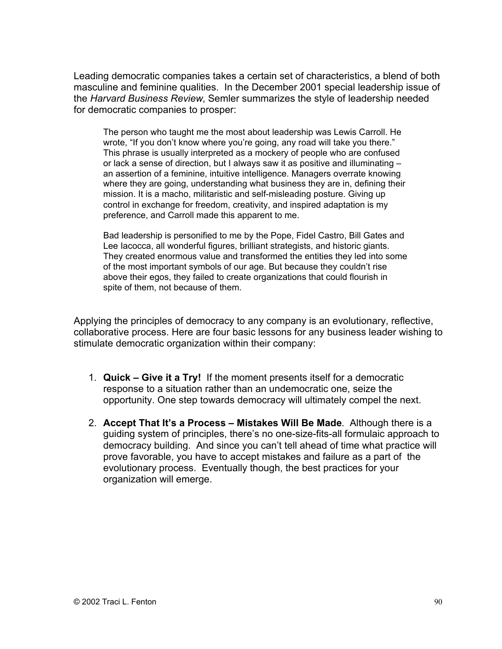Leading democratic companies takes a certain set of characteristics, a blend of both masculine and feminine qualities. In the December 2001 special leadership issue of the *Harvard Business Review*, Semler summarizes the style of leadership needed for democratic companies to prosper:

The person who taught me the most about leadership was Lewis Carroll. He wrote, "If you don't know where you're going, any road will take you there." This phrase is usually interpreted as a mockery of people who are confused or lack a sense of direction, but I always saw it as positive and illuminating – an assertion of a feminine, intuitive intelligence. Managers overrate knowing where they are going, understanding what business they are in, defining their mission. It is a macho, militaristic and self-misleading posture. Giving up control in exchange for freedom, creativity, and inspired adaptation is my preference, and Carroll made this apparent to me.

Bad leadership is personified to me by the Pope, Fidel Castro, Bill Gates and Lee Iacocca, all wonderful figures, brilliant strategists, and historic giants. They created enormous value and transformed the entities they led into some of the most important symbols of our age. But because they couldn't rise above their egos, they failed to create organizations that could flourish in spite of them, not because of them.

Applying the principles of democracy to any company is an evolutionary, reflective, collaborative process. Here are four basic lessons for any business leader wishing to stimulate democratic organization within their company:

- 1. **Quick Give it a Try!** If the moment presents itself for a democratic response to a situation rather than an undemocratic one, seize the opportunity. One step towards democracy will ultimately compel the next.
- 2. **Accept That It's a Process Mistakes Will Be Made**. Although there is a guiding system of principles, there's no one-size-fits-all formulaic approach to democracy building. And since you can't tell ahead of time what practice will prove favorable, you have to accept mistakes and failure as a part of the evolutionary process. Eventually though, the best practices for your organization will emerge.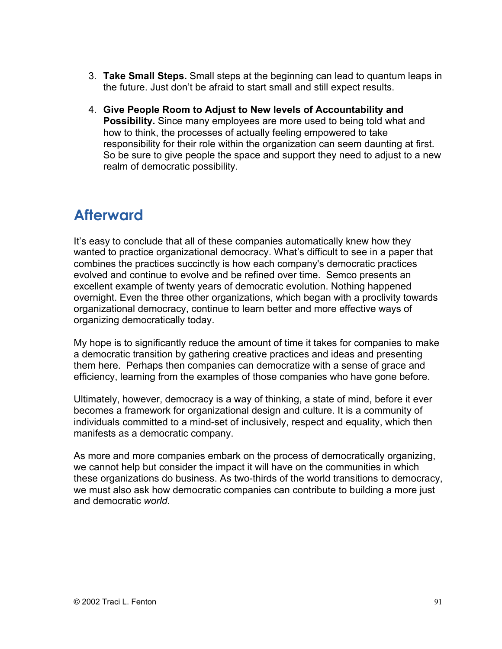- 3. **Take Small Steps.** Small steps at the beginning can lead to quantum leaps in the future. Just don't be afraid to start small and still expect results.
- 4. **Give People Room to Adjust to New levels of Accountability and Possibility.** Since many employees are more used to being told what and how to think, the processes of actually feeling empowered to take responsibility for their role within the organization can seem daunting at first. So be sure to give people the space and support they need to adjust to a new realm of democratic possibility.

# **Afterward**

It's easy to conclude that all of these companies automatically knew how they wanted to practice organizational democracy. What's difficult to see in a paper that combines the practices succinctly is how each company's democratic practices evolved and continue to evolve and be refined over time. Semco presents an excellent example of twenty years of democratic evolution. Nothing happened overnight. Even the three other organizations, which began with a proclivity towards organizational democracy, continue to learn better and more effective ways of organizing democratically today.

My hope is to significantly reduce the amount of time it takes for companies to make a democratic transition by gathering creative practices and ideas and presenting them here. Perhaps then companies can democratize with a sense of grace and efficiency, learning from the examples of those companies who have gone before.

Ultimately, however, democracy is a way of thinking, a state of mind, before it ever becomes a framework for organizational design and culture. It is a community of individuals committed to a mind-set of inclusively, respect and equality, which then manifests as a democratic company.

As more and more companies embark on the process of democratically organizing, we cannot help but consider the impact it will have on the communities in which these organizations do business. As two-thirds of the world transitions to democracy, we must also ask how democratic companies can contribute to building a more just and democratic *world*.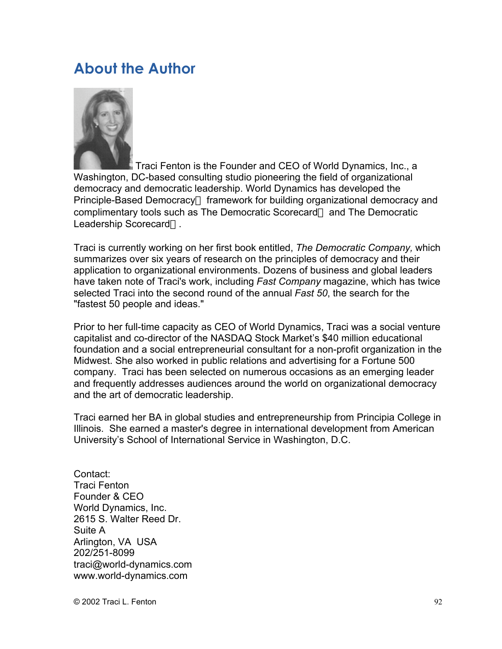# **About the Author**



 Traci Fenton is the Founder and CEO of World Dynamics, Inc., a Washington, DC-based consulting studio pioneering the field of organizational democracy and democratic leadership. World Dynamics has developed the Principle-Based Democracy<sup>™</sup> framework for building organizational democracy and complimentary tools such as The Democratic Scorecard™ and The Democratic Leadership Scorecard<sup>™</sup>.

Traci is currently working on her first book entitled, *The Democratic Company,* which summarizes over six years of research on the principles of democracy and their application to organizational environments. Dozens of business and global leaders have taken note of Traci's work, including *Fast Company* magazine, which has twice selected Traci into the second round of the annual *Fast 50*, the search for the "fastest 50 people and ideas."

Prior to her full-time capacity as CEO of World Dynamics, Traci was a social venture capitalist and co-director of the NASDAQ Stock Market's \$40 million educational foundation and a social entrepreneurial consultant for a non-profit organization in the Midwest. She also worked in public relations and advertising for a Fortune 500 company. Traci has been selected on numerous occasions as an emerging leader and frequently addresses audiences around the world on organizational democracy and the art of democratic leadership.

Traci earned her BA in global studies and entrepreneurship from Principia College in Illinois. She earned a master's degree in international development from American University's School of International Service in Washington, D.C.

Contact: Traci Fenton Founder & CEO World Dynamics, Inc. 2615 S. Walter Reed Dr. Suite A Arlington, VA USA 202/251-8099 traci@world-dynamics.com www.world-dynamics.com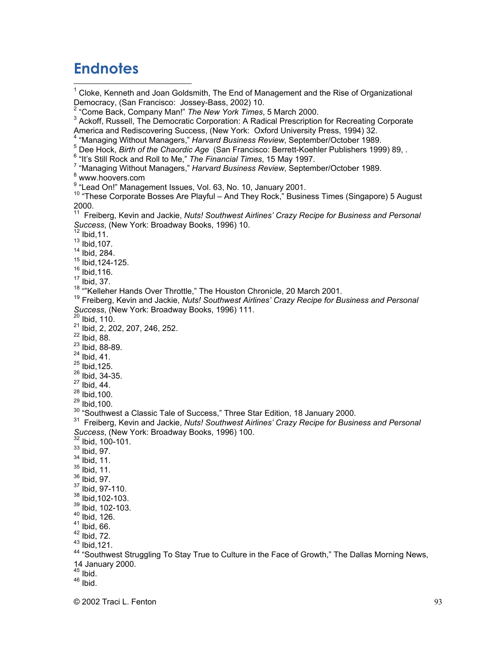# **Endnotes**

 $\frac{1}{1}$  Cloke, Kenneth and Joan Goldsmith, The End of Management and the Rise of Organizational Democracy, (San Francisco: Jossey-Bass, 2002) 10. 2 "Come Back, Company Man!" *The New York Times*, 5 March 2000. <sup>3</sup> Ackoff, Russell, The Democratic Corporation: A Radical Prescription for Recreating Corporate America and Rediscovering Success, (New York: Oxford University Press, 1994) 32. <sup>4</sup> "Managing Without Managers," *Harvard Business Review*, September/October 1989.<br><sup>5</sup> Dee Harls *Rith of the Cheardia Age* (Sep Francisco: Berrett Keebler Bublishers 199 <sup>5</sup> Dee Hock, *Birth of the Chaordic Age* (San Francisco: Berrett-Koehler Publishers 1999) 89, . <sup>6</sup> "It's Still Rock and Roll to Me," The Financial Times, 15 May 1997. <sup>7</sup> "Managing Without Managers," Harvard Business Review, September/October 1989. www.hoovers.com <sup>9</sup> "Lead On!" Management Issues, Vol. 63, No. 10, January 2001. <sup>10</sup> "These Corporate Bosses Are Playful – And They Rock," Business Times (Singapore) 5 August 2000. 11 Freiberg, Kevin and Jackie, *Nuts! Southwest Airlines' Crazy Recipe for Business and Personal Success*, (New York: Broadway Books, 1996) 10. Ibid,11.  $13$  Ibid, 107. 14 Ibid, 284. 15 Ibid,124-125.  $16$  Ibid, 116.  $17$  Ibid, 37. <sup>18</sup> "Kelleher Hands Over Throttle," The Houston Chronicle, 20 March 2001. 19 Freiberg, Kevin and Jackie, *Nuts! Southwest Airlines' Crazy Recipe for Business and Personal Success*, (New York: Broadway Books, 1996) 111.<br><sup>20</sup> Ibid, 110. <sup>21</sup> Ibid, 2, 202, 207, 246, 252.  $22$  Ibid, 88. <sup>23</sup> Ibid, 88-89.  $24$  Ibid, 41.  $^{25}$  Ibid, 125. <sup>26</sup> Ibid, 34-35.  $27$  Ibid, 44.  $^{28}$  Ibid, 100.  $^{29}$  Ibid, 100. <sup>30</sup> "Southwest a Classic Tale of Success," Three Star Edition, 18 January 2000.<br><sup>31</sup> Ersibers, Kavin and Jackie, Nutal Seuthwest Airlines' Crazy Resine for Busin Freiberg, Kevin and Jackie, *Nuts! Southwest Airlines' Crazy Recipe for Business and Personal Success*, (New York: Broadway Books, 1996) 100. Ibid, 100-101.  $33$  Ibid, 97.  $34$  Ibid, 11.  $35$  Ibid, 11. 36 Ibid, 97. 37 Ibid, 97-110.  $38$  Ibid, 102-103. 39 Ibid, 102-103.  $40$  Ibid, 126.  $41$  Ibid, 66.  $42$  Ibid, 72.  $43$  Ibid, 121. <sup>44</sup> "Southwest Struggling To Stay True to Culture in the Face of Growth," The Dallas Morning News, 14 January 2000. <sup>45</sup> Ibid. <sup>46</sup> Ibid.

© 2002 Traci L. Fenton 93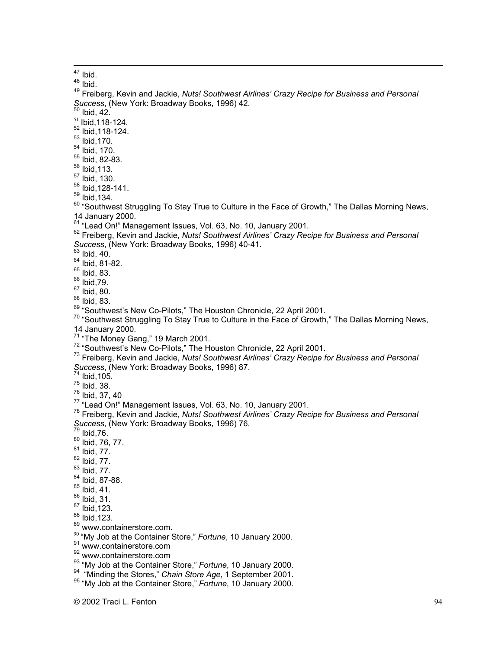<sup>47</sup> Ibid.

<sup>48</sup> Ibid.

49 Freiberg, Kevin and Jackie, *Nuts! Southwest Airlines' Crazy Recipe for Business and Personal Success*, (New York: Broadway Books, 1996) 42.<br><sup>50</sup> Ibid, 42.

 $51$  Ibid, 118-124.

 $52$  Ibid, 118-124.

<sup>53</sup> Ibid, 170.

<sup>54</sup> Ibid, 170.

55 Ibid, 82-83.

<sup>56</sup> Ibid, 113.

<sup>57</sup> Ibid, 130.

58 Ibid,128-141.

 $59$  Ibid, 134.

 $^{60}$  "Southwest Struggling To Stay True to Culture in the Face of Growth," The Dallas Morning News, 14 January 2000.

 $\frac{61}{10}$  "Lead On!" Management Issues, Vol. 63, No. 10, January 2001.<br> $\frac{62}{100}$  Freiberg, Kovin and Jackie, Nutal Southwest Airlines' Crazy Bes

 Freiberg, Kevin and Jackie, *Nuts! Southwest Airlines' Crazy Recipe for Business and Personal Success*, (New York: Broadway Books, 1996) 40-41.<br><sup>63</sup> Ibid, 40.

<sup>64</sup> Ibid, 81-82.

65 Ibid, 83.

<sup>66</sup> Ibid,79.

 $67$  Ibid, 80.

 $68$  Ibid, 83.

<sup>69</sup> "Southwest's New Co-Pilots," The Houston Chronicle, 22 April 2001.<br><sup>70</sup> "Southwest Struggling To Stay True to Culture in the Ease of Crouth

 $70$  "Southwest Struggling To Stay True to Culture in the Face of Growth," The Dallas Morning News, 14 January 2000.

<sup>71</sup> "The Money Gang," 19 March 2001.<br><sup>72</sup> "Southwest's Now Co Pilote," The H

<sup>72</sup> "Southwest's New Co-Pilots," The Houston Chronicle, 22 April 2001.

 Freiberg, Kevin and Jackie, *Nuts! Southwest Airlines' Crazy Recipe for Business and Personal Success*, (New York: Broadway Books, 1996) 87.<br><sup>74</sup> Ibid,105.

75 Ibid, 38.

76 Ibid, 37, 40

<sup>77</sup> "Lead On!" Management Issues, Vol. 63, No. 10, January 2001.<br><sup>78</sup> Ereiberg, Kovin and Jackie, Nutal Southwest Airlines' Crazy Bos

 Freiberg, Kevin and Jackie, *Nuts! Southwest Airlines' Crazy Recipe for Business and Personal Success*, (New York: Broadway Books, 1996) 76.

Ibid,76.

<sup>80</sup> Ibid, 76, 77.

 $81$  Ibid, 77.

- $82$  Ibid, 77.
- $^{83}$  Ibid, 77.

<sup>84</sup> Ibid, 87-88.

 $85$  Ibid, 41.

 $86$  Ibid, 31.

 $87$  Ibid, 123.

 $^{88}$  Ibid, 123.

89 www.containerstore.com.

<sup>90</sup> "My Job at the Container Store," Fortune, 10 January 2000.

91 www.containerstore.com

<sup>92</sup> www.containerstore.com

<sup>93</sup> "My Job at the Container Store," *Fortune*, 10 January 2000.<br><sup>94</sup> "Minding the Stores," Chain Store Age 1 September 2001.

<sup>94</sup> "Minding the Stores," *Chain Store Age*, 1 September 2001.

<sup>95</sup> "My Job at the Container Store," Fortune, 10 January 2000.

© 2002 Traci L. Fenton 94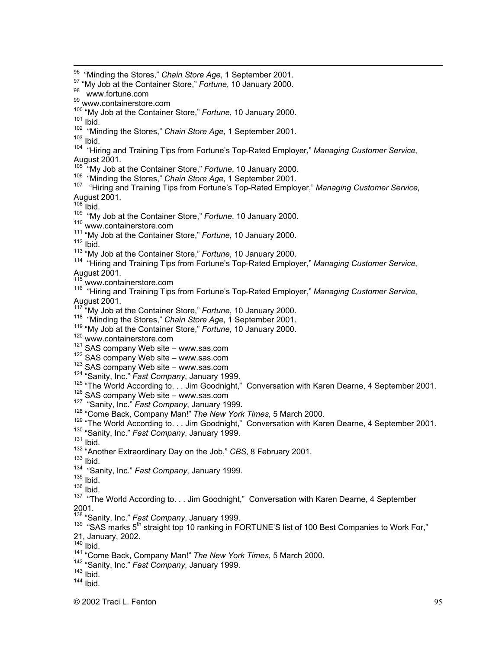© 2002 Traci L. Fenton 95 96 <sup>90</sup> "Minding the Stores," *Chain Store Age*, 1 September 2001.<br><sup>97</sup> "My Job at the Container Store," Ferture, 10, January 2000. <sup>97</sup> "My Job at the Container Store," Fortune, 10 January 2000. 98 www.fortune.com <sup>99</sup> www.containerstore.com <sup>100</sup> "My Job at the Container Store," *Fortune*, 10 January 2000.<br><sup>101</sup> Ibid  $101$  Ibid. <sup>102</sup> "Minding the Stores," *Chain Store Age*, 1 September 2001.<br><sup>103</sup> Ibid  $103$  Ibid. 104 "Hiring and Training Tips from Fortune's Top-Rated Employer," *Managing Customer Service*, August 2001. <sup>105</sup> "My Job at the Container Store," *Fortune*, 10 January 2000.<br><sup>106</sup> "Minding the Starse," Chain Stars Age, 1 September 2001. <sup>106</sup> "Minding the Stores," *Chain Store Age*, 1 September 2001. <sup>107</sup> "Hiring and Training Tips from Fortune's Top-Rated Employer," Managing Customer Service, August 2001.<br><sup>108</sup> Ibid. <sup>109</sup> "My Job at the Container Store," *Fortune*, 10 January 2000.<br><sup>110</sup> unity containate com 110 www.containerstore.com <sup>111</sup> "My Job at the Container Store," *Fortune*, 10 January 2000.<br><sup>112</sup> Ibid  $112$  Ibid. <sup>113</sup> "My Job at the Container Store," *Fortune*, 10 January 2000.<br><sup>114</sup> "Uiring and Training Tipe from Fortune's Tap Pated Employ <sup>114</sup> "Hiring and Training Tips from Fortune's Top-Rated Employer," Managing Customer Service, August 2001.<br><sup>115</sup> vatar eant <sup>115</sup> www.containerstore.com<br><sup>116</sup> "Hiring and Training Tips from Fortune's Top-Rated Employer," *Managing Customer Service*, August 2001.<br><sup>117</sup> "My Job at the Container Store," *Fortune*, 10 January 2000.<br><sup>118</sup> "Minding the Stores." Choin Store Age 1 September 2001. <sup>118</sup> "Minding the Stores," *Chain Store Age*, 1 September 2001. <sup>119</sup> "My Job at the Container Store," Fortune, 10 January 2000. 120 www.containerstore.com <sup>121</sup> SAS company Web site – www.sas.com  $\frac{121}{122}$  SAS company Web site – www.sas.com  $\frac{122}{123}$  SAS company Web site – www.sas.com  $123$  SAS company Web site – www.sas.com <sup>124</sup> "Sanity, Inc." Fast Company, January 1999. 125 "The World According to. . . Jim Goodnight," Conversation with Karen Dearne, 4 September 2001.  $\frac{126}{127}$  SAS company Web site – www.sas.com <sup>127</sup> "Sanity, Inc." *Fast Company*, January 1999.<br><sup>128</sup> "Come Bosk, Company Man!" The Naw York <sup>128</sup> "Come Back, Company Man!" The New York Times, 5 March 2000. <sup>129</sup> "The World According to. . . Jim Goodnight," Conversation with Karen Dearne, 4 September 2001.<br><sup>130</sup> "Septhy Jne." Feet Company, January 1909. <sup>130</sup> "Sanity, Inc." Fast Company, January 1999.  $131$  Ibid. <sup>132</sup> "Another Extraordinary Day on the Job," *CBS*, 8 February 2001.<br><sup>133</sup> Ibid  $133$  Ibid. <sup>134</sup> "Sanity, Inc." *Fast Company*, January 1999.<br><sup>135</sup> Ibid  $135$  Ibid. <sup>136</sup> Ibid. <sup>137</sup> "The World According to. . . Jim Goodnight," Conversation with Karen Dearne, 4 September 2001. <sup>138</sup> "Sanity, Inc." *Fast Company*, January 1999.<br><sup>139</sup> "SAS morke F<sup>th</sup> etraint top 10 reaking in Fr <sup>139</sup> "SAS marks 5<sup>th</sup> straight top 10 ranking in FORTUNE'S list of 100 Best Companies to Work For," 21, January, 2002.<br><sup>140</sup> Ibid Ibid. 141 "Come Back, Company Man!" *The New York Times*, 5 March 2000. <sup>142</sup> "Sanity, Inc." *Fast Company*, January 1999.<br><sup>143</sup> Ibid  $143$  Ibid. 144 Ibid.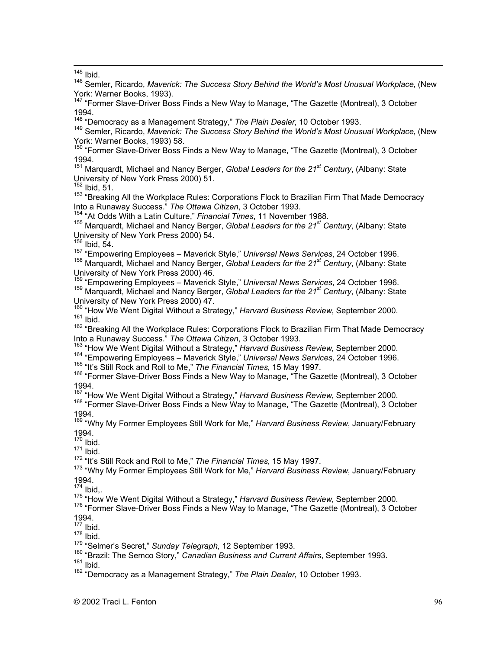$145$  Ibid.

<sup>146</sup> Semler, Ricardo, *Maverick: The Success Story Behind the World's Most Unusual Workplace*, (New York: Warner Books, 1993).

<sup>147</sup> "Former Slave-Driver Boss Finds a New Way to Manage, "The Gazette (Montreal), 3 October 1994.

148 "Democracy as a Management Strategy," *The Plain Dealer*, 10 October 1993.

149 Semler, Ricardo, *Maverick: The Success Story Behind the World's Most Unusual Workplace*, (New York: Warner Books, 1993) 58.

<sup>150</sup> "Former Slave-Driver Boss Finds a New Way to Manage, "The Gazette (Montreal), 3 October 1994.

<sup>151</sup> Marquardt, Michael and Nancy Berger, *Global Leaders for the 21<sup>st</sup> Century*, (Albany: State University of New York Press 2000) 51.

 $152$  Ibid,  $51$ .

<sup>153</sup> "Breaking All the Workplace Rules: Corporations Flock to Brazilian Firm That Made Democracy Into a Runaway Success." *The Ottawa Citizen*, 3 October 1993.

154 "At Odds With a Latin Culture," *Financial Times*, 11 November 1988.

<sup>155</sup> Marquardt, Michael and Nancy Berger, *Global Leaders for the 21<sup>st</sup> Century*, (Albany: State University of New York Press 2000) 54.

 $156$  Ibid, 54.

157 "Empowering Employees – Maverick Style," *Universal News Services*, 24 October 1996. <sup>158</sup> Marquardt, Michael and Nancy Berger, *Global Leaders for the 21<sup>st</sup> Century*, (Albany: State

University of New York Press 2000) 46. 159 "Empowering Employees – Maverick Style," *Universal News Services*, 24 October 1996. <sup>159</sup> Marquardt, Michael and Nancy Berger, *Global Leaders for the 21<sup>st</sup> Century*, (Albany: State

University of New York Press 2000) 47.<br><sup>160</sup> "How We Went Digital Without a Strategy," *Harvard Business Review*, September 2000.<br><sup>161</sup> Ibid  $161$  Ibid.

<sup>162</sup> "Breaking All the Workplace Rules: Corporations Flock to Brazilian Firm That Made Democracy Into a Runaway Success." *The Ottawa Citizen*, 3 October 1993.

163

<sup>163</sup> "How We Went Digital Without a Strategy," *Harvard Business Review*, September 2000.<br><sup>164</sup> "Empowering Employees – Maverick Style," *Universal News Services*, 24 October 1996.

<sup>165</sup> "It's Still Rock and Roll to Me," *The Financial Times*, 15 May 1997.<br><sup>166</sup> "Fermer Slave Driver Bees Finds a Naw Way to Manage. "The Car

<sup>166</sup> "Former Slave-Driver Boss Finds a New Way to Manage, "The Gazette (Montreal), 3 October

1994.<br><sup>167</sup> "How We Went Digital Without a Strategy," *Harvard Business Review,* September 2000.<br><sup>168</sup> "Fermer Slave Driver Bees Finde a Naw Way to Manage. "The Capatte (Mantreel), 3 Oc

<sup>168</sup> "Former Slave-Driver Boss Finds a New Way to Manage, "The Gazette (Montreal), 3 October 1994.

169 "Why My Former Employees Still Work for Me," *Harvard Business Review*, January/February 1994.

170 Ibid.

<sup>171</sup> Ibid.

<sup>172</sup> "It's Still Rock and Roll to Me," *The Financial Times*, 15 May 1997.<br><sup>173</sup> "Why My Fermer Employees Still Werk for Me," Henverd Ruginese.

<sup>173</sup> "Why My Former Employees Still Work for Me," *Harvard Business Review*, January/February 1994.

 $174$  Ibid,.

<sup>175</sup> "How We Went Digital Without a Strategy," *Harvard Business Review*, September 2000.<br><sup>176</sup> "Eermer Slave Driver Bose Finde a Now Way to Manage. "The Cazatte (Mentreal), 3 Og

<sup>176</sup> "Former Slave-Driver Boss Finds a New Way to Manage, "The Gazette (Montreal), 3 October 1994.

177 Ibid.

178 Ibid.

<sup>179</sup> "Selmer's Secret," *Sunday Telegraph*, 12 September 1993.<br><sup>180</sup> "Prazil: The Samee Stary" Canadian Businese and Current

<sup>180</sup> "Brazil: The Semco Story," *Canadian Business and Current Affairs*, September 1993.

 $181$  Ibid.

182 "Democracy as a Management Strategy," *The Plain Dealer*, 10 October 1993.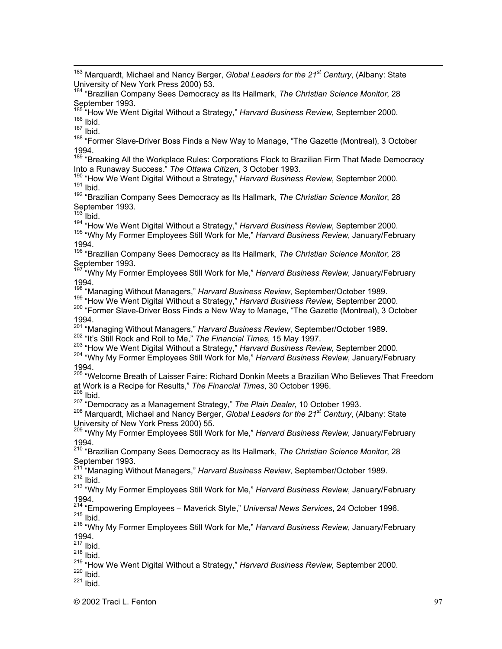183 Marquardt, Michael and Nancy Berger, *Global Leaders for the 21st Century*, (Albany: State

University of New York Press 2000) 53. 184 "Brazilian Company Sees Democracy as Its Hallmark, *The Christian Science Monitor*, 28 September 1993.

<sup>185 "</sup>How We Went Digital Without a Strategy," *Harvard Business Review*, September 2000.<br><sup>186</sup> Ibid  $186$  Ibid.

 $187$  Ibid.

<sup>188</sup> "Former Slave-Driver Boss Finds a New Way to Manage, "The Gazette (Montreal), 3 October 1994.

<sup>189</sup> "Breaking All the Workplace Rules: Corporations Flock to Brazilian Firm That Made Democracy Into a Runaway Success." *The Ottawa Citizen*, 3 October 1993.

<sup>190</sup> "How We Went Digital Without a Strategy," *Harvard Business Review*, September 2000.<br><sup>191</sup> Ibid  $191$  Ibid.

192 "Brazilian Company Sees Democracy as Its Hallmark, *The Christian Science Monitor*, 28 September 1993.

<sup>193</sup> Ibid.

<sup>194</sup> "How We Went Digital Without a Strategy," *Harvard Business Review*, September 2000.<br><sup>195</sup> "Why My Fermer Employees Still Werk for Me." Hanvard Business Boyiew, January/Feb

<sup>195</sup> "Why My Former Employees Still Work for Me," Harvard Business Review, January/February 1994.

196 "Brazilian Company Sees Democracy as Its Hallmark, *The Christian Science Monitor*, 28 September 1993.

<sup>197 '</sup>"Why My Former Employees Still Work for Me," *Harvard Business Review*, January/February 1994.

<sup>198</sup> "Managing Without Managers," *Harvard Business Review*, September/October 1989.<br><sup>199</sup> "Uaw We Went Digital Without a Strategy," Hangard Business Review, September 20

<sup>199</sup> "How We Went Digital Without a Strategy," Harvard Business Review, September 2000.

200 "Former Slave-Driver Boss Finds a New Way to Manage, "The Gazette (Montreal), 3 October 1994.

<sup>201</sup> "Managing Without Managers," *Harvard Business Review*, September/October 1989.<br><sup>202</sup> "the Still Reak and Rell to Me." The Financial Times, 15 May 1997.

202 "It's Still Rock and Roll to Me," The Financial Times, 15 May 1997.

203 "How We Went Digital Without a Strategy," *Harvard Business Review*, September 2000.

<sup>204</sup> "Why My Former Employees Still Work for Me," Harvard Business Review, January/February 1994.

<sup>205</sup> "Welcome Breath of Laisser Faire: Richard Donkin Meets a Brazilian Who Believes That Freedom at Work is a Recipe for Results," *The Financial Times*, 30 October 1996.<br><sup>206</sup> Ibid.

207 "Democracy as a Management Strategy," *The Plain Dealer*, 10 October 1993.

208 Marquardt, Michael and Nancy Berger, *Global Leaders for the 21st Century*, (Albany: State University of New York Press 2000) 55.

209 "Why My Former Employees Still Work for Me," *Harvard Business Review*, January/February 1994.

210 "Brazilian Company Sees Democracy as Its Hallmark, *The Christian Science Monitor*, 28 September 1993.

<sup>211 :</sup>"Managing Without Managers," *Harvard Business Review*, September/October 1989.<br><sup>212</sup> Ibid  $212$  Ibid.

213 "Why My Former Employees Still Work for Me," *Harvard Business Review*, January/February

1994.<br><sup>214</sup> "Empowering Employees – Maverick Style," *Universal News Services*, 24 October 1996.<br><sup>215</sup> Ibid  $215$  Ibid.

216 "Why My Former Employees Still Work for Me," *Harvard Business Review*, January/February 1994.

 $217$  Ibid.

<sup>218</sup> Ibid.

<sup>219</sup> "How We Went Digital Without a Strategy," *Harvard Business Review*, September 2000.<br><sup>220</sup> Ibid

 $220$  Ibid.

 $221$  Ibid.

© 2002 Traci L. Fenton 97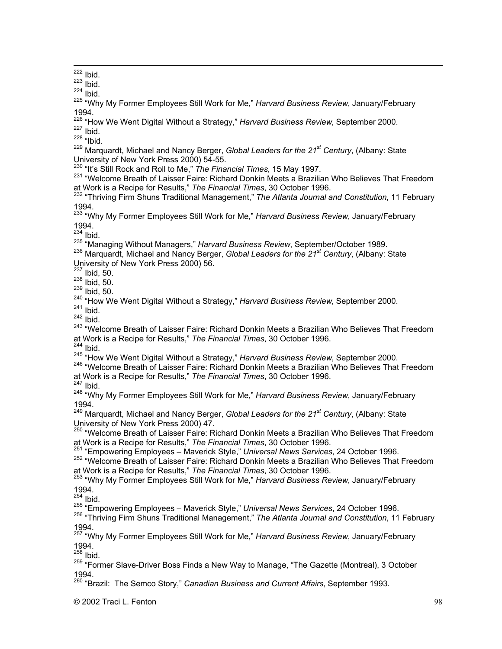<sup>222</sup> Ibid.

<sup>223</sup> Ibid.

 $224$  Ibid.

225 "Why My Former Employees Still Work for Me," *Harvard Business Review*, January/February 1994.

<sup>226</sup> "How We Went Digital Without a Strategy," *Harvard Business Review*, September 2000.<br><sup>227</sup> Ibid  $227$  Ibid.

<sup>228</sup> "Ibid.

<sup>229</sup> Marquardt, Michael and Nancy Berger, *Global Leaders for the 21<sup>st</sup> Century*, (Albany: State

University of New York Press 2000) 54-55.<br><sup>230</sup> "It's Still Rock and Roll to Me," *The Financial Times,* 15 May 1997.<br><sup>231</sup> "Welseme Bresth of Leiseer Feire: Richard Denkin Meete e Prezili

<sup>231</sup> "Welcome Breath of Laisser Faire: Richard Donkin Meets a Brazilian Who Believes That Freedom

at Work is a Recipe for Results," *The Financial Times*, 30 October 1996. 232 "Thriving Firm Shuns Traditional Management," *The Atlanta Journal and Constitution*, 11 February 1994.

233 "Why My Former Employees Still Work for Me," *Harvard Business Review*, January/February

1994.<br><sup>234</sup> Ibid.

<sup>235</sup> "Managing Without Managers," *Harvard Business Review*, September/October 1989.<br><sup>236</sup> Marguardt, Michael and Napou Person, Clabel Laeders for the 24<sup>st</sup> Cantury (Albany)

236 Marquardt, Michael and Nancy Berger, *Global Leaders for the 21<sup>st</sup> Century*, (Albany: State University of New York Press 2000) 56.

 $237$  Ibid, 50.

 $238$  Ibid, 50.

 $239$  Ibid, 50.

<sup>240</sup> "How We Went Digital Without a Strategy," *Harvard Business Review*, September 2000.<br><sup>241</sup> Ibid

 $241$  Ibid.

<sup>242</sup> Ibid.

<sup>243</sup> "Welcome Breath of Laisser Faire: Richard Donkin Meets a Brazilian Who Believes That Freedom at Work is a Recipe for Results," *The Financial Times*, 30 October 1996.

<sup>244</sup> Ibid.

<sup>245</sup> "How We Went Digital Without a Strategy," *Harvard Business Review*, September 2000.<br><sup>246</sup> "Welseme Bresth of Leiseer Feire: Bisberd Dankin Meete e Brezilian Who Believee That

246 "Welcome Breath of Laisser Faire: Richard Donkin Meets a Brazilian Who Believes That Freedom at Work is a Recipe for Results," *The Financial Times*, 30 October 1996.

<sup>247</sup> Ibid.

248 "Why My Former Employees Still Work for Me," *Harvard Business Review*, January/February 1994.

<sup>249</sup> Marquardt, Michael and Nancy Berger, *Global Leaders for the 21<sup>st</sup> Century*, (Albany: State

University of New York Press 2000) 47.<br><sup>250</sup> "Welcome Breath of Laisser Faire: Richard Donkin Meets a Brazilian Who Believes That Freedom at Work is a Recipe for Results," *The Financial Times*, 30 October 1996.

251 "Empowering Employees – Maverick Style," *Universal News Services*, 24 October 1996.

<sup>252</sup> "Welcome Breath of Laisser Faire: Richard Donkin Meets a Brazilian Who Believes That Freedom

at Work is a Recipe for Results," *The Financial Times*, 30 October 1996. 253 "Why My Former Employees Still Work for Me," *Harvard Business Review*, January/February 1994.

 $254$  Ibid.

255 "Empowering Employees – Maverick Style," *Universal News Services*, 24 October 1996.

256 "Thriving Firm Shuns Traditional Management," *The Atlanta Journal and Constitution*, 11 February 1994.

257 "Why My Former Employees Still Work for Me," *Harvard Business Review*, January/February 1994.

<sup>258</sup> Ibid.

<sup>259</sup> "Former Slave-Driver Boss Finds a New Way to Manage, "The Gazette (Montreal), 3 October 1994.

260 "Brazil: The Semco Story," *Canadian Business and Current Affairs*, September 1993.

© 2002 Traci L. Fenton 98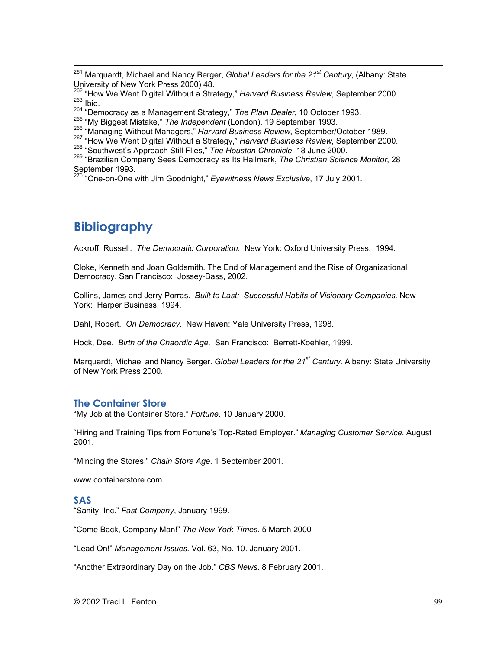261 Marquardt, Michael and Nancy Berger, *Global Leaders for the 21st Century*, (Albany: State

264 "Democracy as a Management Strategy," *The Plain Dealer*, 10 October 1993.

## **Bibliography**

Ackroff, Russell. *The Democratic Corporation.* New York: Oxford University Press. 1994.

Cloke, Kenneth and Joan Goldsmith. The End of Management and the Rise of Organizational Democracy. San Francisco: Jossey-Bass, 2002.

Collins, James and Jerry Porras. *Built to Last: Successful Habits of Visionary Companies*. New York: Harper Business, 1994.

Dahl, Robert. *On Democracy.* New Haven: Yale University Press, 1998.

Hock, Dee. *Birth of the Chaordic Age.* San Francisco: Berrett-Koehler, 1999.

Marquardt, Michael and Nancy Berger. *Global Leaders for the 21st Century*. Albany: State University of New York Press 2000.

#### **The Container Store**

"My Job at the Container Store." *Fortune*. 10 January 2000.

"Hiring and Training Tips from Fortune's Top-Rated Employer." *Managing Customer Service*. August 2001.

"Minding the Stores." *Chain Store Age*. 1 September 2001.

www.containerstore.com

#### **SAS**

"Sanity, Inc." *Fast Company*, January 1999.

"Come Back, Company Man!" *The New York Times*. 5 March 2000

"Lead On!" *Management Issues.* Vol. 63, No. 10. January 2001.

"Another Extraordinary Day on the Job." *CBS News*. 8 February 2001.

University of New York Press 2000) 48.<br><sup>262</sup> "How We Went Digital Without a Strategy," *Harvard Business Review*, September 2000.<br><sup>263</sup> Ibid  $263$  Ibid.

<sup>&</sup>lt;sup>265</sup> "My Biggest Mistake," *The Independent* (London), 19 September 1993.<br><sup>266</sup> "Managing Without Managara" Harvard Businese Povisur Santambar/

<sup>&</sup>lt;sup>266</sup> "Managing Without Managers," *Harvard Business Review*, September/October 1989.

<sup>267 &</sup>quot;How We Went Digital Without a Strategy," Harvard Business Review, September 2000.

<sup>&</sup>lt;sup>268</sup> "Southwest's Approach Still Flies," The Houston Chronicle, 18 June 2000.

<sup>269</sup> "Brazilian Company Sees Democracy as Its Hallmark, *The Christian Science Monitor*, 28

September 1993. 270 "One-on-One with Jim Goodnight," *Eyewitness News Exclusive*, 17 July 2001.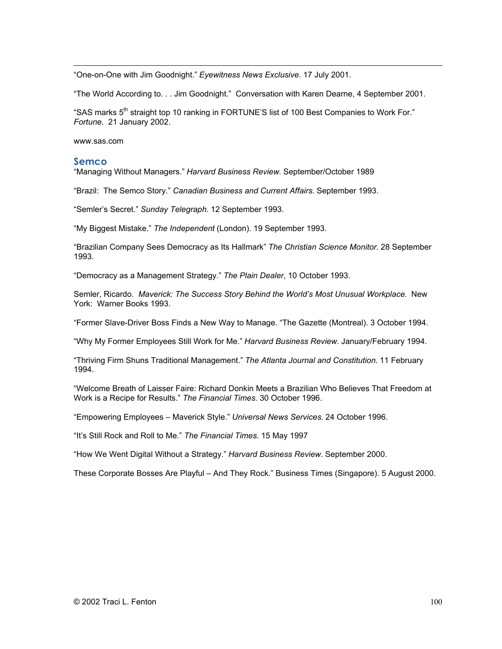$\overline{a}$ "One-on-One with Jim Goodnight." *Eyewitness News Exclusive*. 17 July 2001.

"The World According to. . . Jim Goodnight." Conversation with Karen Dearne, 4 September 2001.

"SAS marks 5<sup>th</sup> straight top 10 ranking in FORTUNE'S list of 100 Best Companies to Work For." *Fortune*. 21 January 2002.

www.sas.com

#### **Semco**

"Managing Without Managers." *Harvard Business Review*. September/October 1989

"Brazil: The Semco Story." *Canadian Business and Current Affairs.* September 1993.

"Semler's Secret." *Sunday Telegraph*. 12 September 1993.

"My Biggest Mistake." *The Independent* (London). 19 September 1993.

"Brazilian Company Sees Democracy as Its Hallmark" *The Christian Science Monitor*. 28 September 1993.

"Democracy as a Management Strategy." *The Plain Dealer*, 10 October 1993.

Semler, Ricardo. *Maverick: The Success Story Behind the World's Most Unusual Workplace.* New York: Warner Books 1993.

"Former Slave-Driver Boss Finds a New Way to Manage. "The Gazette (Montreal). 3 October 1994.

"Why My Former Employees Still Work for Me." *Harvard Business Review.* January/February 1994.

"Thriving Firm Shuns Traditional Management." *The Atlanta Journal and Constitution*. 11 February 1994.

"Welcome Breath of Laisser Faire: Richard Donkin Meets a Brazilian Who Believes That Freedom at Work is a Recipe for Results." *The Financial Times*. 30 October 1996.

"Empowering Employees – Maverick Style." *Universal News Services*. 24 October 1996.

"It's Still Rock and Roll to Me." *The Financial Times*. 15 May 1997

"How We Went Digital Without a Strategy." *Harvard Business Review*. September 2000.

These Corporate Bosses Are Playful – And They Rock." Business Times (Singapore). 5 August 2000.